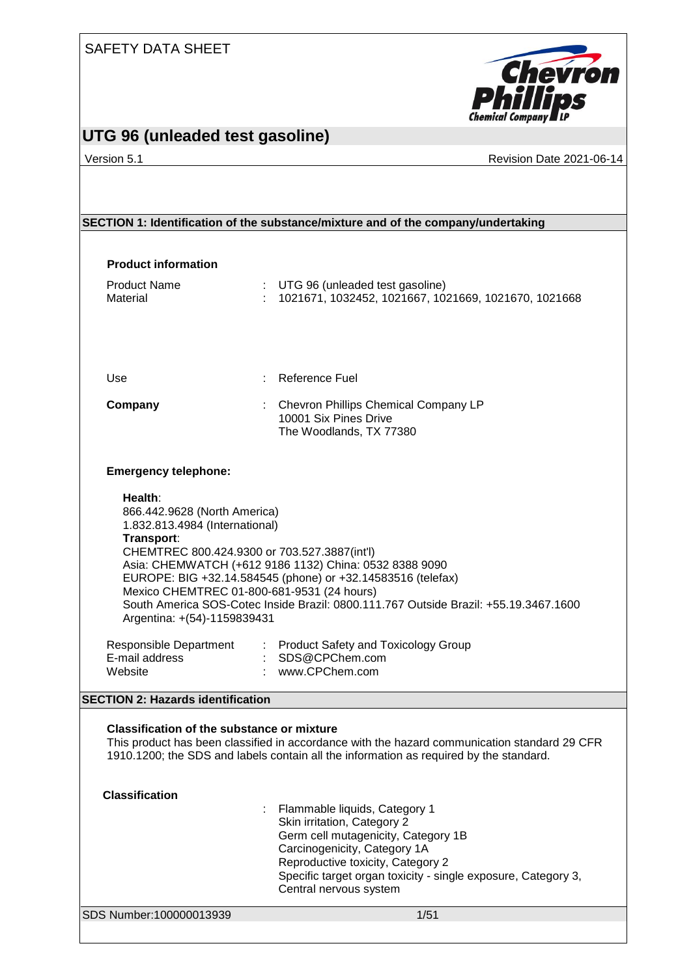

## **UTG 96 (unleaded test gasoline)**

Version 5.1 **Network 2021-06-14** Revision Date 2021-06-14

# SDS Number:100000013939 1/51 **SECTION 1: Identification of the substance/mixture and of the company/undertaking Product information** Product Name  $\qquad \qquad : \quad \text{UTG 96 (unleaded test gasoline)}$ Material : 1021671, 1032452, 1021667, 1021669, 1021670, 1021668 Use : Reference Fuel **Company** : Chevron Phillips Chemical Company LP 10001 Six Pines Drive The Woodlands, TX 77380 **Emergency telephone: Health**: 866.442.9628 (North America) 1.832.813.4984 (International) **Transport**: CHEMTREC 800.424.9300 or 703.527.3887(int'l) Asia: CHEMWATCH (+612 9186 1132) China: 0532 8388 9090 EUROPE: BIG +32.14.584545 (phone) or +32.14583516 (telefax) Mexico CHEMTREC 01-800-681-9531 (24 hours) South America SOS-Cotec Inside Brazil: 0800.111.767 Outside Brazil: +55.19.3467.1600 Argentina: +(54)-1159839431 Responsible Department : Product Safety and Toxicology Group<br>E-mail address : SDS@CPChem.com E-mail address<br>Website : www.CPChem.com **SECTION 2: Hazards identification Classification of the substance or mixture** This product has been classified in accordance with the hazard communication standard 29 CFR 1910.1200; the SDS and labels contain all the information as required by the standard. **Classification** : Flammable liquids, Category 1 Skin irritation, Category 2 Germ cell mutagenicity, Category 1B Carcinogenicity, Category 1A Reproductive toxicity, Category 2 Specific target organ toxicity - single exposure, Category 3, Central nervous system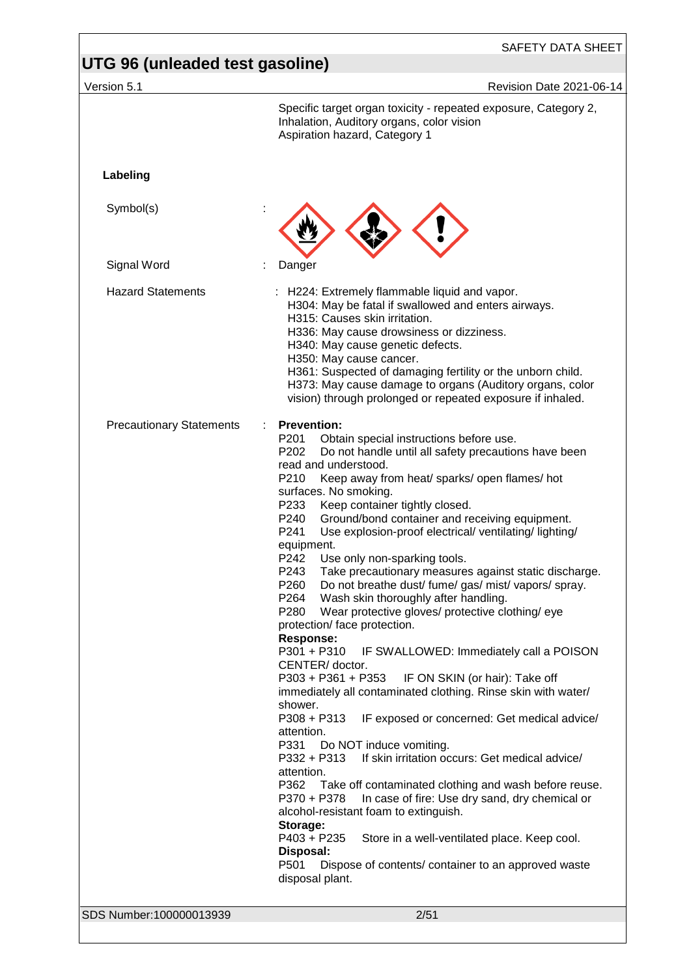| Version 5.1                     | Revision Date 2021-06-14                                                                                                                                                                                                                                                                                                                                                                                                                                                                                                                                                                                                                                                                                                                                                                                                                                                                                                                                                                                                                                                                                                                                                                                                                                                                                                                                                                                                                                                                                                                                                    |
|---------------------------------|-----------------------------------------------------------------------------------------------------------------------------------------------------------------------------------------------------------------------------------------------------------------------------------------------------------------------------------------------------------------------------------------------------------------------------------------------------------------------------------------------------------------------------------------------------------------------------------------------------------------------------------------------------------------------------------------------------------------------------------------------------------------------------------------------------------------------------------------------------------------------------------------------------------------------------------------------------------------------------------------------------------------------------------------------------------------------------------------------------------------------------------------------------------------------------------------------------------------------------------------------------------------------------------------------------------------------------------------------------------------------------------------------------------------------------------------------------------------------------------------------------------------------------------------------------------------------------|
|                                 | Specific target organ toxicity - repeated exposure, Category 2,<br>Inhalation, Auditory organs, color vision<br>Aspiration hazard, Category 1                                                                                                                                                                                                                                                                                                                                                                                                                                                                                                                                                                                                                                                                                                                                                                                                                                                                                                                                                                                                                                                                                                                                                                                                                                                                                                                                                                                                                               |
| Labeling                        |                                                                                                                                                                                                                                                                                                                                                                                                                                                                                                                                                                                                                                                                                                                                                                                                                                                                                                                                                                                                                                                                                                                                                                                                                                                                                                                                                                                                                                                                                                                                                                             |
| Symbol(s)                       |                                                                                                                                                                                                                                                                                                                                                                                                                                                                                                                                                                                                                                                                                                                                                                                                                                                                                                                                                                                                                                                                                                                                                                                                                                                                                                                                                                                                                                                                                                                                                                             |
| Signal Word                     | Danger                                                                                                                                                                                                                                                                                                                                                                                                                                                                                                                                                                                                                                                                                                                                                                                                                                                                                                                                                                                                                                                                                                                                                                                                                                                                                                                                                                                                                                                                                                                                                                      |
| <b>Hazard Statements</b>        | H224: Extremely flammable liquid and vapor.<br>H304: May be fatal if swallowed and enters airways.<br>H315: Causes skin irritation.<br>H336: May cause drowsiness or dizziness.<br>H340: May cause genetic defects.<br>H350: May cause cancer.<br>H361: Suspected of damaging fertility or the unborn child.<br>H373: May cause damage to organs (Auditory organs, color<br>vision) through prolonged or repeated exposure if inhaled.                                                                                                                                                                                                                                                                                                                                                                                                                                                                                                                                                                                                                                                                                                                                                                                                                                                                                                                                                                                                                                                                                                                                      |
| <b>Precautionary Statements</b> | <b>Prevention:</b><br>÷<br>Obtain special instructions before use.<br>P <sub>201</sub><br>P <sub>202</sub><br>Do not handle until all safety precautions have been<br>read and understood.<br>P210<br>Keep away from heat/ sparks/ open flames/ hot<br>surfaces. No smoking.<br>P233<br>Keep container tightly closed.<br>Ground/bond container and receiving equipment.<br>P240<br>P241<br>Use explosion-proof electrical/ventilating/lighting/<br>equipment.<br>P242<br>Use only non-sparking tools.<br>P243<br>Take precautionary measures against static discharge.<br>Do not breathe dust/ fume/ gas/ mist/ vapors/ spray.<br>P260<br>P264<br>Wash skin thoroughly after handling.<br>P280<br>Wear protective gloves/ protective clothing/ eye<br>protection/ face protection.<br><b>Response:</b><br>P301 + P310<br>IF SWALLOWED: Immediately call a POISON<br>CENTER/doctor.<br>P303 + P361 + P353<br>IF ON SKIN (or hair): Take off<br>immediately all contaminated clothing. Rinse skin with water/<br>shower.<br>P308 + P313<br>IF exposed or concerned: Get medical advice/<br>attention.<br>P331<br>Do NOT induce vomiting.<br>If skin irritation occurs: Get medical advice/<br>P332 + P313<br>attention.<br>P362<br>Take off contaminated clothing and wash before reuse.<br>In case of fire: Use dry sand, dry chemical or<br>P370 + P378<br>alcohol-resistant foam to extinguish.<br>Storage:<br>P403 + P235<br>Store in a well-ventilated place. Keep cool.<br>Disposal:<br>P501<br>Dispose of contents/ container to an approved waste<br>disposal plant. |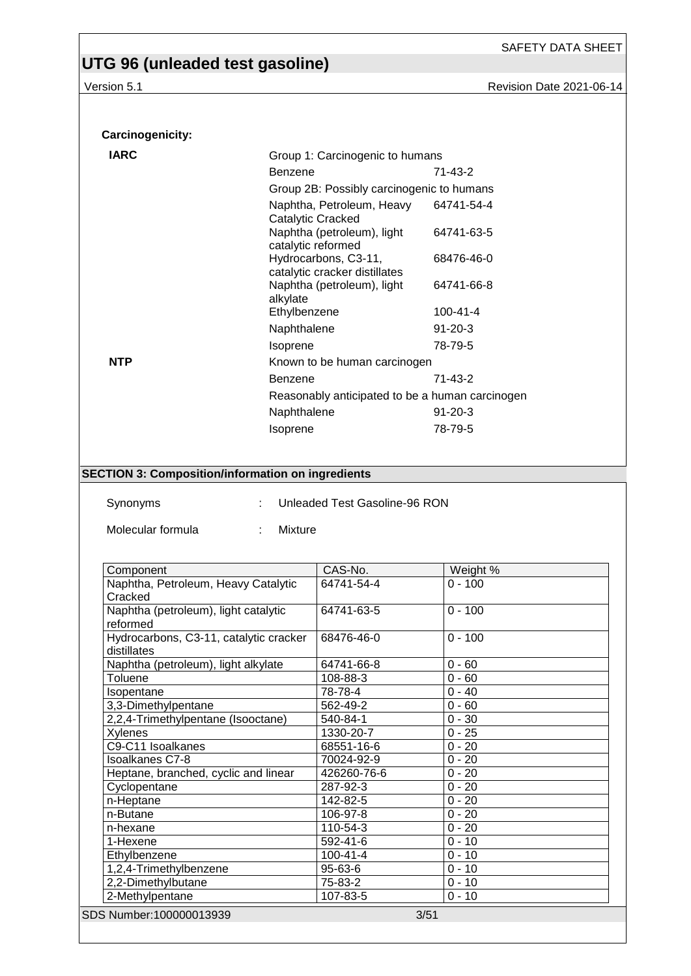| UTG 96 (unleaded test gasoline)<br>Version 5.1                                            |                |                                                       | Revision Date 2021-06-14                        |  |
|-------------------------------------------------------------------------------------------|----------------|-------------------------------------------------------|-------------------------------------------------|--|
|                                                                                           |                |                                                       |                                                 |  |
| Carcinogenicity:                                                                          |                |                                                       |                                                 |  |
| <b>IARC</b>                                                                               |                | Group 1: Carcinogenic to humans                       |                                                 |  |
|                                                                                           | <b>Benzene</b> |                                                       | $71 - 43 - 2$                                   |  |
|                                                                                           |                | Group 2B: Possibly carcinogenic to humans             |                                                 |  |
|                                                                                           |                | Naphtha, Petroleum, Heavy                             | 64741-54-4                                      |  |
|                                                                                           |                | Catalytic Cracked                                     |                                                 |  |
|                                                                                           |                | Naphtha (petroleum), light<br>catalytic reformed      | 64741-63-5                                      |  |
|                                                                                           |                | Hydrocarbons, C3-11,<br>catalytic cracker distillates | 68476-46-0                                      |  |
|                                                                                           | alkylate       | Naphtha (petroleum), light                            | 64741-66-8                                      |  |
|                                                                                           | Ethylbenzene   |                                                       | $100 - 41 - 4$                                  |  |
|                                                                                           | Naphthalene    |                                                       | $91 - 20 - 3$                                   |  |
|                                                                                           | Isoprene       |                                                       | 78-79-5                                         |  |
| <b>NTP</b>                                                                                |                | Known to be human carcinogen                          |                                                 |  |
|                                                                                           | <b>Benzene</b> |                                                       | $71 - 43 - 2$                                   |  |
|                                                                                           |                |                                                       | Reasonably anticipated to be a human carcinogen |  |
|                                                                                           | Naphthalene    |                                                       | $91 - 20 - 3$                                   |  |
|                                                                                           | Isoprene       |                                                       | 78-79-5                                         |  |
| <b>SECTION 3: Composition/information on ingredients</b><br>Synonyms<br>Molecular formula | Mixture        | Unleaded Test Gasoline-96 RON                         |                                                 |  |
|                                                                                           |                |                                                       |                                                 |  |
| Component                                                                                 |                | CAS-No.                                               | Weight %                                        |  |
| Naphtha, Petroleum, Heavy Catalytic                                                       |                | 64741-54-4                                            | $0 - 100$                                       |  |
| Cracked                                                                                   |                |                                                       |                                                 |  |
| Naphtha (petroleum), light catalytic                                                      |                | 64741-63-5                                            | $0 - 100$                                       |  |
| reformed<br>Hydrocarbons, C3-11, catalytic cracker                                        |                | 68476-46-0                                            | $0 - 100$                                       |  |
| distillates                                                                               |                |                                                       |                                                 |  |
| Naphtha (petroleum), light alkylate<br>Toluene                                            |                | 64741-66-8<br>108-88-3                                | $0 - 60$<br>$0 - 60$                            |  |
| Isopentane                                                                                |                | 78-78-4                                               | $0 - 40$                                        |  |
| 3,3-Dimethylpentane                                                                       |                | 562-49-2                                              | $0 - 60$                                        |  |
| 2,2,4-Trimethylpentane (Isooctane)                                                        |                | 540-84-1                                              | $0 - 30$                                        |  |
| Xylenes                                                                                   |                | 1330-20-7                                             | $0 - 25$                                        |  |
| C9-C11 Isoalkanes<br><b>Isoalkanes C7-8</b>                                               |                | 68551-16-6<br>70024-92-9                              | $0 - 20$<br>$0 - 20$                            |  |
| Heptane, branched, cyclic and linear                                                      |                | 426260-76-6                                           | $0 - 20$                                        |  |
| Cyclopentane                                                                              |                | 287-92-3                                              | $0 - 20$                                        |  |
| n-Heptane                                                                                 |                | 142-82-5                                              | $0 - 20$                                        |  |
| n-Butane                                                                                  |                | 106-97-8                                              | $0 - 20$<br>$0 - 20$                            |  |
| n-hexane<br>1-Hexene                                                                      |                | 110-54-3<br>592-41-6                                  | $0 - 10$                                        |  |
| Ethylbenzene                                                                              |                | $100 - 41 - 4$                                        | $0 - 10$                                        |  |
| 1,2,4-Trimethylbenzene                                                                    |                | 95-63-6                                               | $0 - 10$                                        |  |
| 2,2-Dimethylbutane<br>2-Methylpentane                                                     |                | 75-83-2<br>107-83-5                                   | $0 - 10$<br>$0 - 10$                            |  |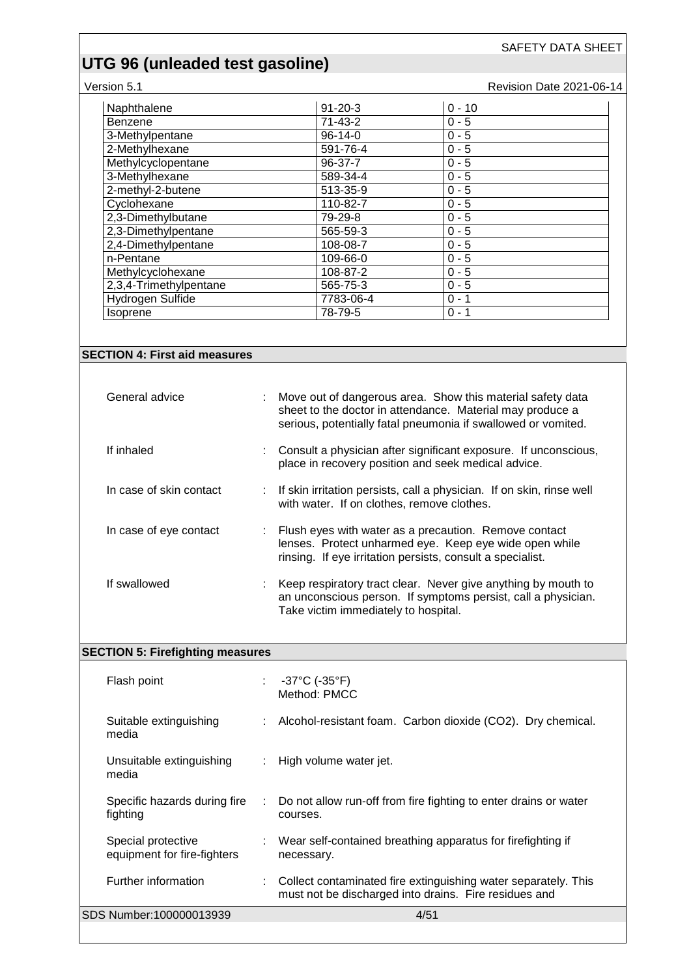#### Version 5.1 **Version 5.1** Revision Date 2021-06-14

| Naphthalene            | $91 - 20 - 3$ | $0 - 10$ |  |
|------------------------|---------------|----------|--|
| <b>Benzene</b>         | $71 - 43 - 2$ | $0 - 5$  |  |
| 3-Methylpentane        | $96-14-0$     | $0 - 5$  |  |
| 2-Methylhexane         | 591-76-4      | $0 - 5$  |  |
| Methylcyclopentane     | 96-37-7       | $0 - 5$  |  |
| 3-Methylhexane         | 589-34-4      | $0 - 5$  |  |
| 2-methyl-2-butene      | 513-35-9      | $0 - 5$  |  |
| Cyclohexane            | 110-82-7      | $0 - 5$  |  |
| 2.3-Dimethylbutane     | 79-29-8       | $0 - 5$  |  |
| 2.3-Dimethylpentane    | 565-59-3      | $0 - 5$  |  |
| 2,4-Dimethylpentane    | 108-08-7      | $0 - 5$  |  |
| n-Pentane              | 109-66-0      | $0 - 5$  |  |
| Methylcyclohexane      | 108-87-2      | $0 - 5$  |  |
| 2,3,4-Trimethylpentane | 565-75-3      | $0 - 5$  |  |
| Hydrogen Sulfide       | 7783-06-4     | $0 - 1$  |  |
| <i>Isoprene</i>        | 78-79-5       | $0 - 1$  |  |

#### **SECTION 4: First aid measures**

| General advice          | ÷. | Move out of dangerous area. Show this material safety data<br>sheet to the doctor in attendance. Material may produce a<br>serious, potentially fatal pneumonia if swallowed or vomited. |
|-------------------------|----|------------------------------------------------------------------------------------------------------------------------------------------------------------------------------------------|
| If inhaled              |    | Consult a physician after significant exposure. If unconscious,<br>place in recovery position and seek medical advice.                                                                   |
| In case of skin contact |    | : If skin irritation persists, call a physician. If on skin, rinse well<br>with water. If on clothes, remove clothes.                                                                    |
| In case of eye contact  | ÷. | Flush eyes with water as a precaution. Remove contact<br>lenses. Protect unharmed eye. Keep eye wide open while<br>rinsing. If eye irritation persists, consult a specialist.            |
| If swallowed            |    | Keep respiratory tract clear. Never give anything by mouth to<br>an unconscious person. If symptoms persist, call a physician.<br>Take victim immediately to hospital.                   |

#### **SECTION 5: Firefighting measures**

| Flash point                                       | ÷. | -37°C (-35°F)<br>Method: PMCC                                                                                           |
|---------------------------------------------------|----|-------------------------------------------------------------------------------------------------------------------------|
| Suitable extinguishing<br>media                   |    | : Alcohol-resistant foam. Carbon dioxide (CO2). Dry chemical.                                                           |
| Unsuitable extinguishing<br>media                 |    | $\therefore$ High volume water jet.                                                                                     |
| Specific hazards during fire<br>fighting          | ÷  | Do not allow run-off from fire fighting to enter drains or water<br>courses.                                            |
| Special protective<br>equipment for fire-fighters |    | : Wear self-contained breathing apparatus for firefighting if<br>necessary.                                             |
| Further information                               |    | Collect contaminated fire extinguishing water separately. This<br>must not be discharged into drains. Fire residues and |
| SDS Number:100000013939                           |    | 4/51                                                                                                                    |
|                                                   |    |                                                                                                                         |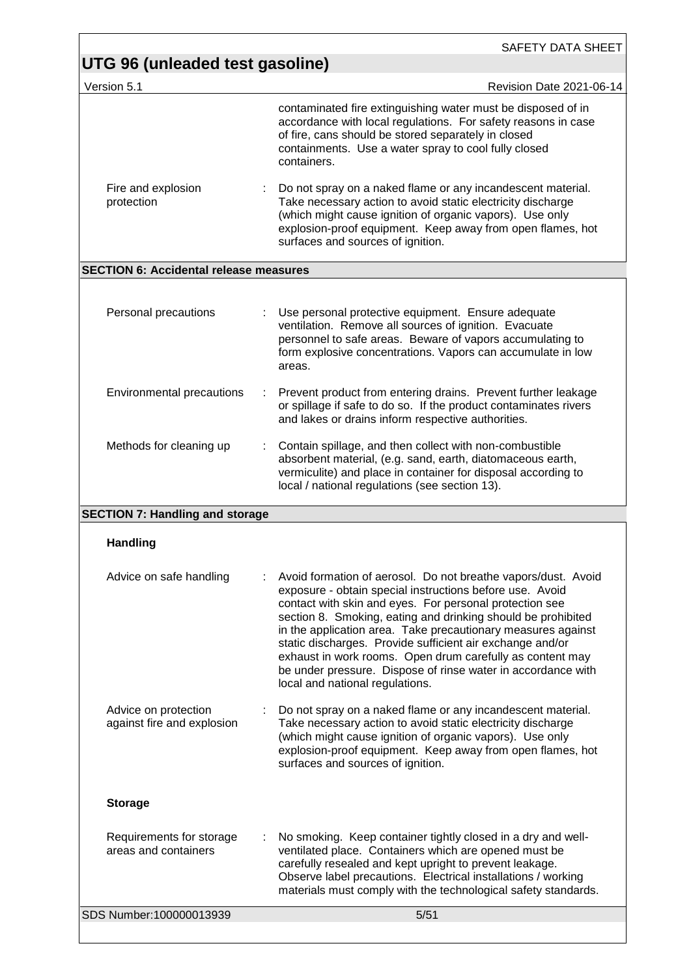| Revision Date 2021-06-14<br>contaminated fire extinguishing water must be disposed of in<br>accordance with local regulations. For safety reasons in case<br>of fire, cans should be stored separately in closed<br>containments. Use a water spray to cool fully closed<br>Do not spray on a naked flame or any incandescent material.<br>Take necessary action to avoid static electricity discharge<br>(which might cause ignition of organic vapors). Use only<br>explosion-proof equipment. Keep away from open flames, hot |
|----------------------------------------------------------------------------------------------------------------------------------------------------------------------------------------------------------------------------------------------------------------------------------------------------------------------------------------------------------------------------------------------------------------------------------------------------------------------------------------------------------------------------------|
|                                                                                                                                                                                                                                                                                                                                                                                                                                                                                                                                  |
|                                                                                                                                                                                                                                                                                                                                                                                                                                                                                                                                  |
|                                                                                                                                                                                                                                                                                                                                                                                                                                                                                                                                  |
|                                                                                                                                                                                                                                                                                                                                                                                                                                                                                                                                  |
|                                                                                                                                                                                                                                                                                                                                                                                                                                                                                                                                  |
| Use personal protective equipment. Ensure adequate<br>ventilation. Remove all sources of ignition. Evacuate<br>personnel to safe areas. Beware of vapors accumulating to<br>form explosive concentrations. Vapors can accumulate in low                                                                                                                                                                                                                                                                                          |
| Prevent product from entering drains. Prevent further leakage<br>or spillage if safe to do so. If the product contaminates rivers<br>and lakes or drains inform respective authorities.                                                                                                                                                                                                                                                                                                                                          |
| Contain spillage, and then collect with non-combustible<br>absorbent material, (e.g. sand, earth, diatomaceous earth,<br>vermiculite) and place in container for disposal according to<br>local / national regulations (see section 13).                                                                                                                                                                                                                                                                                         |
|                                                                                                                                                                                                                                                                                                                                                                                                                                                                                                                                  |
|                                                                                                                                                                                                                                                                                                                                                                                                                                                                                                                                  |
| Avoid formation of aerosol. Do not breathe vapors/dust. Avoid<br>exposure - obtain special instructions before use. Avoid<br>contact with skin and eyes. For personal protection see<br>section 8. Smoking, eating and drinking should be prohibited<br>in the application area. Take precautionary measures against<br>static discharges. Provide sufficient air exchange and/or<br>exhaust in work rooms. Open drum carefully as content may<br>be under pressure. Dispose of rinse water in accordance with                   |
| Do not spray on a naked flame or any incandescent material.<br>Take necessary action to avoid static electricity discharge<br>(which might cause ignition of organic vapors). Use only<br>explosion-proof equipment. Keep away from open flames, hot                                                                                                                                                                                                                                                                             |
|                                                                                                                                                                                                                                                                                                                                                                                                                                                                                                                                  |
| No smoking. Keep container tightly closed in a dry and well-<br>ventilated place. Containers which are opened must be<br>carefully resealed and kept upright to prevent leakage.                                                                                                                                                                                                                                                                                                                                                 |
| Observe label precautions. Electrical installations / working<br>materials must comply with the technological safety standards.                                                                                                                                                                                                                                                                                                                                                                                                  |
|                                                                                                                                                                                                                                                                                                                                                                                                                                                                                                                                  |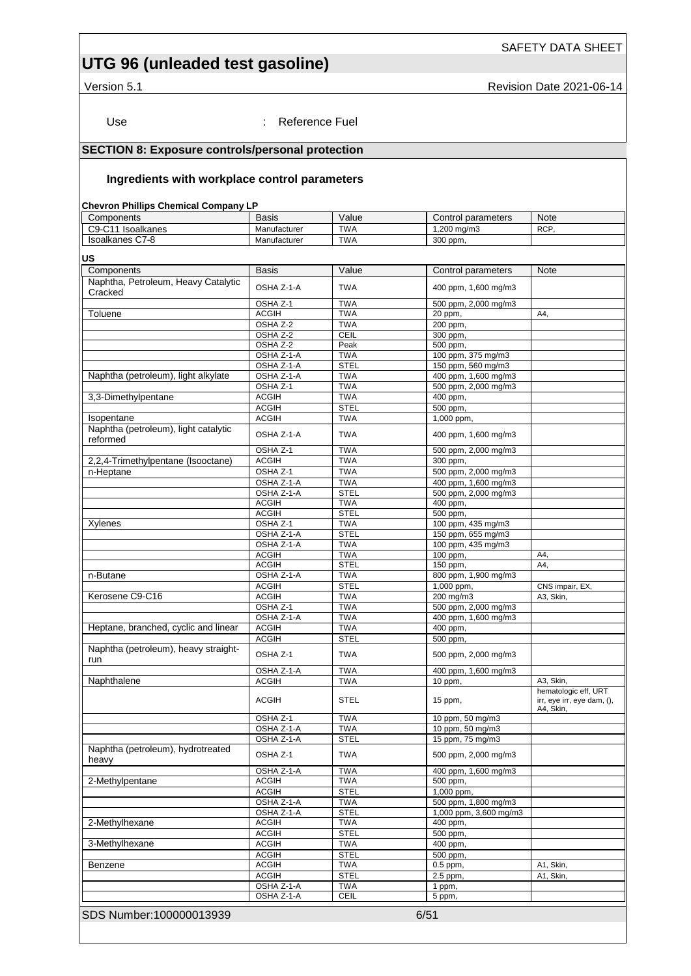# **UTG 96 (unleaded test gasoline)**

Version 5.1 **Version 5.1** Revision Date 2021-06-14

Use : Reference Fuel

#### **SECTION 8: Exposure controls/personal protection**

#### **Ingredients with workplace control parameters**

#### **Chevron Phillips Chemical Company LP**

| <b>Basis</b> | Value                                                                                                                                                                                                                                                                                                                                                                                                                    | Control parameters                                                                                                                                                                                                                                                                                                                                                                              | <b>Note</b>                                                                                                                                                                                                                                                                                                                                                                                                                                                                                                                                                                                                                                                                       |
|--------------|--------------------------------------------------------------------------------------------------------------------------------------------------------------------------------------------------------------------------------------------------------------------------------------------------------------------------------------------------------------------------------------------------------------------------|-------------------------------------------------------------------------------------------------------------------------------------------------------------------------------------------------------------------------------------------------------------------------------------------------------------------------------------------------------------------------------------------------|-----------------------------------------------------------------------------------------------------------------------------------------------------------------------------------------------------------------------------------------------------------------------------------------------------------------------------------------------------------------------------------------------------------------------------------------------------------------------------------------------------------------------------------------------------------------------------------------------------------------------------------------------------------------------------------|
| Manufacturer | <b>TWA</b>                                                                                                                                                                                                                                                                                                                                                                                                               | 1,200 mg/m3                                                                                                                                                                                                                                                                                                                                                                                     | RCP,                                                                                                                                                                                                                                                                                                                                                                                                                                                                                                                                                                                                                                                                              |
| Manufacturer | <b>TWA</b>                                                                                                                                                                                                                                                                                                                                                                                                               | 300 ppm.                                                                                                                                                                                                                                                                                                                                                                                        |                                                                                                                                                                                                                                                                                                                                                                                                                                                                                                                                                                                                                                                                                   |
|              |                                                                                                                                                                                                                                                                                                                                                                                                                          |                                                                                                                                                                                                                                                                                                                                                                                                 |                                                                                                                                                                                                                                                                                                                                                                                                                                                                                                                                                                                                                                                                                   |
|              |                                                                                                                                                                                                                                                                                                                                                                                                                          |                                                                                                                                                                                                                                                                                                                                                                                                 |                                                                                                                                                                                                                                                                                                                                                                                                                                                                                                                                                                                                                                                                                   |
| <b>Basis</b> | Value                                                                                                                                                                                                                                                                                                                                                                                                                    |                                                                                                                                                                                                                                                                                                                                                                                                 | Note                                                                                                                                                                                                                                                                                                                                                                                                                                                                                                                                                                                                                                                                              |
|              |                                                                                                                                                                                                                                                                                                                                                                                                                          |                                                                                                                                                                                                                                                                                                                                                                                                 |                                                                                                                                                                                                                                                                                                                                                                                                                                                                                                                                                                                                                                                                                   |
|              |                                                                                                                                                                                                                                                                                                                                                                                                                          |                                                                                                                                                                                                                                                                                                                                                                                                 |                                                                                                                                                                                                                                                                                                                                                                                                                                                                                                                                                                                                                                                                                   |
|              |                                                                                                                                                                                                                                                                                                                                                                                                                          |                                                                                                                                                                                                                                                                                                                                                                                                 |                                                                                                                                                                                                                                                                                                                                                                                                                                                                                                                                                                                                                                                                                   |
|              |                                                                                                                                                                                                                                                                                                                                                                                                                          |                                                                                                                                                                                                                                                                                                                                                                                                 | A4,                                                                                                                                                                                                                                                                                                                                                                                                                                                                                                                                                                                                                                                                               |
|              |                                                                                                                                                                                                                                                                                                                                                                                                                          |                                                                                                                                                                                                                                                                                                                                                                                                 |                                                                                                                                                                                                                                                                                                                                                                                                                                                                                                                                                                                                                                                                                   |
|              |                                                                                                                                                                                                                                                                                                                                                                                                                          |                                                                                                                                                                                                                                                                                                                                                                                                 |                                                                                                                                                                                                                                                                                                                                                                                                                                                                                                                                                                                                                                                                                   |
|              |                                                                                                                                                                                                                                                                                                                                                                                                                          |                                                                                                                                                                                                                                                                                                                                                                                                 |                                                                                                                                                                                                                                                                                                                                                                                                                                                                                                                                                                                                                                                                                   |
|              |                                                                                                                                                                                                                                                                                                                                                                                                                          |                                                                                                                                                                                                                                                                                                                                                                                                 |                                                                                                                                                                                                                                                                                                                                                                                                                                                                                                                                                                                                                                                                                   |
|              |                                                                                                                                                                                                                                                                                                                                                                                                                          |                                                                                                                                                                                                                                                                                                                                                                                                 |                                                                                                                                                                                                                                                                                                                                                                                                                                                                                                                                                                                                                                                                                   |
|              |                                                                                                                                                                                                                                                                                                                                                                                                                          |                                                                                                                                                                                                                                                                                                                                                                                                 |                                                                                                                                                                                                                                                                                                                                                                                                                                                                                                                                                                                                                                                                                   |
|              |                                                                                                                                                                                                                                                                                                                                                                                                                          |                                                                                                                                                                                                                                                                                                                                                                                                 |                                                                                                                                                                                                                                                                                                                                                                                                                                                                                                                                                                                                                                                                                   |
|              |                                                                                                                                                                                                                                                                                                                                                                                                                          |                                                                                                                                                                                                                                                                                                                                                                                                 |                                                                                                                                                                                                                                                                                                                                                                                                                                                                                                                                                                                                                                                                                   |
|              |                                                                                                                                                                                                                                                                                                                                                                                                                          |                                                                                                                                                                                                                                                                                                                                                                                                 |                                                                                                                                                                                                                                                                                                                                                                                                                                                                                                                                                                                                                                                                                   |
|              |                                                                                                                                                                                                                                                                                                                                                                                                                          |                                                                                                                                                                                                                                                                                                                                                                                                 |                                                                                                                                                                                                                                                                                                                                                                                                                                                                                                                                                                                                                                                                                   |
|              |                                                                                                                                                                                                                                                                                                                                                                                                                          |                                                                                                                                                                                                                                                                                                                                                                                                 |                                                                                                                                                                                                                                                                                                                                                                                                                                                                                                                                                                                                                                                                                   |
| OSHA Z-1-A   | <b>TWA</b>                                                                                                                                                                                                                                                                                                                                                                                                               | 400 ppm, 1,600 mg/m3                                                                                                                                                                                                                                                                                                                                                                            |                                                                                                                                                                                                                                                                                                                                                                                                                                                                                                                                                                                                                                                                                   |
|              |                                                                                                                                                                                                                                                                                                                                                                                                                          |                                                                                                                                                                                                                                                                                                                                                                                                 |                                                                                                                                                                                                                                                                                                                                                                                                                                                                                                                                                                                                                                                                                   |
|              |                                                                                                                                                                                                                                                                                                                                                                                                                          |                                                                                                                                                                                                                                                                                                                                                                                                 |                                                                                                                                                                                                                                                                                                                                                                                                                                                                                                                                                                                                                                                                                   |
|              |                                                                                                                                                                                                                                                                                                                                                                                                                          |                                                                                                                                                                                                                                                                                                                                                                                                 |                                                                                                                                                                                                                                                                                                                                                                                                                                                                                                                                                                                                                                                                                   |
|              |                                                                                                                                                                                                                                                                                                                                                                                                                          |                                                                                                                                                                                                                                                                                                                                                                                                 |                                                                                                                                                                                                                                                                                                                                                                                                                                                                                                                                                                                                                                                                                   |
|              | <b>TWA</b>                                                                                                                                                                                                                                                                                                                                                                                                               |                                                                                                                                                                                                                                                                                                                                                                                                 |                                                                                                                                                                                                                                                                                                                                                                                                                                                                                                                                                                                                                                                                                   |
|              |                                                                                                                                                                                                                                                                                                                                                                                                                          |                                                                                                                                                                                                                                                                                                                                                                                                 |                                                                                                                                                                                                                                                                                                                                                                                                                                                                                                                                                                                                                                                                                   |
| <b>ACGIH</b> | <b>TWA</b>                                                                                                                                                                                                                                                                                                                                                                                                               |                                                                                                                                                                                                                                                                                                                                                                                                 |                                                                                                                                                                                                                                                                                                                                                                                                                                                                                                                                                                                                                                                                                   |
|              |                                                                                                                                                                                                                                                                                                                                                                                                                          |                                                                                                                                                                                                                                                                                                                                                                                                 |                                                                                                                                                                                                                                                                                                                                                                                                                                                                                                                                                                                                                                                                                   |
|              | <b>TWA</b>                                                                                                                                                                                                                                                                                                                                                                                                               |                                                                                                                                                                                                                                                                                                                                                                                                 |                                                                                                                                                                                                                                                                                                                                                                                                                                                                                                                                                                                                                                                                                   |
| OSHA Z-1-A   |                                                                                                                                                                                                                                                                                                                                                                                                                          | 150 ppm, 655 mg/m3                                                                                                                                                                                                                                                                                                                                                                              |                                                                                                                                                                                                                                                                                                                                                                                                                                                                                                                                                                                                                                                                                   |
| OSHA Z-1-A   | <b>TWA</b>                                                                                                                                                                                                                                                                                                                                                                                                               |                                                                                                                                                                                                                                                                                                                                                                                                 |                                                                                                                                                                                                                                                                                                                                                                                                                                                                                                                                                                                                                                                                                   |
| <b>ACGIH</b> | <b>TWA</b>                                                                                                                                                                                                                                                                                                                                                                                                               | 100 ppm,                                                                                                                                                                                                                                                                                                                                                                                        | A4,                                                                                                                                                                                                                                                                                                                                                                                                                                                                                                                                                                                                                                                                               |
| <b>ACGIH</b> | <b>STEL</b>                                                                                                                                                                                                                                                                                                                                                                                                              | 150 ppm,                                                                                                                                                                                                                                                                                                                                                                                        | A4,                                                                                                                                                                                                                                                                                                                                                                                                                                                                                                                                                                                                                                                                               |
| OSHA Z-1-A   | <b>TWA</b>                                                                                                                                                                                                                                                                                                                                                                                                               | 800 ppm, 1,900 mg/m3                                                                                                                                                                                                                                                                                                                                                                            |                                                                                                                                                                                                                                                                                                                                                                                                                                                                                                                                                                                                                                                                                   |
| <b>ACGIH</b> | <b>STEL</b>                                                                                                                                                                                                                                                                                                                                                                                                              | 1,000 ppm,                                                                                                                                                                                                                                                                                                                                                                                      | CNS impair, EX,                                                                                                                                                                                                                                                                                                                                                                                                                                                                                                                                                                                                                                                                   |
| <b>ACGIH</b> | <b>TWA</b>                                                                                                                                                                                                                                                                                                                                                                                                               | 200 mg/m3                                                                                                                                                                                                                                                                                                                                                                                       | A3, Skin,                                                                                                                                                                                                                                                                                                                                                                                                                                                                                                                                                                                                                                                                         |
| OSHA Z-1     | <b>TWA</b>                                                                                                                                                                                                                                                                                                                                                                                                               |                                                                                                                                                                                                                                                                                                                                                                                                 |                                                                                                                                                                                                                                                                                                                                                                                                                                                                                                                                                                                                                                                                                   |
| OSHA Z-1-A   | <b>TWA</b>                                                                                                                                                                                                                                                                                                                                                                                                               |                                                                                                                                                                                                                                                                                                                                                                                                 |                                                                                                                                                                                                                                                                                                                                                                                                                                                                                                                                                                                                                                                                                   |
|              |                                                                                                                                                                                                                                                                                                                                                                                                                          |                                                                                                                                                                                                                                                                                                                                                                                                 |                                                                                                                                                                                                                                                                                                                                                                                                                                                                                                                                                                                                                                                                                   |
|              |                                                                                                                                                                                                                                                                                                                                                                                                                          |                                                                                                                                                                                                                                                                                                                                                                                                 |                                                                                                                                                                                                                                                                                                                                                                                                                                                                                                                                                                                                                                                                                   |
|              |                                                                                                                                                                                                                                                                                                                                                                                                                          |                                                                                                                                                                                                                                                                                                                                                                                                 |                                                                                                                                                                                                                                                                                                                                                                                                                                                                                                                                                                                                                                                                                   |
|              |                                                                                                                                                                                                                                                                                                                                                                                                                          |                                                                                                                                                                                                                                                                                                                                                                                                 |                                                                                                                                                                                                                                                                                                                                                                                                                                                                                                                                                                                                                                                                                   |
|              |                                                                                                                                                                                                                                                                                                                                                                                                                          |                                                                                                                                                                                                                                                                                                                                                                                                 |                                                                                                                                                                                                                                                                                                                                                                                                                                                                                                                                                                                                                                                                                   |
|              |                                                                                                                                                                                                                                                                                                                                                                                                                          |                                                                                                                                                                                                                                                                                                                                                                                                 | A3, Skin,                                                                                                                                                                                                                                                                                                                                                                                                                                                                                                                                                                                                                                                                         |
|              |                                                                                                                                                                                                                                                                                                                                                                                                                          |                                                                                                                                                                                                                                                                                                                                                                                                 | hematologic eff, URT                                                                                                                                                                                                                                                                                                                                                                                                                                                                                                                                                                                                                                                              |
|              |                                                                                                                                                                                                                                                                                                                                                                                                                          |                                                                                                                                                                                                                                                                                                                                                                                                 | irr, eye irr, eye dam, (),                                                                                                                                                                                                                                                                                                                                                                                                                                                                                                                                                                                                                                                        |
|              |                                                                                                                                                                                                                                                                                                                                                                                                                          |                                                                                                                                                                                                                                                                                                                                                                                                 | A4, Skin,                                                                                                                                                                                                                                                                                                                                                                                                                                                                                                                                                                                                                                                                         |
|              |                                                                                                                                                                                                                                                                                                                                                                                                                          |                                                                                                                                                                                                                                                                                                                                                                                                 |                                                                                                                                                                                                                                                                                                                                                                                                                                                                                                                                                                                                                                                                                   |
| OSHA Z-1-A   | <b>TWA</b>                                                                                                                                                                                                                                                                                                                                                                                                               |                                                                                                                                                                                                                                                                                                                                                                                                 |                                                                                                                                                                                                                                                                                                                                                                                                                                                                                                                                                                                                                                                                                   |
| OSHA Z-1-A   | <b>STEL</b>                                                                                                                                                                                                                                                                                                                                                                                                              |                                                                                                                                                                                                                                                                                                                                                                                                 |                                                                                                                                                                                                                                                                                                                                                                                                                                                                                                                                                                                                                                                                                   |
| OSHA Z-1     | <b>TWA</b>                                                                                                                                                                                                                                                                                                                                                                                                               | 500 ppm, 2,000 mg/m3                                                                                                                                                                                                                                                                                                                                                                            |                                                                                                                                                                                                                                                                                                                                                                                                                                                                                                                                                                                                                                                                                   |
|              |                                                                                                                                                                                                                                                                                                                                                                                                                          |                                                                                                                                                                                                                                                                                                                                                                                                 |                                                                                                                                                                                                                                                                                                                                                                                                                                                                                                                                                                                                                                                                                   |
|              |                                                                                                                                                                                                                                                                                                                                                                                                                          |                                                                                                                                                                                                                                                                                                                                                                                                 |                                                                                                                                                                                                                                                                                                                                                                                                                                                                                                                                                                                                                                                                                   |
| <b>ACGIH</b> | <b>STEL</b>                                                                                                                                                                                                                                                                                                                                                                                                              | 1,000 ppm,                                                                                                                                                                                                                                                                                                                                                                                      |                                                                                                                                                                                                                                                                                                                                                                                                                                                                                                                                                                                                                                                                                   |
| OSHA Z-1-A   | <b>TWA</b>                                                                                                                                                                                                                                                                                                                                                                                                               | 500 ppm, 1,800 mg/m3                                                                                                                                                                                                                                                                                                                                                                            |                                                                                                                                                                                                                                                                                                                                                                                                                                                                                                                                                                                                                                                                                   |
| OSHA Z-1-A   | <b>STEL</b>                                                                                                                                                                                                                                                                                                                                                                                                              | 1,000 ppm, 3,600 mg/m3                                                                                                                                                                                                                                                                                                                                                                          |                                                                                                                                                                                                                                                                                                                                                                                                                                                                                                                                                                                                                                                                                   |
|              |                                                                                                                                                                                                                                                                                                                                                                                                                          | 400 ppm,                                                                                                                                                                                                                                                                                                                                                                                        |                                                                                                                                                                                                                                                                                                                                                                                                                                                                                                                                                                                                                                                                                   |
|              |                                                                                                                                                                                                                                                                                                                                                                                                                          |                                                                                                                                                                                                                                                                                                                                                                                                 |                                                                                                                                                                                                                                                                                                                                                                                                                                                                                                                                                                                                                                                                                   |
| <b>ACGIH</b> | <b>TWA</b>                                                                                                                                                                                                                                                                                                                                                                                                               |                                                                                                                                                                                                                                                                                                                                                                                                 |                                                                                                                                                                                                                                                                                                                                                                                                                                                                                                                                                                                                                                                                                   |
| <b>ACGIH</b> | <b>STEL</b>                                                                                                                                                                                                                                                                                                                                                                                                              | 500 ppm,                                                                                                                                                                                                                                                                                                                                                                                        |                                                                                                                                                                                                                                                                                                                                                                                                                                                                                                                                                                                                                                                                                   |
| <b>ACGIH</b> | <b>TWA</b>                                                                                                                                                                                                                                                                                                                                                                                                               | 400 ppm,                                                                                                                                                                                                                                                                                                                                                                                        |                                                                                                                                                                                                                                                                                                                                                                                                                                                                                                                                                                                                                                                                                   |
| <b>ACGIH</b> | <b>STEL</b>                                                                                                                                                                                                                                                                                                                                                                                                              | 500 ppm,                                                                                                                                                                                                                                                                                                                                                                                        |                                                                                                                                                                                                                                                                                                                                                                                                                                                                                                                                                                                                                                                                                   |
| <b>ACGIH</b> | <b>TWA</b>                                                                                                                                                                                                                                                                                                                                                                                                               | 0.5 ppm,                                                                                                                                                                                                                                                                                                                                                                                        | A1, Skin,                                                                                                                                                                                                                                                                                                                                                                                                                                                                                                                                                                                                                                                                         |
| <b>ACGIH</b> | <b>STEL</b>                                                                                                                                                                                                                                                                                                                                                                                                              | 2.5 ppm,                                                                                                                                                                                                                                                                                                                                                                                        | A1, Skin,                                                                                                                                                                                                                                                                                                                                                                                                                                                                                                                                                                                                                                                                         |
| OSHA Z-1-A   | <b>TWA</b>                                                                                                                                                                                                                                                                                                                                                                                                               | 1 ppm,                                                                                                                                                                                                                                                                                                                                                                                          |                                                                                                                                                                                                                                                                                                                                                                                                                                                                                                                                                                                                                                                                                   |
| OSHA Z-1-A   | CEIL                                                                                                                                                                                                                                                                                                                                                                                                                     | 5 ppm,                                                                                                                                                                                                                                                                                                                                                                                          |                                                                                                                                                                                                                                                                                                                                                                                                                                                                                                                                                                                                                                                                                   |
|              | OSHA Z-1-A<br>OSHA Z-1<br><b>ACGIH</b><br>OSHA Z-2<br>OSHA Z-2<br>OSHA Z-2<br>OSHA Z-1-A<br>OSHA Z-1-A<br>OSHA Z-1-A<br>OSHA Z-1<br><b>ACGIH</b><br><b>ACGIH</b><br><b>ACGIH</b><br>OSHA Z-1<br><b>ACGIH</b><br>OSHA Z-1<br>OSHA Z-1-A<br>OSHA Z-1-A<br><b>ACGIH</b><br>OSHA <sub>Z-1</sub><br>ACGIH<br><b>ACGIH</b><br>OSHA Z-1<br>OSHA Z-1-A<br><b>ACGIH</b><br><b>ACGIH</b><br>OSHA Z-1<br>OSHA Z-1-A<br><b>ACGIH</b> | <b>TWA</b><br><b>TWA</b><br><b>TWA</b><br><b>TWA</b><br>CEIL<br>Peak<br><b>TWA</b><br><b>STEL</b><br><b>TWA</b><br><b>TWA</b><br><b>TWA</b><br><b>STEL</b><br><b>TWA</b><br><b>TWA</b><br><b>TWA</b><br><b>TWA</b><br><b>STEL</b><br><b>STEL</b><br><b>STEL</b><br><b>TWA</b><br><b>STEL</b><br><b>TWA</b><br><b>TWA</b><br><b>TWA</b><br><b>STEL</b><br><b>TWA</b><br><b>TWA</b><br><b>TWA</b> | Control parameters<br>400 ppm, 1,600 mg/m3<br>500 ppm, 2,000 mg/m3<br>20 ppm,<br>200 ppm,<br>300 ppm,<br>500 ppm,<br>100 ppm, 375 mg/m3<br>150 ppm, 560 mg/m3<br>400 ppm, 1,600 mg/m3<br>500 ppm, 2,000 mg/m3<br>400 ppm,<br>500 ppm,<br>1,000 ppm,<br>500 ppm, 2,000 mg/m3<br>300 ppm,<br>500 ppm, 2,000 mg/m3<br>400 ppm, 1,600 mg/m3<br>500 ppm, 2,000 mg/m3<br>400 ppm,<br>500 ppm,<br>100 ppm, 435 mg/m3<br>100 ppm, 435 mg/m3<br>500 ppm, 2,000 mg/m3<br>400 ppm, 1,600 mg/m3<br>400 ppm,<br>500 ppm,<br>500 ppm, 2,000 mg/m3<br>400 ppm, 1,600 mg/m3<br>10 ppm,<br>15 ppm,<br>10 ppm, 50 mg/m3<br>10 ppm, 50 mg/m3<br>15 ppm, 75 mg/m3<br>400 ppm, 1,600 mg/m3<br>500 ppm, |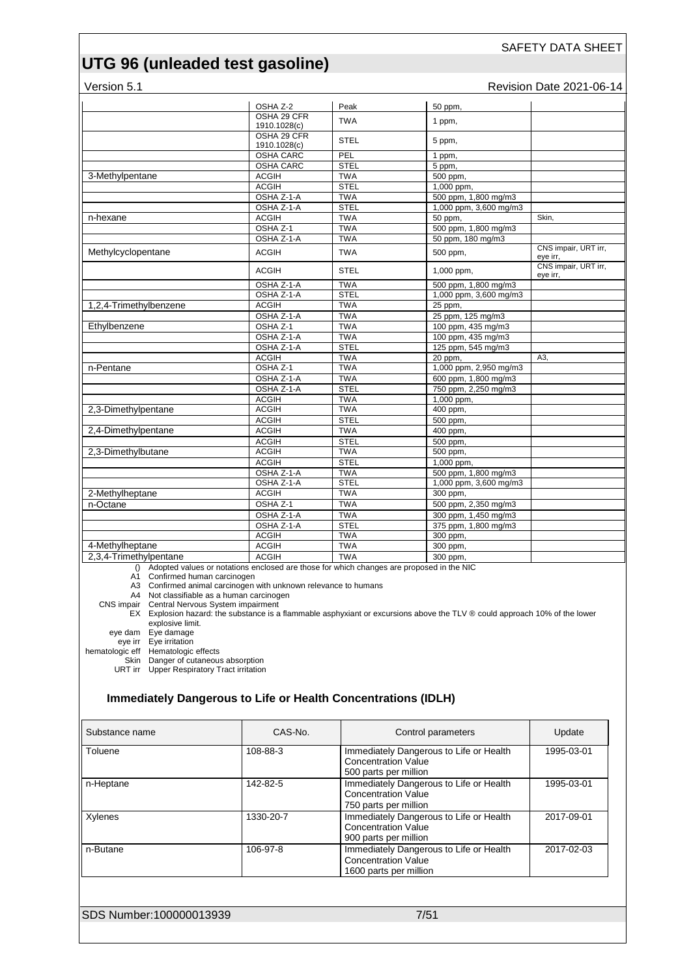Version 5.1 **Version 5.1** Revision Date 2021-06-14

|                                                                                             | OSHA Z-2                    | Peak        | 50 ppm,                |                                  |
|---------------------------------------------------------------------------------------------|-----------------------------|-------------|------------------------|----------------------------------|
|                                                                                             | OSHA 29 CFR<br>1910.1028(c) | <b>TWA</b>  | 1 ppm,                 |                                  |
|                                                                                             | OSHA 29 CFR<br>1910.1028(c) | <b>STEL</b> | 5 ppm,                 |                                  |
|                                                                                             | <b>OSHA CARC</b>            | PEL         | 1 ppm,                 |                                  |
|                                                                                             | <b>OSHA CARC</b>            | <b>STEL</b> | 5 ppm,                 |                                  |
| 3-Methylpentane                                                                             | <b>ACGIH</b>                | <b>TWA</b>  | 500 ppm,               |                                  |
|                                                                                             | <b>ACGIH</b>                | <b>STEL</b> | 1.000 ppm.             |                                  |
|                                                                                             | OSHA Z-1-A                  | <b>TWA</b>  | 500 ppm, 1,800 mg/m3   |                                  |
|                                                                                             | OSHA Z-1-A                  | <b>STEL</b> | 1,000 ppm, 3,600 mg/m3 |                                  |
| n-hexane                                                                                    | <b>ACGIH</b>                | <b>TWA</b>  | 50 ppm,                | Skin.                            |
|                                                                                             | OSHA Z-1                    | <b>TWA</b>  | 500 ppm, 1,800 mg/m3   |                                  |
|                                                                                             | OSHA Z-1-A                  | <b>TWA</b>  | 50 ppm, 180 mg/m3      |                                  |
| Methylcyclopentane                                                                          | <b>ACGIH</b>                | <b>TWA</b>  | 500 ppm,               | CNS impair, URT irr,<br>eye irr, |
|                                                                                             | <b>ACGIH</b>                | <b>STEL</b> | 1,000 ppm,             | CNS impair, URT irr,<br>eye irr, |
|                                                                                             | OSHA Z-1-A                  | <b>TWA</b>  | 500 ppm, 1,800 mg/m3   |                                  |
|                                                                                             | OSHA Z-1-A                  | <b>STEL</b> | 1,000 ppm, 3,600 mg/m3 |                                  |
| 1,2,4-Trimethylbenzene                                                                      | <b>ACGIH</b>                | <b>TWA</b>  | 25 ppm,                |                                  |
|                                                                                             | OSHA Z-1-A                  | <b>TWA</b>  | 25 ppm, 125 mg/m3      |                                  |
| Ethylbenzene                                                                                | OSHA <sub>Z-1</sub>         | <b>TWA</b>  | 100 ppm, 435 mg/m3     |                                  |
|                                                                                             | OSHA Z-1-A                  | <b>TWA</b>  | 100 ppm, 435 mg/m3     |                                  |
|                                                                                             | OSHA Z-1-A                  | <b>STEL</b> | 125 ppm, 545 mg/m3     |                                  |
|                                                                                             | <b>ACGIH</b>                | <b>TWA</b>  | 20 ppm,                | A3,                              |
| n-Pentane                                                                                   | OSHA Z-1                    | <b>TWA</b>  | 1,000 ppm, 2,950 mg/m3 |                                  |
|                                                                                             | OSHA Z-1-A                  | <b>TWA</b>  | 600 ppm, 1,800 mg/m3   |                                  |
|                                                                                             | OSHA Z-1-A                  | <b>STEL</b> | 750 ppm, 2,250 mg/m3   |                                  |
|                                                                                             | <b>ACGIH</b>                | <b>TWA</b>  | 1,000 ppm,             |                                  |
| 2,3-Dimethylpentane                                                                         | <b>ACGIH</b>                | <b>TWA</b>  | 400 ppm,               |                                  |
|                                                                                             | <b>ACGIH</b>                | <b>STEL</b> |                        |                                  |
|                                                                                             | <b>ACGIH</b>                | <b>TWA</b>  | 500 ppm,               |                                  |
| 2,4-Dimethylpentane                                                                         |                             |             | 400 ppm,               |                                  |
|                                                                                             | <b>ACGIH</b>                | <b>STEL</b> | 500 ppm,               |                                  |
| 2,3-Dimethylbutane                                                                          | <b>ACGIH</b>                | <b>TWA</b>  | 500 ppm,               |                                  |
|                                                                                             | <b>ACGIH</b>                | <b>STEL</b> | 1,000 ppm,             |                                  |
|                                                                                             | OSHA Z-1-A                  | <b>TWA</b>  | 500 ppm, 1,800 mg/m3   |                                  |
|                                                                                             | OSHA Z-1-A                  | <b>STEL</b> | 1,000 ppm, 3,600 mg/m3 |                                  |
| 2-Methylheptane                                                                             | <b>ACGIH</b>                | <b>TWA</b>  | 300 ppm,               |                                  |
| n-Octane                                                                                    | OSHA <sub>Z-1</sub>         | <b>TWA</b>  | 500 ppm, 2,350 mg/m3   |                                  |
|                                                                                             | OSHA Z-1-A                  | <b>TWA</b>  | 300 ppm, 1,450 mg/m3   |                                  |
|                                                                                             | OSHA Z-1-A                  | <b>STEL</b> | 375 ppm, 1,800 mg/m3   |                                  |
|                                                                                             | <b>ACGIH</b>                | <b>TWA</b>  | 300 ppm,               |                                  |
| 4-Methylheptane                                                                             | <b>ACGIH</b>                | <b>TWA</b>  | 300 ppm,               |                                  |
| 2,3,4-Trimethylpentane                                                                      | <b>ACGIH</b>                | <b>TWA</b>  | 300 ppm,               |                                  |
| () Adopted values or notations enclosed are those for which changes are proposed in the NIC |                             |             |                        |                                  |

A1 Confirmed human carcinogen

A3 Confirmed animal carcinogen with unknown relevance to humans

A4 Not classifiable as a human carcinogen

CNS impair Central Nervous System impairment

EX Explosion hazard: the substance is a flammable asphyxiant or excursions above the TLV ® could approach 10% of the lower explosive limit.

eye dam Eye damage

eye irr Eye irritation

hematologic eff Hematologic effects

Skin Danger of cutaneous absorption

URT irr Upper Respiratory Tract irritation

#### **Immediately Dangerous to Life or Health Concentrations (IDLH)**

| Substance name          | CAS-No.   | Control parameters                                                                              | Update     |
|-------------------------|-----------|-------------------------------------------------------------------------------------------------|------------|
| Toluene                 | 108-88-3  | Immediately Dangerous to Life or Health<br><b>Concentration Value</b><br>500 parts per million  | 1995-03-01 |
| n-Heptane               | 142-82-5  | Immediately Dangerous to Life or Health<br><b>Concentration Value</b><br>750 parts per million  | 1995-03-01 |
| Xylenes                 | 1330-20-7 | Immediately Dangerous to Life or Health<br><b>Concentration Value</b><br>900 parts per million  | 2017-09-01 |
| n-Butane                | 106-97-8  | Immediately Dangerous to Life or Health<br><b>Concentration Value</b><br>1600 parts per million | 2017-02-03 |
|                         |           |                                                                                                 |            |
| SDS Number:100000013939 |           | 7/51                                                                                            |            |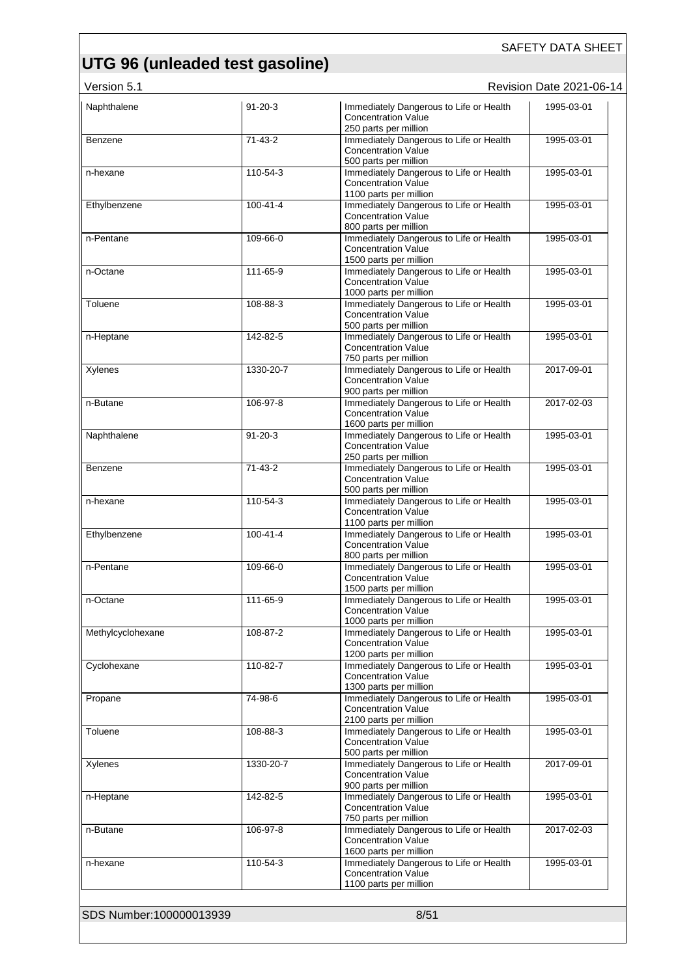Version 5.1 **New Search 2021-06-14** Revision Date 2021-06-14

| Naphthalene             | $91 - 20 - 3$  | Immediately Dangerous to Life or Health<br><b>Concentration Value</b><br>250 parts per million  | 1995-03-01 |
|-------------------------|----------------|-------------------------------------------------------------------------------------------------|------------|
| Benzene                 | $71 - 43 - 2$  | Immediately Dangerous to Life or Health<br><b>Concentration Value</b><br>500 parts per million  | 1995-03-01 |
| n-hexane                | 110-54-3       | Immediately Dangerous to Life or Health<br><b>Concentration Value</b><br>1100 parts per million | 1995-03-01 |
| Ethylbenzene            | $100 - 41 - 4$ | Immediately Dangerous to Life or Health<br><b>Concentration Value</b><br>800 parts per million  | 1995-03-01 |
| n-Pentane               | 109-66-0       | Immediately Dangerous to Life or Health<br><b>Concentration Value</b><br>1500 parts per million | 1995-03-01 |
| n-Octane                | 111-65-9       | Immediately Dangerous to Life or Health<br><b>Concentration Value</b><br>1000 parts per million | 1995-03-01 |
| Toluene                 | 108-88-3       | Immediately Dangerous to Life or Health<br><b>Concentration Value</b><br>500 parts per million  | 1995-03-01 |
| n-Heptane               | 142-82-5       | Immediately Dangerous to Life or Health<br><b>Concentration Value</b><br>750 parts per million  | 1995-03-01 |
| Xylenes                 | 1330-20-7      | Immediately Dangerous to Life or Health<br><b>Concentration Value</b><br>900 parts per million  | 2017-09-01 |
| n-Butane                | 106-97-8       | Immediately Dangerous to Life or Health<br><b>Concentration Value</b><br>1600 parts per million | 2017-02-03 |
| Naphthalene             | $91 - 20 - 3$  | Immediately Dangerous to Life or Health<br><b>Concentration Value</b><br>250 parts per million  | 1995-03-01 |
| Benzene                 | $71-43-2$      | Immediately Dangerous to Life or Health<br><b>Concentration Value</b><br>500 parts per million  | 1995-03-01 |
| n-hexane                | 110-54-3       | Immediately Dangerous to Life or Health<br><b>Concentration Value</b><br>1100 parts per million | 1995-03-01 |
| Ethylbenzene            | $100 - 41 - 4$ | Immediately Dangerous to Life or Health<br><b>Concentration Value</b><br>800 parts per million  | 1995-03-01 |
| n-Pentane               | 109-66-0       | Immediately Dangerous to Life or Health<br><b>Concentration Value</b><br>1500 parts per million | 1995-03-01 |
| n-Octane                | 111-65-9       | Immediately Dangerous to Life or Health<br><b>Concentration Value</b><br>1000 parts per million | 1995-03-01 |
| Methylcyclohexane       | 108-87-2       | Immediately Dangerous to Life or Health<br><b>Concentration Value</b><br>1200 parts per million | 1995-03-01 |
| Cyclohexane             | 110-82-7       | Immediately Dangerous to Life or Health<br><b>Concentration Value</b><br>1300 parts per million | 1995-03-01 |
| Propane                 | 74-98-6        | Immediately Dangerous to Life or Health<br><b>Concentration Value</b><br>2100 parts per million | 1995-03-01 |
| Toluene                 | 108-88-3       | Immediately Dangerous to Life or Health<br><b>Concentration Value</b><br>500 parts per million  | 1995-03-01 |
| Xylenes                 | 1330-20-7      | Immediately Dangerous to Life or Health<br><b>Concentration Value</b><br>900 parts per million  | 2017-09-01 |
| n-Heptane               | 142-82-5       | Immediately Dangerous to Life or Health<br><b>Concentration Value</b><br>750 parts per million  | 1995-03-01 |
| n-Butane                | 106-97-8       | Immediately Dangerous to Life or Health<br><b>Concentration Value</b><br>1600 parts per million | 2017-02-03 |
| n-hexane                | 110-54-3       | Immediately Dangerous to Life or Health<br><b>Concentration Value</b><br>1100 parts per million | 1995-03-01 |
| SDS Number:100000013939 |                | 8/51                                                                                            |            |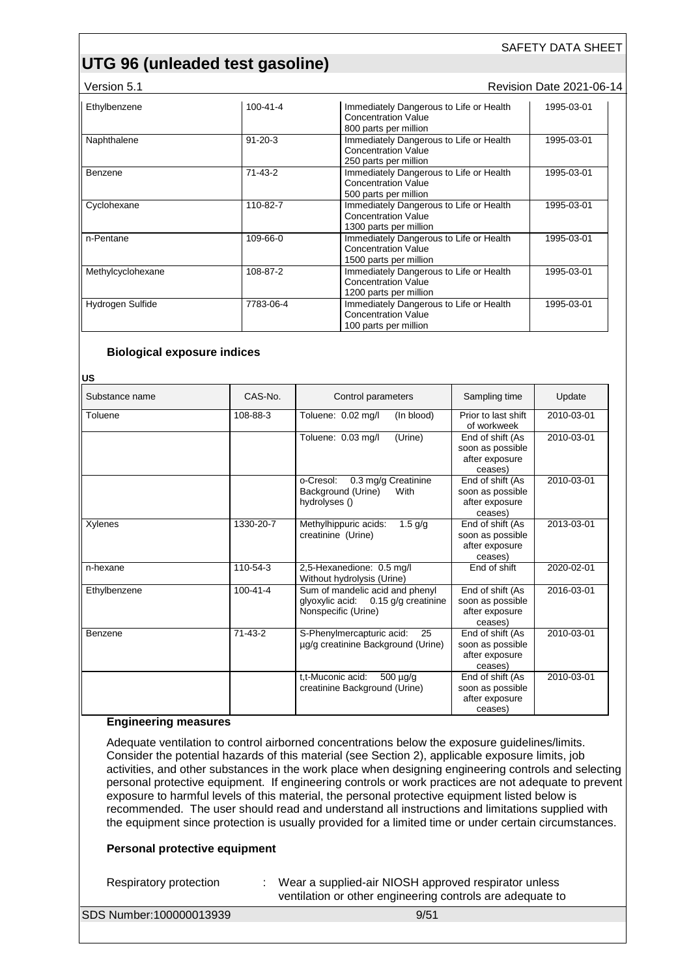#### Version 5.1 **New Search 2021-06-14** Revision Date 2021-06-14

| Ethylbenzene      | 100-41-4      | Immediately Dangerous to Life or Health<br><b>Concentration Value</b><br>800 parts per million  | 1995-03-01 |
|-------------------|---------------|-------------------------------------------------------------------------------------------------|------------|
| Naphthalene       | $91 - 20 - 3$ | Immediately Dangerous to Life or Health<br><b>Concentration Value</b><br>250 parts per million  | 1995-03-01 |
| Benzene           | 71-43-2       | Immediately Dangerous to Life or Health<br><b>Concentration Value</b><br>500 parts per million  | 1995-03-01 |
| Cyclohexane       | 110-82-7      | Immediately Dangerous to Life or Health<br><b>Concentration Value</b><br>1300 parts per million | 1995-03-01 |
| n-Pentane         | 109-66-0      | Immediately Dangerous to Life or Health<br><b>Concentration Value</b><br>1500 parts per million | 1995-03-01 |
| Methylcyclohexane | 108-87-2      | Immediately Dangerous to Life or Health<br><b>Concentration Value</b><br>1200 parts per million | 1995-03-01 |
| Hydrogen Sulfide  | 7783-06-4     | Immediately Dangerous to Life or Health<br><b>Concentration Value</b><br>100 parts per million  | 1995-03-01 |

#### **Biological exposure indices**

**US**

| Substance name | CAS-No.        | Control parameters                                                                               | Sampling time                                                     | Update     |
|----------------|----------------|--------------------------------------------------------------------------------------------------|-------------------------------------------------------------------|------------|
| Toluene        | 108-88-3       | (In blood)<br>Toluene: 0.02 mg/l                                                                 | Prior to last shift<br>of workweek                                | 2010-03-01 |
|                |                | (Urine)<br>Toluene: 0.03 mg/l                                                                    | End of shift (As<br>soon as possible<br>after exposure<br>ceases) | 2010-03-01 |
|                |                | o-Cresol:<br>0.3 mg/g Creatinine<br>Background (Urine)<br>With<br>hydrolyses ()                  | End of shift (As<br>soon as possible<br>after exposure<br>ceases) | 2010-03-01 |
| Xylenes        | 1330-20-7      | Methylhippuric acids:<br>$1.5$ g/g<br>creatinine (Urine)                                         | End of shift (As<br>soon as possible<br>after exposure<br>ceases) | 2013-03-01 |
| n-hexane       | 110-54-3       | 2,5-Hexanedione: 0.5 mg/l<br>Without hydrolysis (Urine)                                          | End of shift                                                      | 2020-02-01 |
| Ethylbenzene   | $100 - 41 - 4$ | Sum of mandelic acid and phenyl<br>glyoxylic acid:<br>0.15 g/g creatinine<br>Nonspecific (Urine) | End of shift (As<br>soon as possible<br>after exposure<br>ceases) | 2016-03-01 |
| Benzene        | $71-43-2$      | S-Phenylmercapturic acid:<br>25<br>µg/g creatinine Background (Urine)                            | End of shift (As<br>soon as possible<br>after exposure<br>ceases) | 2010-03-01 |
|                |                | t.t-Muconic acid:<br>$500 \mu g/g$<br>creatinine Background (Urine)                              | End of shift (As<br>soon as possible<br>after exposure<br>ceases) | 2010-03-01 |

#### **Engineering measures**

Adequate ventilation to control airborned concentrations below the exposure guidelines/limits. Consider the potential hazards of this material (see Section 2), applicable exposure limits, job activities, and other substances in the work place when designing engineering controls and selecting personal protective equipment. If engineering controls or work practices are not adequate to prevent exposure to harmful levels of this material, the personal protective equipment listed below is recommended. The user should read and understand all instructions and limitations supplied with the equipment since protection is usually provided for a limited time or under certain circumstances.

#### **Personal protective equipment**

Respiratory protection : Wear a supplied-air NIOSH approved respirator unless ventilation or other engineering controls are adequate to

SDS Number:100000013939 9/51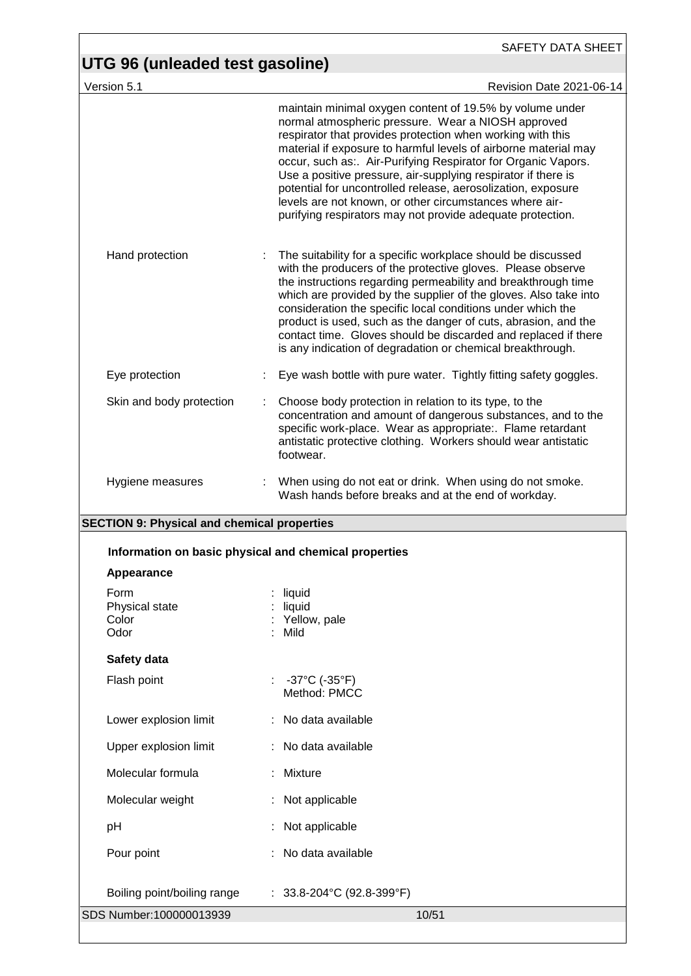| UTG 96 (unleaded test gasoline)                       | <b>SAFETY DATA SHEET</b>                                                                                                                                                                                                                                                                                                                                                                                                                                                                                                                                                  |
|-------------------------------------------------------|---------------------------------------------------------------------------------------------------------------------------------------------------------------------------------------------------------------------------------------------------------------------------------------------------------------------------------------------------------------------------------------------------------------------------------------------------------------------------------------------------------------------------------------------------------------------------|
| Version 5.1                                           | Revision Date 2021-06-14                                                                                                                                                                                                                                                                                                                                                                                                                                                                                                                                                  |
|                                                       | maintain minimal oxygen content of 19.5% by volume under<br>normal atmospheric pressure. Wear a NIOSH approved<br>respirator that provides protection when working with this<br>material if exposure to harmful levels of airborne material may<br>occur, such as: Air-Purifying Respirator for Organic Vapors.<br>Use a positive pressure, air-supplying respirator if there is<br>potential for uncontrolled release, aerosolization, exposure<br>levels are not known, or other circumstances where air-<br>purifying respirators may not provide adequate protection. |
| Hand protection                                       | The suitability for a specific workplace should be discussed<br>with the producers of the protective gloves. Please observe<br>the instructions regarding permeability and breakthrough time<br>which are provided by the supplier of the gloves. Also take into<br>consideration the specific local conditions under which the<br>product is used, such as the danger of cuts, abrasion, and the<br>contact time. Gloves should be discarded and replaced if there<br>is any indication of degradation or chemical breakthrough.                                         |
| Eye protection                                        | Eye wash bottle with pure water. Tightly fitting safety goggles.                                                                                                                                                                                                                                                                                                                                                                                                                                                                                                          |
| Skin and body protection                              | Choose body protection in relation to its type, to the<br>concentration and amount of dangerous substances, and to the<br>specific work-place. Wear as appropriate:. Flame retardant<br>antistatic protective clothing. Workers should wear antistatic<br>footwear.                                                                                                                                                                                                                                                                                                       |
| Hygiene measures                                      | When using do not eat or drink. When using do not smoke.<br>Wash hands before breaks and at the end of workday.                                                                                                                                                                                                                                                                                                                                                                                                                                                           |
| <b>SECTION 9: Physical and chemical properties</b>    |                                                                                                                                                                                                                                                                                                                                                                                                                                                                                                                                                                           |
| Information on basic physical and chemical properties |                                                                                                                                                                                                                                                                                                                                                                                                                                                                                                                                                                           |
| Appearance                                            |                                                                                                                                                                                                                                                                                                                                                                                                                                                                                                                                                                           |
| Form<br>Physical state<br>Color<br>Odor               | liquid<br>liquid<br>Yellow, pale<br>: Mild                                                                                                                                                                                                                                                                                                                                                                                                                                                                                                                                |
| Safety data                                           |                                                                                                                                                                                                                                                                                                                                                                                                                                                                                                                                                                           |
| Flash point                                           | $-37^{\circ}$ C (-35 $^{\circ}$ F)<br>Method: PMCC                                                                                                                                                                                                                                                                                                                                                                                                                                                                                                                        |
| Lower explosion limit                                 | : No data available                                                                                                                                                                                                                                                                                                                                                                                                                                                                                                                                                       |
| Upper explosion limit                                 | : No data available                                                                                                                                                                                                                                                                                                                                                                                                                                                                                                                                                       |
| Molecular formula                                     | : Mixture                                                                                                                                                                                                                                                                                                                                                                                                                                                                                                                                                                 |
| Molecular weight                                      | : Not applicable                                                                                                                                                                                                                                                                                                                                                                                                                                                                                                                                                          |
| pH                                                    | Not applicable                                                                                                                                                                                                                                                                                                                                                                                                                                                                                                                                                            |
| Pour point                                            | : No data available                                                                                                                                                                                                                                                                                                                                                                                                                                                                                                                                                       |
| Boiling point/boiling range                           | : $33.8 - 204$ °C (92.8-399°F)                                                                                                                                                                                                                                                                                                                                                                                                                                                                                                                                            |
| SDS Number:100000013939                               | 10/51                                                                                                                                                                                                                                                                                                                                                                                                                                                                                                                                                                     |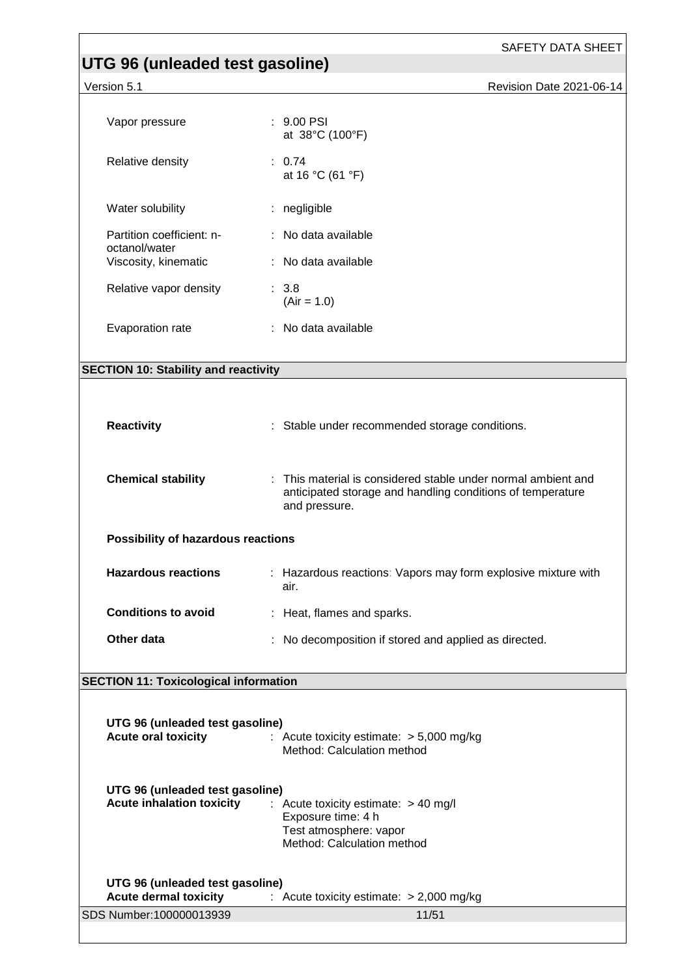# **UTG 96 (unleaded test gasoline)**

Version 5.1 **Version 5.1** Revision Date 2021-06-14

| Vapor pressure                                                      | $: 9.00$ PSI<br>at 38°C (100°F)                                                                                                              |  |
|---------------------------------------------------------------------|----------------------------------------------------------------------------------------------------------------------------------------------|--|
| Relative density                                                    | : 0.74<br>at 16 °C (61 °F)                                                                                                                   |  |
| Water solubility                                                    | : negligible                                                                                                                                 |  |
| Partition coefficient: n-<br>octanol/water                          | : No data available                                                                                                                          |  |
| Viscosity, kinematic                                                | : No data available                                                                                                                          |  |
| Relative vapor density                                              | : 3.8<br>$(Air = 1.0)$                                                                                                                       |  |
| Evaporation rate                                                    | : No data available                                                                                                                          |  |
|                                                                     |                                                                                                                                              |  |
| <b>SECTION 10: Stability and reactivity</b>                         |                                                                                                                                              |  |
| <b>Reactivity</b>                                                   | : Stable under recommended storage conditions.                                                                                               |  |
| <b>Chemical stability</b>                                           | : This material is considered stable under normal ambient and<br>anticipated storage and handling conditions of temperature<br>and pressure. |  |
| Possibility of hazardous reactions                                  |                                                                                                                                              |  |
| <b>Hazardous reactions</b>                                          | : Hazardous reactions: Vapors may form explosive mixture with<br>air.                                                                        |  |
| <b>Conditions to avoid</b>                                          | : Heat, flames and sparks.                                                                                                                   |  |
| Other data                                                          | : No decomposition if stored and applied as directed.                                                                                        |  |
| <b>SECTION 11: Toxicological information</b>                        |                                                                                                                                              |  |
|                                                                     |                                                                                                                                              |  |
| UTG 96 (unleaded test gasoline)<br><b>Acute oral toxicity</b>       | : Acute toxicity estimate: $> 5,000$ mg/kg<br>Method: Calculation method                                                                     |  |
| UTG 96 (unleaded test gasoline)<br><b>Acute inhalation toxicity</b> | : Acute toxicity estimate: > 40 mg/l<br>Exposure time: 4 h<br>Test atmosphere: vapor<br>Method: Calculation method                           |  |
| UTG 96 (unleaded test gasoline)<br><b>Acute dermal toxicity</b>     | : Acute toxicity estimate: $> 2,000$ mg/kg                                                                                                   |  |

SDS Number:100000013939 11/51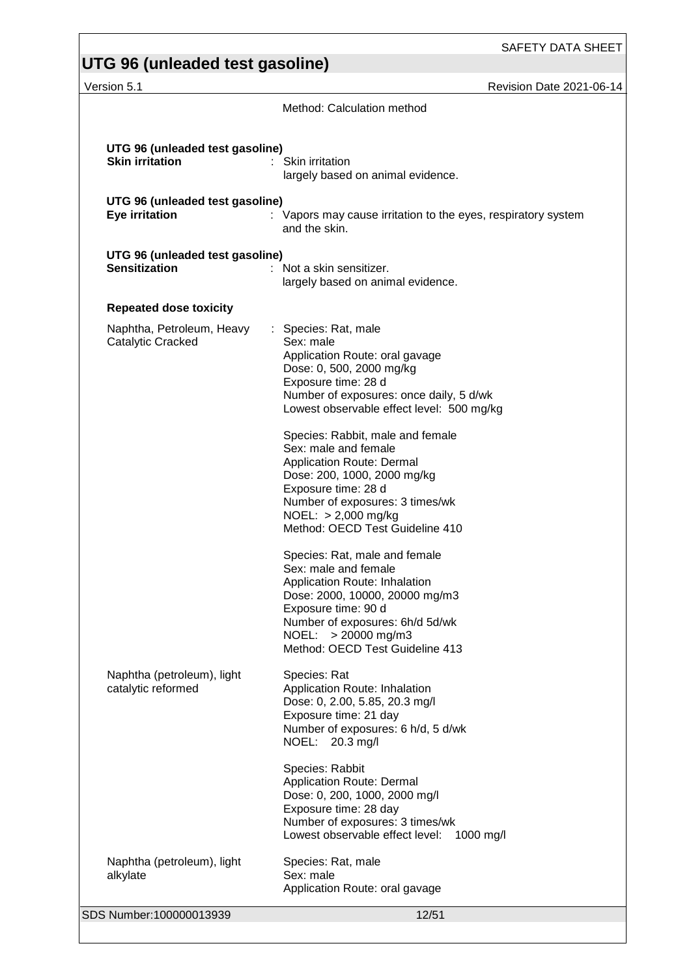#### SAFETY DATA SHEET **UTG 96 (unleaded test gasoline)**  Version 5.1 **Network 2021-06-14** Revision Date 2021-06-14 Method: Calculation method **UTG 96 (unleaded test gasoline) Skin irritation** : Skin irritation largely based on animal evidence. **UTG 96 (unleaded test gasoline) Eye irritation** : Vapors may cause irritation to the eyes, respiratory system and the skin. **UTG 96 (unleaded test gasoline) Sensitization** : Not a skin sensitizer. largely based on animal evidence. **Repeated dose toxicity** Naphtha, Petroleum, Heavy Catalytic Cracked : Species: Rat, male Sex: male Application Route: oral gavage Dose: 0, 500, 2000 mg/kg Exposure time: 28 d Number of exposures: once daily, 5 d/wk Lowest observable effect level: 500 mg/kg Species: Rabbit, male and female Sex: male and female Application Route: Dermal Dose: 200, 1000, 2000 mg/kg Exposure time: 28 d Number of exposures: 3 times/wk NOEL: > 2,000 mg/kg Method: OECD Test Guideline 410 Species: Rat, male and female Sex: male and female Application Route: Inhalation Dose: 2000, 10000, 20000 mg/m3 Exposure time: 90 d Number of exposures: 6h/d 5d/wk NOEL: > 20000 mg/m3 Method: OECD Test Guideline 413 Naphtha (petroleum), light catalytic reformed Species: Rat Application Route: Inhalation Dose: 0, 2.00, 5.85, 20.3 mg/l Exposure time: 21 day Number of exposures: 6 h/d, 5 d/wk NOEL: 20.3 mg/l Species: Rabbit Application Route: Dermal Dose: 0, 200, 1000, 2000 mg/l Exposure time: 28 day Number of exposures: 3 times/wk Lowest observable effect level: 1000 mg/l Naphtha (petroleum), light alkylate Species: Rat, male Sex: male Application Route: oral gavage

SDS Number:100000013939 12/51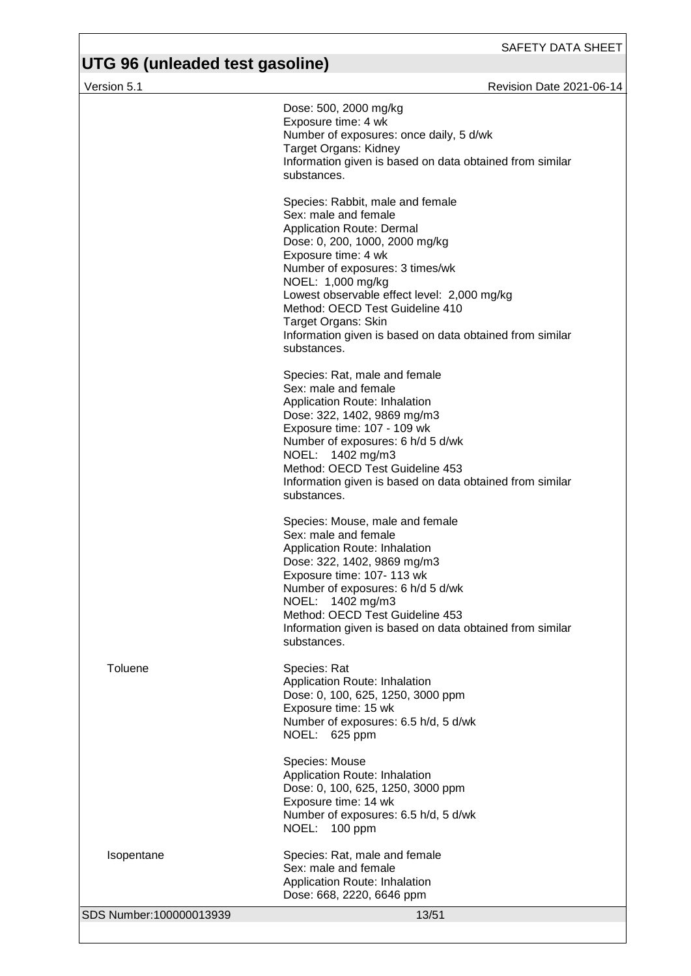| Version 5.1             | <b>Revision Date 2021-06-14</b>                                                                                                                                                                                                                                                                                                                                                            |
|-------------------------|--------------------------------------------------------------------------------------------------------------------------------------------------------------------------------------------------------------------------------------------------------------------------------------------------------------------------------------------------------------------------------------------|
|                         | Dose: 500, 2000 mg/kg<br>Exposure time: 4 wk<br>Number of exposures: once daily, 5 d/wk<br>Target Organs: Kidney<br>Information given is based on data obtained from similar<br>substances.                                                                                                                                                                                                |
|                         | Species: Rabbit, male and female<br>Sex: male and female<br>Application Route: Dermal<br>Dose: 0, 200, 1000, 2000 mg/kg<br>Exposure time: 4 wk<br>Number of exposures: 3 times/wk<br>NOEL: 1,000 mg/kg<br>Lowest observable effect level: 2,000 mg/kg<br>Method: OECD Test Guideline 410<br>Target Organs: Skin<br>Information given is based on data obtained from similar<br>substances. |
|                         | Species: Rat, male and female<br>Sex: male and female<br>Application Route: Inhalation<br>Dose: 322, 1402, 9869 mg/m3<br>Exposure time: 107 - 109 wk<br>Number of exposures: 6 h/d 5 d/wk<br>NOEL: 1402 mg/m3<br>Method: OECD Test Guideline 453<br>Information given is based on data obtained from similar<br>substances.                                                                |
|                         | Species: Mouse, male and female<br>Sex: male and female<br>Application Route: Inhalation<br>Dose: 322, 1402, 9869 mg/m3<br>Exposure time: 107- 113 wk<br>Number of exposures: 6 h/d 5 d/wk<br>NOEL: 1402 mg/m3<br>Method: OECD Test Guideline 453<br>Information given is based on data obtained from similar<br>substances.                                                               |
| Toluene                 | Species: Rat<br>Application Route: Inhalation<br>Dose: 0, 100, 625, 1250, 3000 ppm<br>Exposure time: 15 wk<br>Number of exposures: 6.5 h/d, 5 d/wk<br>NOEL: 625 ppm                                                                                                                                                                                                                        |
|                         | Species: Mouse<br>Application Route: Inhalation<br>Dose: 0, 100, 625, 1250, 3000 ppm<br>Exposure time: 14 wk<br>Number of exposures: 6.5 h/d, 5 d/wk<br>NOEL: 100 ppm                                                                                                                                                                                                                      |
| Isopentane              | Species: Rat, male and female<br>Sex: male and female<br>Application Route: Inhalation<br>Dose: 668, 2220, 6646 ppm                                                                                                                                                                                                                                                                        |
| SDS Number:100000013939 | 13/51                                                                                                                                                                                                                                                                                                                                                                                      |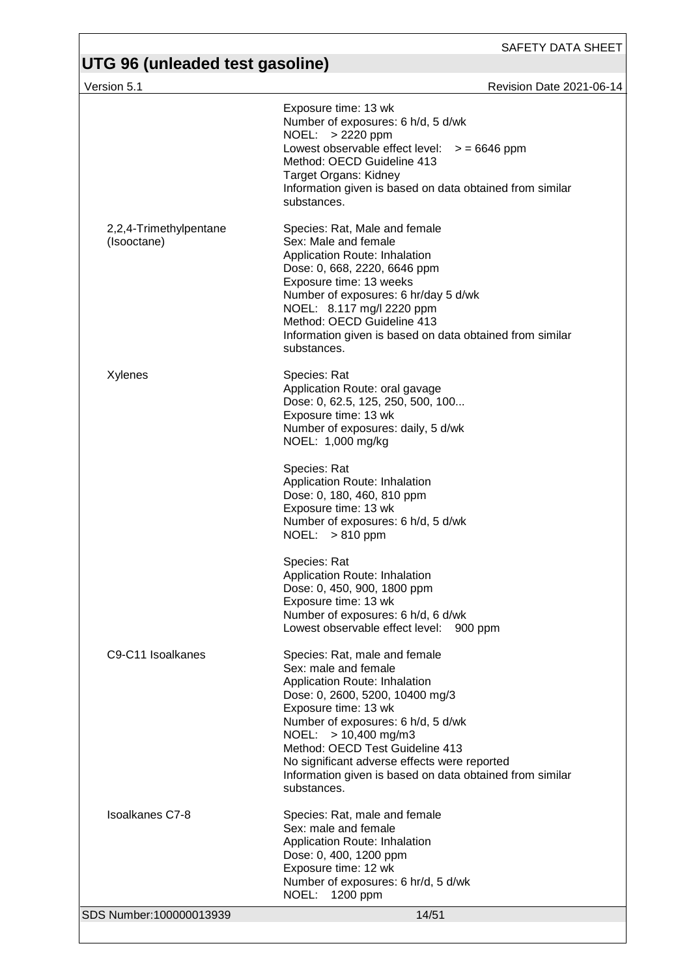# **UTG 96 (unleaded test gasoline)**

Version 5.1 **Version 5.1** Revision Date 2021-06-14

|                                            | Exposure time: 13 wk<br>Number of exposures: 6 h/d, 5 d/wk<br>NOEL: > 2220 ppm<br>Lowest observable effect level: $>$ = 6646 ppm<br>Method: OECD Guideline 413<br>Target Organs: Kidney<br>Information given is based on data obtained from similar<br>substances.                                                                                                              |
|--------------------------------------------|---------------------------------------------------------------------------------------------------------------------------------------------------------------------------------------------------------------------------------------------------------------------------------------------------------------------------------------------------------------------------------|
| 2,2,4-Trimethylpentane<br>(Isooctane)      | Species: Rat, Male and female<br>Sex: Male and female<br>Application Route: Inhalation<br>Dose: 0, 668, 2220, 6646 ppm<br>Exposure time: 13 weeks<br>Number of exposures: 6 hr/day 5 d/wk<br>NOEL: 8.117 mg/l 2220 ppm<br>Method: OECD Guideline 413<br>Information given is based on data obtained from similar<br>substances.                                                 |
| Xylenes                                    | Species: Rat<br>Application Route: oral gavage<br>Dose: 0, 62.5, 125, 250, 500, 100<br>Exposure time: 13 wk<br>Number of exposures: daily, 5 d/wk<br>NOEL: 1,000 mg/kg                                                                                                                                                                                                          |
|                                            | Species: Rat<br>Application Route: Inhalation<br>Dose: 0, 180, 460, 810 ppm<br>Exposure time: 13 wk<br>Number of exposures: 6 h/d, 5 d/wk<br>NOEL: $>810$ ppm                                                                                                                                                                                                                   |
|                                            | Species: Rat<br>Application Route: Inhalation<br>Dose: 0, 450, 900, 1800 ppm<br>Exposure time: 13 wk<br>Number of exposures: 6 h/d, 6 d/wk<br>Lowest observable effect level: 900 ppm                                                                                                                                                                                           |
| C <sub>9</sub> -C <sub>11</sub> Isoalkanes | Species: Rat, male and female<br>Sex: male and female<br>Application Route: Inhalation<br>Dose: 0, 2600, 5200, 10400 mg/3<br>Exposure time: 13 wk<br>Number of exposures: 6 h/d, 5 d/wk<br>NOEL: $> 10,400$ mg/m3<br>Method: OECD Test Guideline 413<br>No significant adverse effects were reported<br>Information given is based on data obtained from similar<br>substances. |
| <b>Isoalkanes C7-8</b>                     | Species: Rat, male and female<br>Sex: male and female<br>Application Route: Inhalation<br>Dose: 0, 400, 1200 ppm<br>Exposure time: 12 wk<br>Number of exposures: 6 hr/d, 5 d/wk<br>NOEL: 1200 ppm                                                                                                                                                                               |
| SDS Number:100000013939                    | 14/51                                                                                                                                                                                                                                                                                                                                                                           |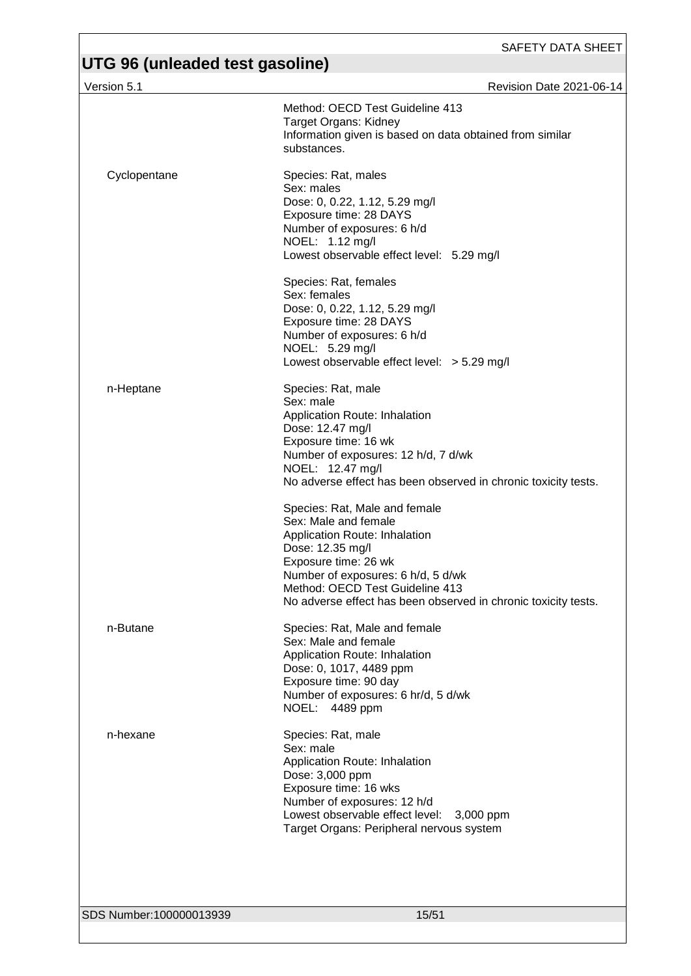| Version 5.1             | Revision Date 2021-06-14                                                                                                                                                                                                                                                                                                                                                                                                                                                                                                   |
|-------------------------|----------------------------------------------------------------------------------------------------------------------------------------------------------------------------------------------------------------------------------------------------------------------------------------------------------------------------------------------------------------------------------------------------------------------------------------------------------------------------------------------------------------------------|
|                         | Method: OECD Test Guideline 413<br>Target Organs: Kidney<br>Information given is based on data obtained from similar<br>substances.                                                                                                                                                                                                                                                                                                                                                                                        |
| Cyclopentane            | Species: Rat, males<br>Sex: males<br>Dose: 0, 0.22, 1.12, 5.29 mg/l<br>Exposure time: 28 DAYS<br>Number of exposures: 6 h/d<br>NOEL: 1.12 mg/l<br>Lowest observable effect level: 5.29 mg/l                                                                                                                                                                                                                                                                                                                                |
|                         | Species: Rat, females<br>Sex: females<br>Dose: 0, 0.22, 1.12, 5.29 mg/l<br>Exposure time: 28 DAYS<br>Number of exposures: 6 h/d<br>NOEL: 5.29 mg/l<br>Lowest observable effect level: $> 5.29$ mg/l                                                                                                                                                                                                                                                                                                                        |
| n-Heptane               | Species: Rat, male<br>Sex: male<br>Application Route: Inhalation<br>Dose: 12.47 mg/l<br>Exposure time: 16 wk<br>Number of exposures: 12 h/d, 7 d/wk<br>NOEL: 12.47 mg/l<br>No adverse effect has been observed in chronic toxicity tests.<br>Species: Rat, Male and female<br>Sex: Male and female<br>Application Route: Inhalation<br>Dose: 12.35 mg/l<br>Exposure time: 26 wk<br>Number of exposures: 6 h/d, 5 d/wk<br>Method: OECD Test Guideline 413<br>No adverse effect has been observed in chronic toxicity tests. |
| n-Butane                | Species: Rat, Male and female<br>Sex: Male and female<br>Application Route: Inhalation<br>Dose: 0, 1017, 4489 ppm<br>Exposure time: 90 day<br>Number of exposures: 6 hr/d, 5 d/wk<br>NOEL: 4489 ppm                                                                                                                                                                                                                                                                                                                        |
| n-hexane                | Species: Rat, male<br>Sex: male<br>Application Route: Inhalation<br>Dose: 3,000 ppm<br>Exposure time: 16 wks<br>Number of exposures: 12 h/d<br>Lowest observable effect level:<br>3,000 ppm<br>Target Organs: Peripheral nervous system                                                                                                                                                                                                                                                                                    |
|                         |                                                                                                                                                                                                                                                                                                                                                                                                                                                                                                                            |
| SDS Number:100000013939 | 15/51                                                                                                                                                                                                                                                                                                                                                                                                                                                                                                                      |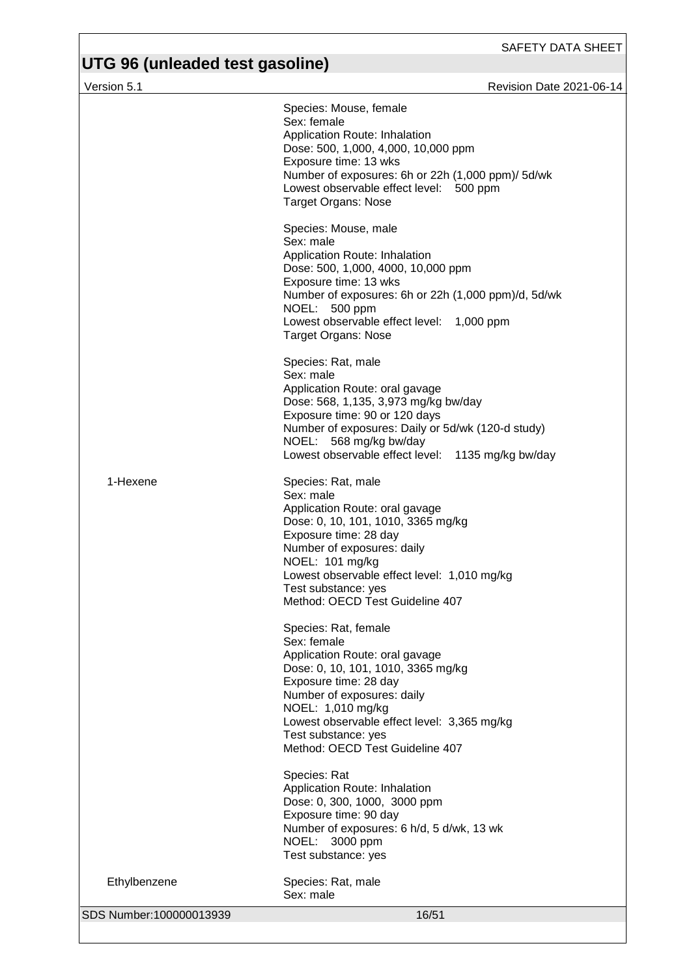## **UTG 96 (unleaded test gasoline)**

Version 5.1 **Network 2021-06-14** Revision Date 2021-06-14 SDS Number:100000013939 16/51 Species: Mouse, female Sex: female Application Route: Inhalation Dose: 500, 1,000, 4,000, 10,000 ppm Exposure time: 13 wks Number of exposures: 6h or 22h (1,000 ppm)/ 5d/wk Lowest observable effect level: 500 ppm Target Organs: Nose Species: Mouse, male Sex: male Application Route: Inhalation Dose: 500, 1,000, 4000, 10,000 ppm Exposure time: 13 wks Number of exposures: 6h or 22h (1,000 ppm)/d, 5d/wk NOEL: 500 ppm Lowest observable effect level: 1,000 ppm Target Organs: Nose Species: Rat, male Sex: male Application Route: oral gavage Dose: 568, 1,135, 3,973 mg/kg bw/day Exposure time: 90 or 120 days Number of exposures: Daily or 5d/wk (120-d study) NOEL: 568 mg/kg bw/day Lowest observable effect level: 1135 mg/kg bw/day 1-Hexene Species: Rat, male Sex: male Application Route: oral gavage Dose: 0, 10, 101, 1010, 3365 mg/kg Exposure time: 28 day Number of exposures: daily NOEL: 101 mg/kg Lowest observable effect level: 1,010 mg/kg Test substance: yes Method: OECD Test Guideline 407 Species: Rat, female Sex: female Application Route: oral gavage Dose: 0, 10, 101, 1010, 3365 mg/kg Exposure time: 28 day Number of exposures: daily NOEL: 1,010 mg/kg Lowest observable effect level: 3,365 mg/kg Test substance: yes Method: OECD Test Guideline 407 Species: Rat Application Route: Inhalation Dose: 0, 300, 1000, 3000 ppm Exposure time: 90 day Number of exposures: 6 h/d, 5 d/wk, 13 wk NOEL: 3000 ppm Test substance: yes Ethylbenzene Species: Rat, male Sex: male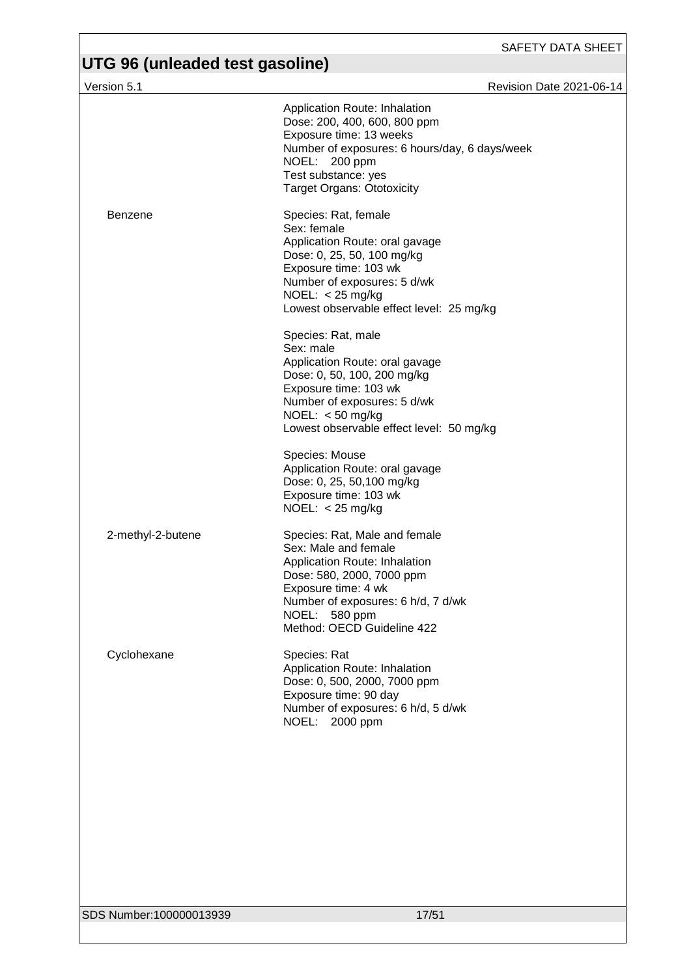| Version 5.1       | Revision Date 2021-06-14                                                                                                                                                                                                        |
|-------------------|---------------------------------------------------------------------------------------------------------------------------------------------------------------------------------------------------------------------------------|
|                   | Application Route: Inhalation<br>Dose: 200, 400, 600, 800 ppm<br>Exposure time: 13 weeks<br>Number of exposures: 6 hours/day, 6 days/week<br>NOEL: 200 ppm<br>Test substance: yes<br><b>Target Organs: Ototoxicity</b>          |
| Benzene           | Species: Rat, female<br>Sex: female<br>Application Route: oral gavage<br>Dose: 0, 25, 50, 100 mg/kg<br>Exposure time: 103 wk<br>Number of exposures: 5 d/wk<br>NOEL: $<$ 25 mg/kg<br>Lowest observable effect level: 25 mg/kg   |
|                   | Species: Rat, male<br>Sex: male<br>Application Route: oral gavage<br>Dose: 0, 50, 100, 200 mg/kg<br>Exposure time: 103 wk<br>Number of exposures: 5 d/wk<br>NOEL: $<$ 50 mg/kg<br>Lowest observable effect level: 50 mg/kg      |
|                   | Species: Mouse<br>Application Route: oral gavage<br>Dose: 0, 25, 50, 100 mg/kg<br>Exposure time: 103 wk<br>NOEL: $<$ 25 mg/kg                                                                                                   |
| 2-methyl-2-butene | Species: Rat, Male and female<br>Sex: Male and female<br>Application Route: Inhalation<br>Dose: 580, 2000, 7000 ppm<br>Exposure time: 4 wk<br>Number of exposures: 6 h/d, 7 d/wk<br>NOEL: 580 ppm<br>Method: OECD Guideline 422 |
| Cyclohexane       | Species: Rat<br>Application Route: Inhalation<br>Dose: 0, 500, 2000, 7000 ppm<br>Exposure time: 90 day<br>Number of exposures: 6 h/d, 5 d/wk<br>NOEL: 2000 ppm                                                                  |
|                   |                                                                                                                                                                                                                                 |
|                   |                                                                                                                                                                                                                                 |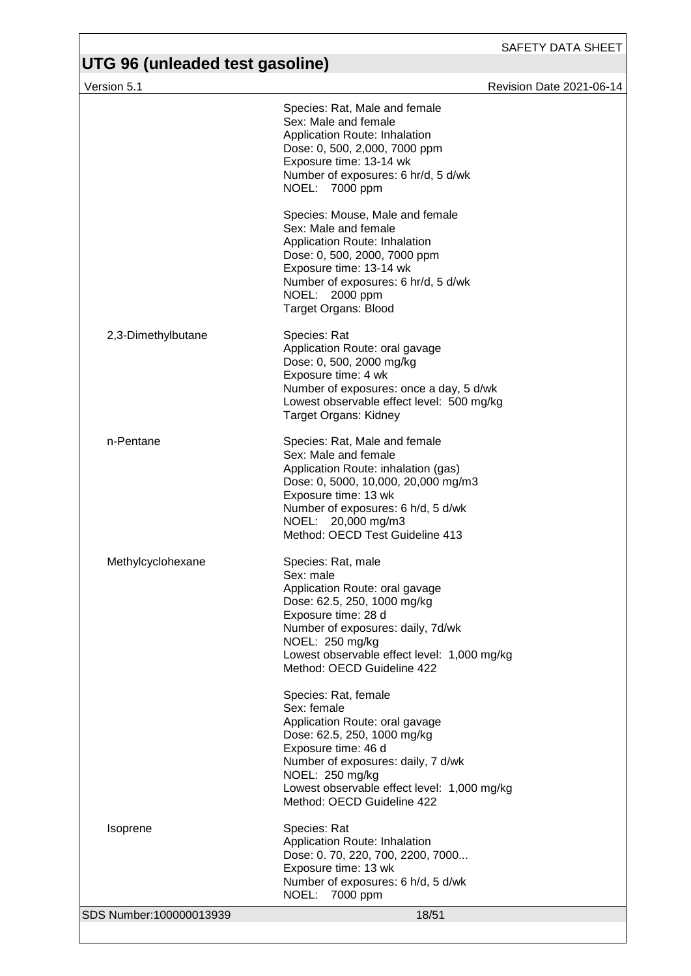| Version 5.1             |                                                                                                                                                                                                                                                                   | <b>Revision Date 2021-06-14</b> |
|-------------------------|-------------------------------------------------------------------------------------------------------------------------------------------------------------------------------------------------------------------------------------------------------------------|---------------------------------|
|                         | Species: Rat, Male and female<br>Sex: Male and female<br>Application Route: Inhalation<br>Dose: 0, 500, 2,000, 7000 ppm<br>Exposure time: 13-14 wk<br>Number of exposures: 6 hr/d, 5 d/wk<br>NOEL: 7000 ppm                                                       |                                 |
|                         | Species: Mouse, Male and female<br>Sex: Male and female<br>Application Route: Inhalation<br>Dose: 0, 500, 2000, 7000 ppm<br>Exposure time: 13-14 wk<br>Number of exposures: 6 hr/d, 5 d/wk<br>NOEL: 2000 ppm<br><b>Target Organs: Blood</b>                       |                                 |
| 2,3-Dimethylbutane      | Species: Rat<br>Application Route: oral gavage<br>Dose: 0, 500, 2000 mg/kg<br>Exposure time: 4 wk<br>Number of exposures: once a day, 5 d/wk<br>Lowest observable effect level: 500 mg/kg<br><b>Target Organs: Kidney</b>                                         |                                 |
| n-Pentane               | Species: Rat, Male and female<br>Sex: Male and female<br>Application Route: inhalation (gas)<br>Dose: 0, 5000, 10,000, 20,000 mg/m3<br>Exposure time: 13 wk<br>Number of exposures: 6 h/d, 5 d/wk<br>NOEL: 20,000 mg/m3<br>Method: OECD Test Guideline 413        |                                 |
| Methylcyclohexane       | Species: Rat, male<br>Sex: male<br>Application Route: oral gavage<br>Dose: 62.5, 250, 1000 mg/kg<br>Exposure time: 28 d<br>Number of exposures: daily, 7d/wk<br>NOEL: 250 mg/kg<br>Lowest observable effect level: 1,000 mg/kg<br>Method: OECD Guideline 422      |                                 |
|                         | Species: Rat, female<br>Sex: female<br>Application Route: oral gavage<br>Dose: 62.5, 250, 1000 mg/kg<br>Exposure time: 46 d<br>Number of exposures: daily, 7 d/wk<br>NOEL: 250 mg/kg<br>Lowest observable effect level: 1,000 mg/kg<br>Method: OECD Guideline 422 |                                 |
| Isoprene                | Species: Rat<br>Application Route: Inhalation<br>Dose: 0. 70, 220, 700, 2200, 7000<br>Exposure time: 13 wk<br>Number of exposures: 6 h/d, 5 d/wk<br>NOEL:<br>7000 ppm                                                                                             |                                 |
| SDS Number:100000013939 | 18/51                                                                                                                                                                                                                                                             |                                 |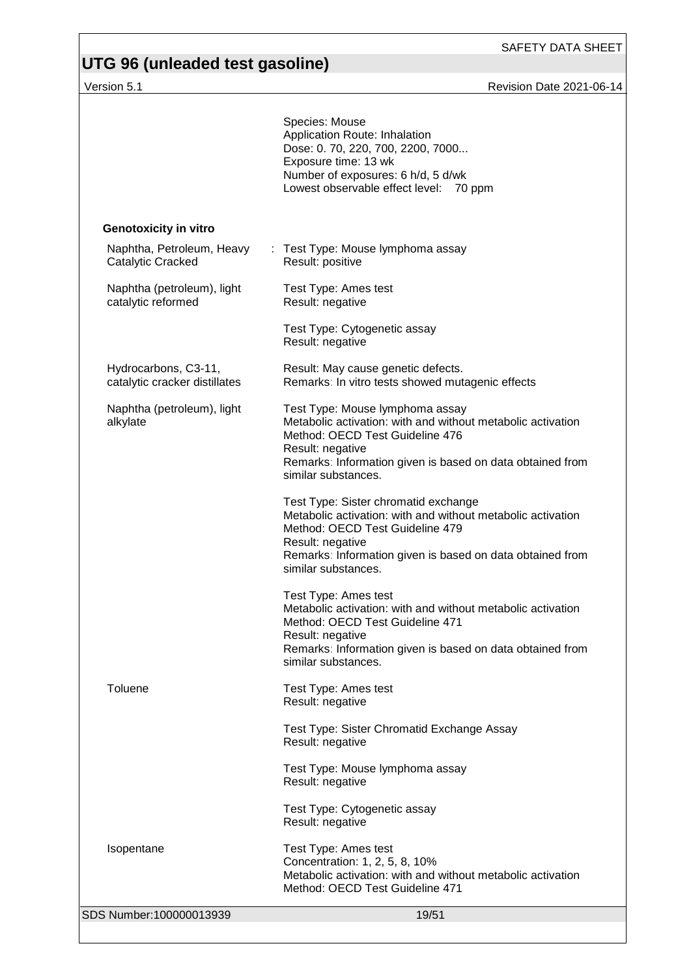# **UTG 96 (unleaded test gasoline)**

Version 5.1 Revision Date 2021-06-14

|                                                       | Species: Mouse<br>Application Route: Inhalation<br>Dose: 0. 70, 220, 700, 2200, 7000<br>Exposure time: 13 wk<br>Number of exposures: 6 h/d, 5 d/wk<br>Lowest observable effect level: 70 ppm                                                   |
|-------------------------------------------------------|------------------------------------------------------------------------------------------------------------------------------------------------------------------------------------------------------------------------------------------------|
| <b>Genotoxicity in vitro</b>                          |                                                                                                                                                                                                                                                |
| Naphtha, Petroleum, Heavy<br>Catalytic Cracked        | : Test Type: Mouse lymphoma assay<br>Result: positive                                                                                                                                                                                          |
| Naphtha (petroleum), light<br>catalytic reformed      | Test Type: Ames test<br>Result: negative                                                                                                                                                                                                       |
|                                                       | Test Type: Cytogenetic assay<br>Result: negative                                                                                                                                                                                               |
| Hydrocarbons, C3-11,<br>catalytic cracker distillates | Result: May cause genetic defects.<br>Remarks: In vitro tests showed mutagenic effects                                                                                                                                                         |
| Naphtha (petroleum), light<br>alkylate                | Test Type: Mouse lymphoma assay<br>Metabolic activation: with and without metabolic activation<br>Method: OECD Test Guideline 476<br>Result: negative<br>Remarks: Information given is based on data obtained from<br>similar substances.      |
|                                                       | Test Type: Sister chromatid exchange<br>Metabolic activation: with and without metabolic activation<br>Method: OECD Test Guideline 479<br>Result: negative<br>Remarks: Information given is based on data obtained from<br>similar substances. |
|                                                       | Test Type: Ames test<br>Metabolic activation: with and without metabolic activation<br>Method: OECD Test Guideline 471<br>Result: negative<br>Remarks: Information given is based on data obtained from<br>similar substances.                 |
| Toluene                                               | Test Type: Ames test<br>Result: negative                                                                                                                                                                                                       |
|                                                       | Test Type: Sister Chromatid Exchange Assay<br>Result: negative                                                                                                                                                                                 |
|                                                       | Test Type: Mouse lymphoma assay<br>Result: negative                                                                                                                                                                                            |
|                                                       | Test Type: Cytogenetic assay<br>Result: negative                                                                                                                                                                                               |
| Isopentane                                            | Test Type: Ames test<br>Concentration: 1, 2, 5, 8, 10%<br>Metabolic activation: with and without metabolic activation<br>Method: OECD Test Guideline 471                                                                                       |
| SDS Number:100000013939                               | 19/51                                                                                                                                                                                                                                          |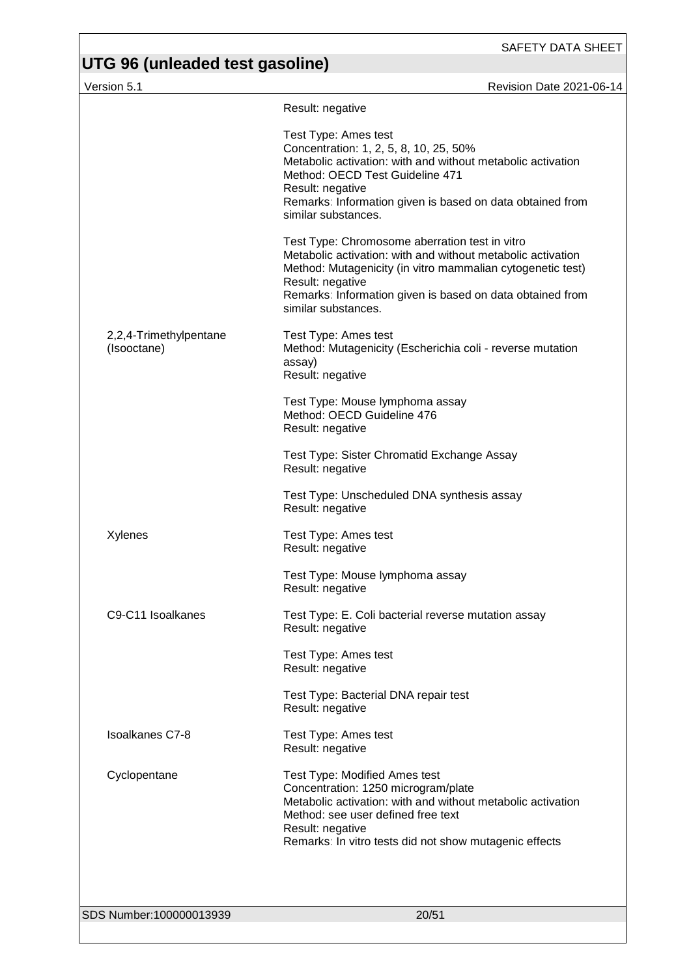# **UTG 96 (unleaded test gasoline)**

Version 5.1 Revision Date 2021-06-14

|                                       | Result: negative                                                                                                                                                                                                                                                                    |
|---------------------------------------|-------------------------------------------------------------------------------------------------------------------------------------------------------------------------------------------------------------------------------------------------------------------------------------|
|                                       | Test Type: Ames test<br>Concentration: 1, 2, 5, 8, 10, 25, 50%<br>Metabolic activation: with and without metabolic activation<br>Method: OECD Test Guideline 471<br>Result: negative<br>Remarks: Information given is based on data obtained from<br>similar substances.            |
|                                       | Test Type: Chromosome aberration test in vitro<br>Metabolic activation: with and without metabolic activation<br>Method: Mutagenicity (in vitro mammalian cytogenetic test)<br>Result: negative<br>Remarks: Information given is based on data obtained from<br>similar substances. |
| 2,2,4-Trimethylpentane<br>(Isooctane) | Test Type: Ames test<br>Method: Mutagenicity (Escherichia coli - reverse mutation<br>assay)<br>Result: negative                                                                                                                                                                     |
|                                       | Test Type: Mouse lymphoma assay<br>Method: OECD Guideline 476<br>Result: negative                                                                                                                                                                                                   |
|                                       | Test Type: Sister Chromatid Exchange Assay<br>Result: negative                                                                                                                                                                                                                      |
|                                       | Test Type: Unscheduled DNA synthesis assay<br>Result: negative                                                                                                                                                                                                                      |
| Xylenes                               | Test Type: Ames test<br>Result: negative                                                                                                                                                                                                                                            |
|                                       | Test Type: Mouse lymphoma assay<br>Result: negative                                                                                                                                                                                                                                 |
| C9-C11 Isoalkanes                     | Test Type: E. Coli bacterial reverse mutation assay<br>Result: negative                                                                                                                                                                                                             |
|                                       | Test Type: Ames test<br>Result: negative                                                                                                                                                                                                                                            |
|                                       | Test Type: Bacterial DNA repair test<br>Result: negative                                                                                                                                                                                                                            |
| <b>Isoalkanes C7-8</b>                | Test Type: Ames test<br>Result: negative                                                                                                                                                                                                                                            |
| Cyclopentane                          | Test Type: Modified Ames test<br>Concentration: 1250 microgram/plate<br>Metabolic activation: with and without metabolic activation<br>Method: see user defined free text<br>Result: negative<br>Remarks: In vitro tests did not show mutagenic effects                             |
|                                       |                                                                                                                                                                                                                                                                                     |
| SDS Number:100000013939               | 20/51                                                                                                                                                                                                                                                                               |
|                                       |                                                                                                                                                                                                                                                                                     |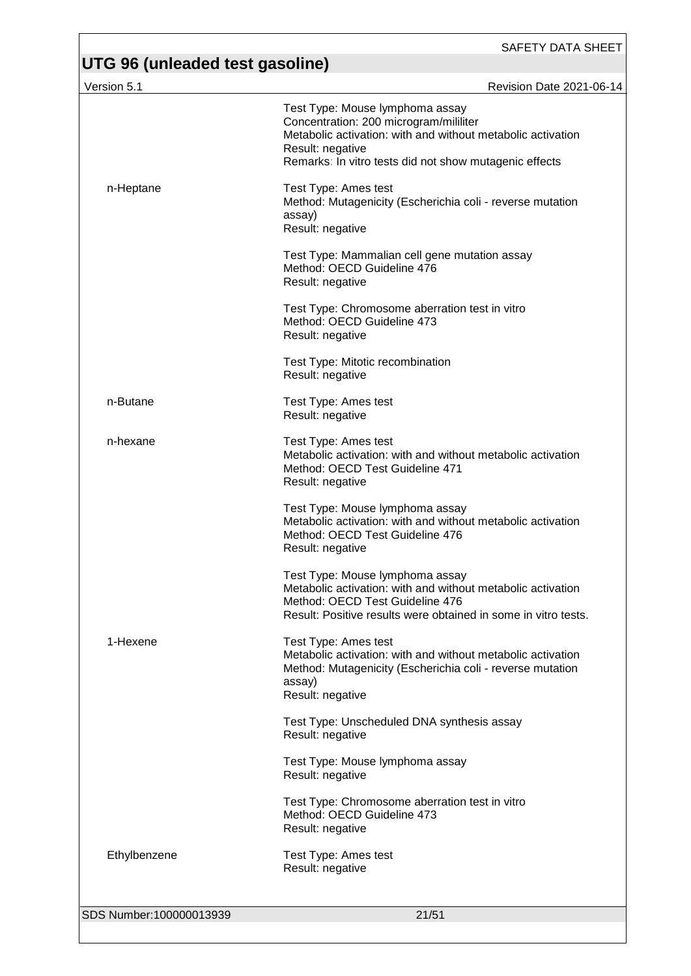| Version 5.1             | <b>Revision Date 2021-06-14</b>                                                                                                                                                                                        |
|-------------------------|------------------------------------------------------------------------------------------------------------------------------------------------------------------------------------------------------------------------|
|                         | Test Type: Mouse lymphoma assay<br>Concentration: 200 microgram/mililiter<br>Metabolic activation: with and without metabolic activation<br>Result: negative<br>Remarks: In vitro tests did not show mutagenic effects |
| n-Heptane               | Test Type: Ames test<br>Method: Mutagenicity (Escherichia coli - reverse mutation<br>assay)<br>Result: negative                                                                                                        |
|                         | Test Type: Mammalian cell gene mutation assay<br>Method: OECD Guideline 476<br>Result: negative                                                                                                                        |
|                         | Test Type: Chromosome aberration test in vitro<br>Method: OECD Guideline 473<br>Result: negative                                                                                                                       |
|                         | Test Type: Mitotic recombination<br>Result: negative                                                                                                                                                                   |
| n-Butane                | Test Type: Ames test<br>Result: negative                                                                                                                                                                               |
| n-hexane                | Test Type: Ames test<br>Metabolic activation: with and without metabolic activation<br>Method: OECD Test Guideline 471<br>Result: negative                                                                             |
|                         | Test Type: Mouse lymphoma assay<br>Metabolic activation: with and without metabolic activation<br>Method: OECD Test Guideline 476<br>Result: negative                                                                  |
|                         | Test Type: Mouse lymphoma assay<br>Metabolic activation: with and without metabolic activation<br>Method: OECD Test Guideline 476<br>Result: Positive results were obtained in some in vitro tests.                    |
| 1-Hexene                | Test Type: Ames test<br>Metabolic activation: with and without metabolic activation<br>Method: Mutagenicity (Escherichia coli - reverse mutation<br>assay)<br>Result: negative                                         |
|                         | Test Type: Unscheduled DNA synthesis assay<br>Result: negative                                                                                                                                                         |
|                         | Test Type: Mouse lymphoma assay<br>Result: negative                                                                                                                                                                    |
|                         | Test Type: Chromosome aberration test in vitro<br>Method: OECD Guideline 473<br>Result: negative                                                                                                                       |
| Ethylbenzene            | Test Type: Ames test<br>Result: negative                                                                                                                                                                               |
| SDS Number:100000013939 | 21/51                                                                                                                                                                                                                  |
|                         |                                                                                                                                                                                                                        |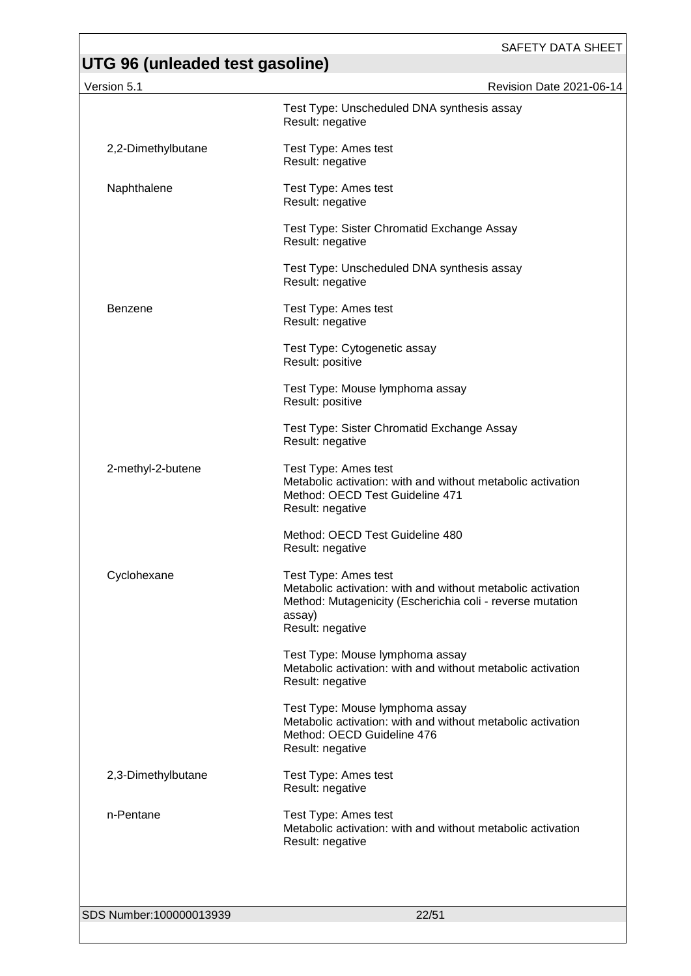| Version 5.1             | Revision Date 2021-06-14                                                                                                                                                       |
|-------------------------|--------------------------------------------------------------------------------------------------------------------------------------------------------------------------------|
|                         | Test Type: Unscheduled DNA synthesis assay<br>Result: negative                                                                                                                 |
| 2,2-Dimethylbutane      | Test Type: Ames test<br>Result: negative                                                                                                                                       |
| Naphthalene             | Test Type: Ames test<br>Result: negative                                                                                                                                       |
|                         | Test Type: Sister Chromatid Exchange Assay<br>Result: negative                                                                                                                 |
|                         | Test Type: Unscheduled DNA synthesis assay<br>Result: negative                                                                                                                 |
| <b>Benzene</b>          | Test Type: Ames test<br>Result: negative                                                                                                                                       |
|                         | Test Type: Cytogenetic assay<br>Result: positive                                                                                                                               |
|                         | Test Type: Mouse lymphoma assay<br>Result: positive                                                                                                                            |
|                         | Test Type: Sister Chromatid Exchange Assay<br>Result: negative                                                                                                                 |
| 2-methyl-2-butene       | Test Type: Ames test<br>Metabolic activation: with and without metabolic activation<br>Method: OECD Test Guideline 471<br>Result: negative                                     |
|                         | Method: OECD Test Guideline 480<br>Result: negative                                                                                                                            |
| Cyclohexane             | Test Type: Ames test<br>Metabolic activation: with and without metabolic activation<br>Method: Mutagenicity (Escherichia coli - reverse mutation<br>assay)<br>Result: negative |
|                         | Test Type: Mouse lymphoma assay<br>Metabolic activation: with and without metabolic activation<br>Result: negative                                                             |
|                         | Test Type: Mouse lymphoma assay<br>Metabolic activation: with and without metabolic activation<br>Method: OECD Guideline 476<br>Result: negative                               |
| 2,3-Dimethylbutane      | Test Type: Ames test<br>Result: negative                                                                                                                                       |
| n-Pentane               | Test Type: Ames test<br>Metabolic activation: with and without metabolic activation<br>Result: negative                                                                        |
|                         |                                                                                                                                                                                |
| SDS Number:100000013939 | 22/51                                                                                                                                                                          |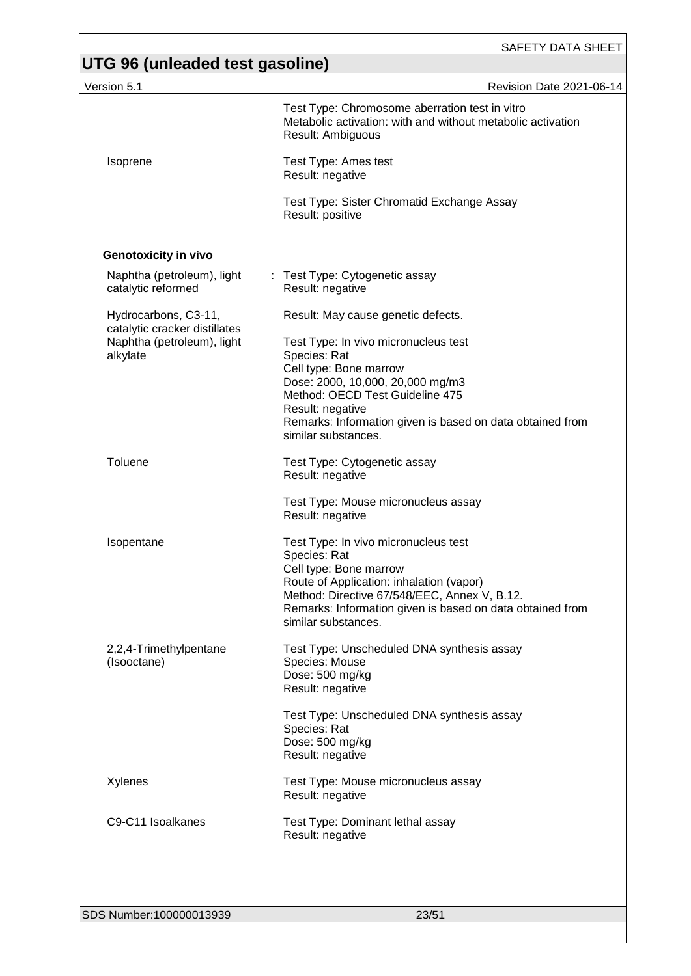| Version 5.1                                           | <b>Revision Date 2021-06-14</b>                                                                                                                                              |
|-------------------------------------------------------|------------------------------------------------------------------------------------------------------------------------------------------------------------------------------|
|                                                       | Test Type: Chromosome aberration test in vitro<br>Metabolic activation: with and without metabolic activation<br>Result: Ambiguous                                           |
| Isoprene                                              | Test Type: Ames test<br>Result: negative                                                                                                                                     |
|                                                       | Test Type: Sister Chromatid Exchange Assay<br>Result: positive                                                                                                               |
| <b>Genotoxicity in vivo</b>                           |                                                                                                                                                                              |
| Naphtha (petroleum), light<br>catalytic reformed      | : Test Type: Cytogenetic assay<br>Result: negative                                                                                                                           |
| Hydrocarbons, C3-11,<br>catalytic cracker distillates | Result: May cause genetic defects.                                                                                                                                           |
| Naphtha (petroleum), light<br>alkylate                | Test Type: In vivo micronucleus test<br>Species: Rat                                                                                                                         |
|                                                       | Cell type: Bone marrow                                                                                                                                                       |
|                                                       | Dose: 2000, 10,000, 20,000 mg/m3<br>Method: OECD Test Guideline 475                                                                                                          |
|                                                       | Result: negative<br>Remarks: Information given is based on data obtained from<br>similar substances.                                                                         |
| Toluene                                               | Test Type: Cytogenetic assay<br>Result: negative                                                                                                                             |
|                                                       | Test Type: Mouse micronucleus assay<br>Result: negative                                                                                                                      |
| Isopentane                                            | Test Type: In vivo micronucleus test<br>Species: Rat<br>Cell type: Bone marrow                                                                                               |
|                                                       | Route of Application: inhalation (vapor)<br>Method: Directive 67/548/EEC, Annex V, B.12.<br>Remarks: Information given is based on data obtained from<br>similar substances. |
| 2,2,4-Trimethylpentane                                | Test Type: Unscheduled DNA synthesis assay                                                                                                                                   |
| (Isooctane)                                           | Species: Mouse<br>Dose: 500 mg/kg<br>Result: negative                                                                                                                        |
|                                                       | Test Type: Unscheduled DNA synthesis assay<br>Species: Rat                                                                                                                   |
|                                                       | Dose: 500 mg/kg<br>Result: negative                                                                                                                                          |
| Xylenes                                               | Test Type: Mouse micronucleus assay<br>Result: negative                                                                                                                      |
| C9-C11 Isoalkanes                                     | Test Type: Dominant lethal assay<br>Result: negative                                                                                                                         |
|                                                       |                                                                                                                                                                              |
| SDS Number:100000013939                               | 23/51                                                                                                                                                                        |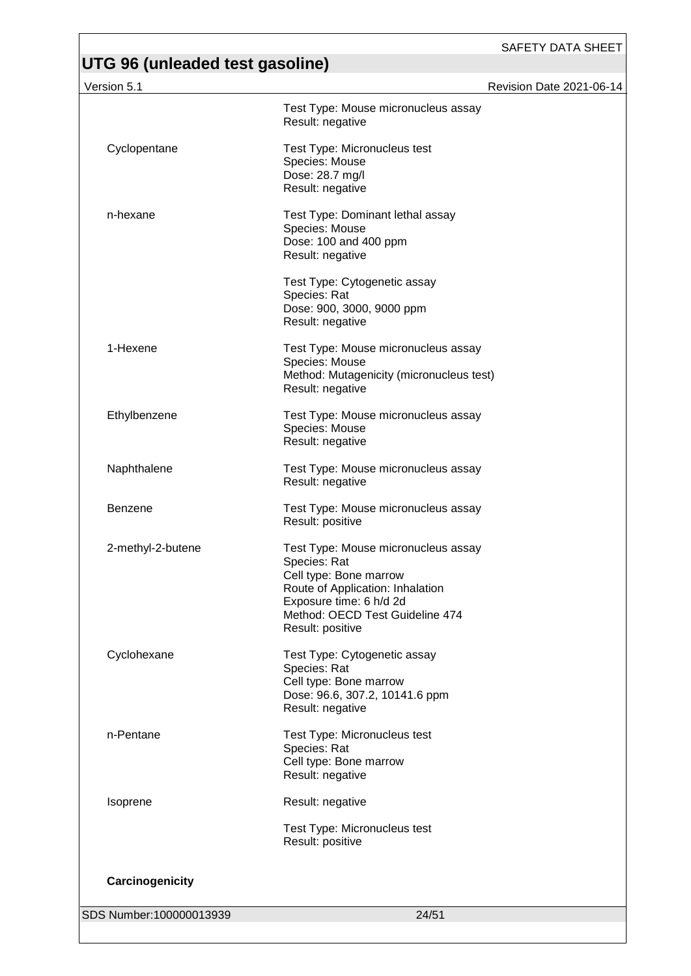| Version 5.1             |                                                                                                                                                                                                     | Revision Date 2021-06-14 |
|-------------------------|-----------------------------------------------------------------------------------------------------------------------------------------------------------------------------------------------------|--------------------------|
|                         | Test Type: Mouse micronucleus assay<br>Result: negative                                                                                                                                             |                          |
| Cyclopentane            | Test Type: Micronucleus test<br>Species: Mouse<br>Dose: 28.7 mg/l<br>Result: negative                                                                                                               |                          |
| n-hexane                | Test Type: Dominant lethal assay<br>Species: Mouse<br>Dose: 100 and 400 ppm<br>Result: negative                                                                                                     |                          |
|                         | Test Type: Cytogenetic assay<br>Species: Rat<br>Dose: 900, 3000, 9000 ppm<br>Result: negative                                                                                                       |                          |
| 1-Hexene                | Test Type: Mouse micronucleus assay<br>Species: Mouse<br>Method: Mutagenicity (micronucleus test)<br>Result: negative                                                                               |                          |
| Ethylbenzene            | Test Type: Mouse micronucleus assay<br>Species: Mouse<br>Result: negative                                                                                                                           |                          |
| Naphthalene             | Test Type: Mouse micronucleus assay<br>Result: negative                                                                                                                                             |                          |
| Benzene                 | Test Type: Mouse micronucleus assay<br>Result: positive                                                                                                                                             |                          |
| 2-methyl-2-butene       | Test Type: Mouse micronucleus assay<br>Species: Rat<br>Cell type: Bone marrow<br>Route of Application: Inhalation<br>Exposure time: 6 h/d 2d<br>Method: OECD Test Guideline 474<br>Result: positive |                          |
| Cyclohexane             | Test Type: Cytogenetic assay<br>Species: Rat<br>Cell type: Bone marrow<br>Dose: 96.6, 307.2, 10141.6 ppm<br>Result: negative                                                                        |                          |
| n-Pentane               | Test Type: Micronucleus test<br>Species: Rat<br>Cell type: Bone marrow<br>Result: negative                                                                                                          |                          |
| Isoprene                | Result: negative                                                                                                                                                                                    |                          |
|                         | Test Type: Micronucleus test<br>Result: positive                                                                                                                                                    |                          |
| Carcinogenicity         |                                                                                                                                                                                                     |                          |
| SDS Number:100000013939 | 24/51                                                                                                                                                                                               |                          |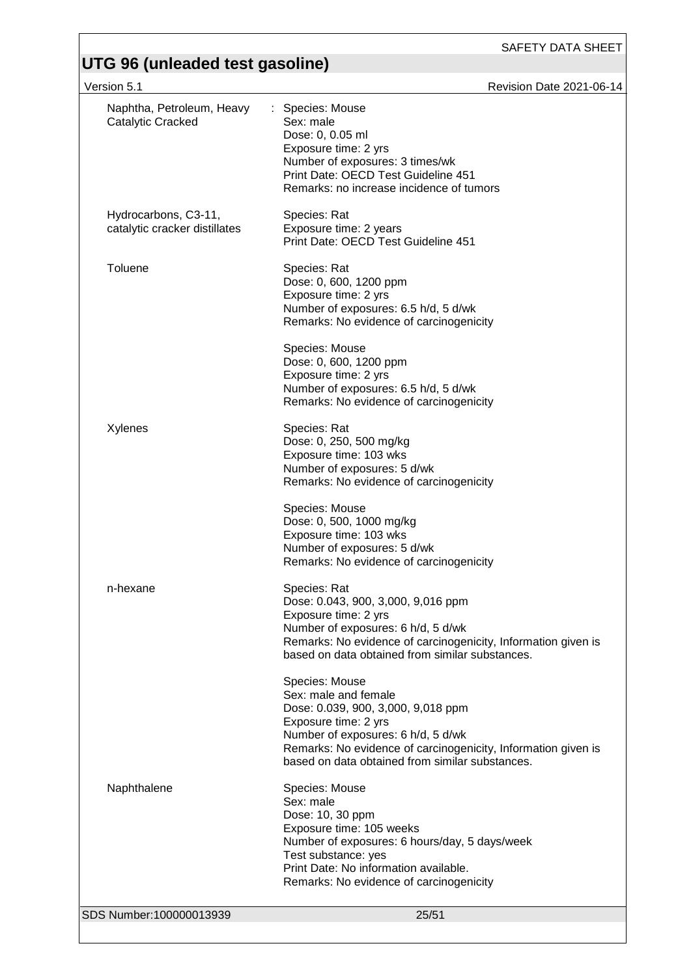| Version 5.1                                           | Revision Date 2021-06-14                                                                                                                                                                                                                                       |
|-------------------------------------------------------|----------------------------------------------------------------------------------------------------------------------------------------------------------------------------------------------------------------------------------------------------------------|
| Naphtha, Petroleum, Heavy<br>Catalytic Cracked        | : Species: Mouse<br>Sex: male<br>Dose: 0, 0.05 ml<br>Exposure time: 2 yrs<br>Number of exposures: 3 times/wk<br>Print Date: OECD Test Guideline 451<br>Remarks: no increase incidence of tumors                                                                |
| Hydrocarbons, C3-11,<br>catalytic cracker distillates | Species: Rat<br>Exposure time: 2 years<br>Print Date: OECD Test Guideline 451                                                                                                                                                                                  |
| <b>Toluene</b>                                        | Species: Rat<br>Dose: 0, 600, 1200 ppm<br>Exposure time: 2 yrs<br>Number of exposures: 6.5 h/d, 5 d/wk<br>Remarks: No evidence of carcinogenicity<br>Species: Mouse                                                                                            |
|                                                       | Dose: 0, 600, 1200 ppm<br>Exposure time: 2 yrs<br>Number of exposures: 6.5 h/d, 5 d/wk<br>Remarks: No evidence of carcinogenicity                                                                                                                              |
| Xylenes                                               | Species: Rat<br>Dose: 0, 250, 500 mg/kg<br>Exposure time: 103 wks<br>Number of exposures: 5 d/wk<br>Remarks: No evidence of carcinogenicity                                                                                                                    |
|                                                       | Species: Mouse<br>Dose: 0, 500, 1000 mg/kg<br>Exposure time: 103 wks<br>Number of exposures: 5 d/wk<br>Remarks: No evidence of carcinogenicity                                                                                                                 |
| n-hexane                                              | Species: Rat<br>Dose: 0.043, 900, 3,000, 9,016 ppm<br>Exposure time: 2 yrs<br>Number of exposures: 6 h/d, 5 d/wk<br>Remarks: No evidence of carcinogenicity, Information given is<br>based on data obtained from similar substances.                           |
|                                                       | Species: Mouse<br>Sex: male and female<br>Dose: 0.039, 900, 3,000, 9,018 ppm<br>Exposure time: 2 yrs<br>Number of exposures: 6 h/d, 5 d/wk<br>Remarks: No evidence of carcinogenicity, Information given is<br>based on data obtained from similar substances. |
| Naphthalene                                           | Species: Mouse<br>Sex: male<br>Dose: 10, 30 ppm<br>Exposure time: 105 weeks<br>Number of exposures: 6 hours/day, 5 days/week<br>Test substance: yes<br>Print Date: No information available.<br>Remarks: No evidence of carcinogenicity                        |
| SDS Number:100000013939                               | 25/51                                                                                                                                                                                                                                                          |
|                                                       |                                                                                                                                                                                                                                                                |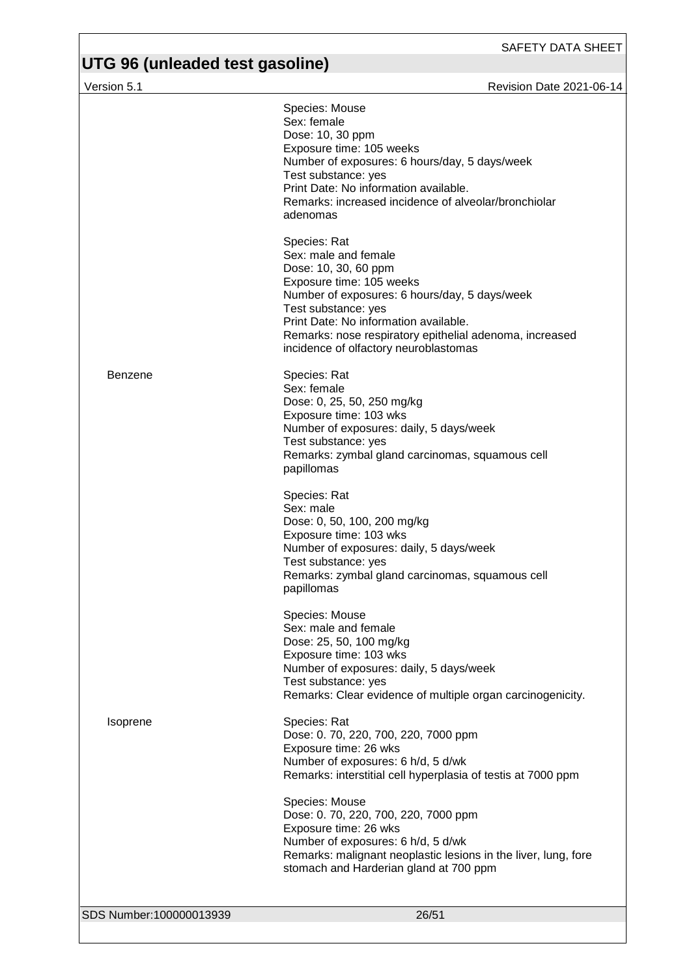Version 5.1 **New Search 2021-06-14** Revision Date 2021-06-14 SDS Number:100000013939 26/51 Species: Mouse Sex: female Dose: 10, 30 ppm Exposure time: 105 weeks Number of exposures: 6 hours/day, 5 days/week Test substance: yes Print Date: No information available. Remarks: increased incidence of alveolar/bronchiolar adenomas Species: Rat Sex: male and female Dose: 10, 30, 60 ppm Exposure time: 105 weeks Number of exposures: 6 hours/day, 5 days/week Test substance: yes Print Date: No information available. Remarks: nose respiratory epithelial adenoma, increased incidence of olfactory neuroblastomas Benzene Species: Rat Sex: female Dose: 0, 25, 50, 250 mg/kg Exposure time: 103 wks Number of exposures: daily, 5 days/week Test substance: yes Remarks: zymbal gland carcinomas, squamous cell papillomas Species: Rat Sex: male Dose: 0, 50, 100, 200 mg/kg Exposure time: 103 wks Number of exposures: daily, 5 days/week Test substance: yes Remarks: zymbal gland carcinomas, squamous cell papillomas Species: Mouse Sex: male and female Dose: 25, 50, 100 mg/kg Exposure time: 103 wks Number of exposures: daily, 5 days/week Test substance: yes Remarks: Clear evidence of multiple organ carcinogenicity. Isoprene Species: Rat Dose: 0. 70, 220, 700, 220, 7000 ppm Exposure time: 26 wks Number of exposures: 6 h/d, 5 d/wk Remarks: interstitial cell hyperplasia of testis at 7000 ppm Species: Mouse Dose: 0. 70, 220, 700, 220, 7000 ppm Exposure time: 26 wks Number of exposures: 6 h/d, 5 d/wk Remarks: malignant neoplastic lesions in the liver, lung, fore stomach and Harderian gland at 700 ppm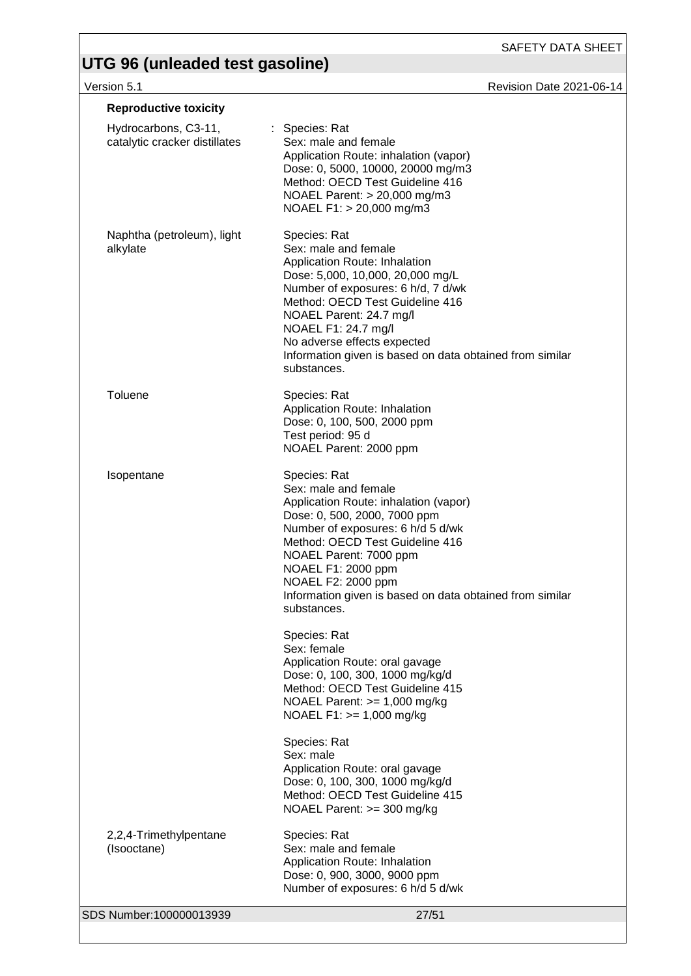SAFETY DATA SHEET

Version 5.1 Revision Date 2021-06-14

| <b>Reproductive toxicity</b>                          |                                                                                                                                                                                                                                                                                                                                                |
|-------------------------------------------------------|------------------------------------------------------------------------------------------------------------------------------------------------------------------------------------------------------------------------------------------------------------------------------------------------------------------------------------------------|
| Hydrocarbons, C3-11,<br>catalytic cracker distillates | : Species: Rat<br>Sex: male and female<br>Application Route: inhalation (vapor)<br>Dose: 0, 5000, 10000, 20000 mg/m3<br>Method: OECD Test Guideline 416<br>NOAEL Parent: > 20,000 mg/m3<br>NOAEL F1: > 20,000 mg/m3                                                                                                                            |
| Naphtha (petroleum), light<br>alkylate                | Species: Rat<br>Sex: male and female<br>Application Route: Inhalation<br>Dose: 5,000, 10,000, 20,000 mg/L<br>Number of exposures: 6 h/d, 7 d/wk<br>Method: OECD Test Guideline 416<br>NOAEL Parent: 24.7 mg/l<br>NOAEL F1: 24.7 mg/l<br>No adverse effects expected<br>Information given is based on data obtained from similar<br>substances. |
| Toluene                                               | Species: Rat<br>Application Route: Inhalation<br>Dose: 0, 100, 500, 2000 ppm<br>Test period: 95 d<br>NOAEL Parent: 2000 ppm                                                                                                                                                                                                                    |
| Isopentane                                            | Species: Rat<br>Sex: male and female<br>Application Route: inhalation (vapor)<br>Dose: 0, 500, 2000, 7000 ppm<br>Number of exposures: 6 h/d 5 d/wk<br>Method: OECD Test Guideline 416<br>NOAEL Parent: 7000 ppm<br>NOAEL F1: 2000 ppm<br>NOAEL F2: 2000 ppm<br>Information given is based on data obtained from similar<br>substances.         |
|                                                       | Species: Rat<br>Sex: female<br>Application Route: oral gavage<br>Dose: 0, 100, 300, 1000 mg/kg/d<br>Method: OECD Test Guideline 415<br>NOAEL Parent: $>= 1,000$ mg/kg<br>NOAEL F1: >= 1,000 mg/kg                                                                                                                                              |
|                                                       | Species: Rat<br>Sex: male<br>Application Route: oral gavage<br>Dose: 0, 100, 300, 1000 mg/kg/d<br>Method: OECD Test Guideline 415<br>NOAEL Parent: >= 300 mg/kg                                                                                                                                                                                |
| 2,2,4-Trimethylpentane<br>(Isooctane)                 | Species: Rat<br>Sex: male and female<br>Application Route: Inhalation<br>Dose: 0, 900, 3000, 9000 ppm<br>Number of exposures: 6 h/d 5 d/wk                                                                                                                                                                                                     |
| SDS Number:100000013939                               | 27/51                                                                                                                                                                                                                                                                                                                                          |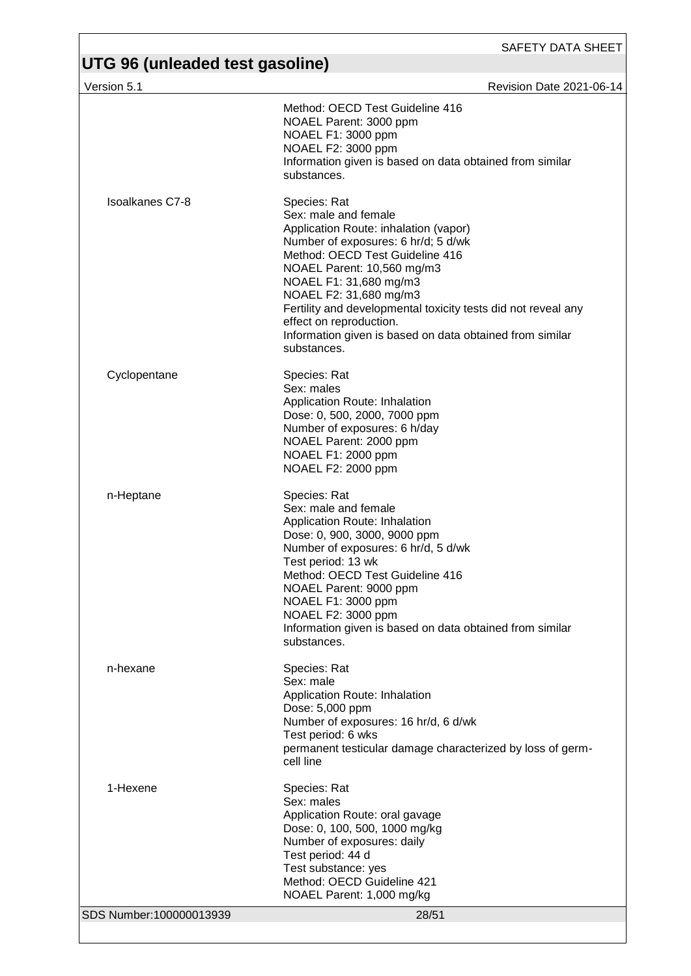| $\sim$ . $\sim$ 00 (anioadod tool gabonno)<br>Version 5.1 | Revision Date 2021-06-14                                                                                                                                                                                                                                                                                                                                                                                         |
|-----------------------------------------------------------|------------------------------------------------------------------------------------------------------------------------------------------------------------------------------------------------------------------------------------------------------------------------------------------------------------------------------------------------------------------------------------------------------------------|
|                                                           | Method: OECD Test Guideline 416<br>NOAEL Parent: 3000 ppm<br>NOAEL F1: 3000 ppm<br>NOAEL F2: 3000 ppm<br>Information given is based on data obtained from similar<br>substances.                                                                                                                                                                                                                                 |
| <b>Isoalkanes C7-8</b>                                    | Species: Rat<br>Sex: male and female<br>Application Route: inhalation (vapor)<br>Number of exposures: 6 hr/d; 5 d/wk<br>Method: OECD Test Guideline 416<br>NOAEL Parent: 10,560 mg/m3<br>NOAEL F1: 31,680 mg/m3<br>NOAEL F2: 31,680 mg/m3<br>Fertility and developmental toxicity tests did not reveal any<br>effect on reproduction.<br>Information given is based on data obtained from similar<br>substances. |
| Cyclopentane                                              | Species: Rat<br>Sex: males<br>Application Route: Inhalation<br>Dose: 0, 500, 2000, 7000 ppm<br>Number of exposures: 6 h/day<br>NOAEL Parent: 2000 ppm<br>NOAEL F1: 2000 ppm<br>NOAEL F2: 2000 ppm                                                                                                                                                                                                                |
| n-Heptane                                                 | Species: Rat<br>Sex: male and female<br>Application Route: Inhalation<br>Dose: 0, 900, 3000, 9000 ppm<br>Number of exposures: 6 hr/d, 5 d/wk<br>Test period: 13 wk<br>Method: OECD Test Guideline 416<br>NOAEL Parent: 9000 ppm<br>NOAEL F1: 3000 ppm<br>NOAEL F2: 3000 ppm<br>Information given is based on data obtained from similar<br>substances.                                                           |
| n-hexane                                                  | Species: Rat<br>Sex: male<br>Application Route: Inhalation<br>Dose: 5,000 ppm<br>Number of exposures: 16 hr/d, 6 d/wk<br>Test period: 6 wks<br>permanent testicular damage characterized by loss of germ-<br>cell line                                                                                                                                                                                           |
| 1-Hexene                                                  | Species: Rat<br>Sex: males<br>Application Route: oral gavage<br>Dose: 0, 100, 500, 1000 mg/kg<br>Number of exposures: daily<br>Test period: 44 d<br>Test substance: yes<br>Method: OECD Guideline 421<br>NOAEL Parent: 1,000 mg/kg                                                                                                                                                                               |
| SDS Number:100000013939                                   | 28/51                                                                                                                                                                                                                                                                                                                                                                                                            |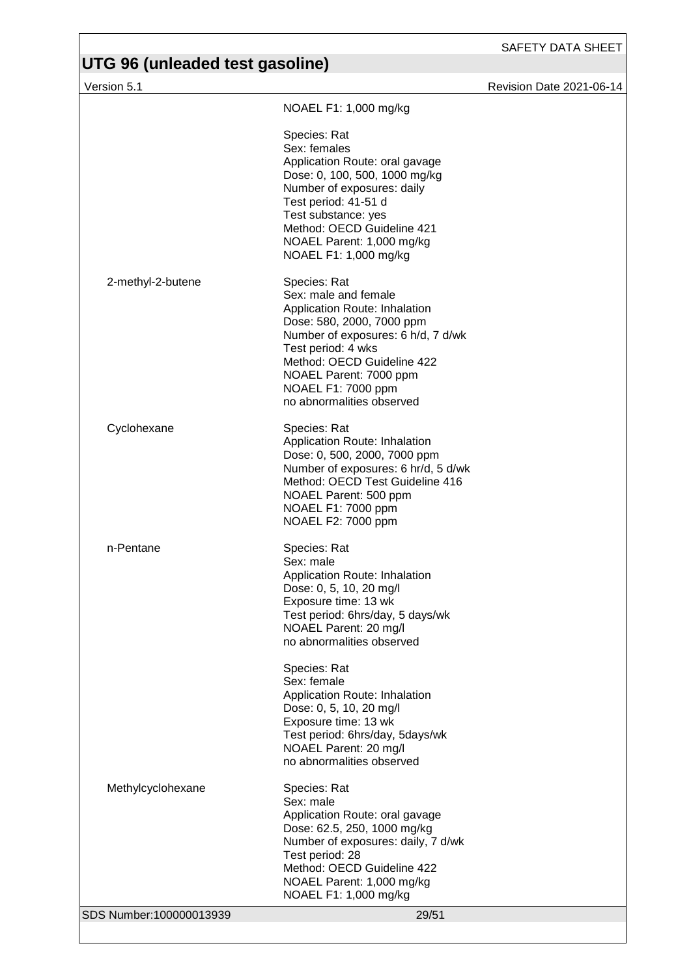Version 5.1 Revision Date 2021-06-14

|                         | NOAEL F1: 1,000 mg/kg                                                                                                                                                                                                                                                     |
|-------------------------|---------------------------------------------------------------------------------------------------------------------------------------------------------------------------------------------------------------------------------------------------------------------------|
|                         | Species: Rat<br>Sex: females<br>Application Route: oral gavage<br>Dose: 0, 100, 500, 1000 mg/kg<br>Number of exposures: daily<br>Test period: 41-51 d<br>Test substance: yes<br>Method: OECD Guideline 421<br>NOAEL Parent: 1,000 mg/kg<br>NOAEL F1: 1,000 mg/kg          |
| 2-methyl-2-butene       | Species: Rat<br>Sex: male and female<br>Application Route: Inhalation<br>Dose: 580, 2000, 7000 ppm<br>Number of exposures: 6 h/d, 7 d/wk<br>Test period: 4 wks<br>Method: OECD Guideline 422<br>NOAEL Parent: 7000 ppm<br>NOAEL F1: 7000 ppm<br>no abnormalities observed |
| Cyclohexane             | Species: Rat<br>Application Route: Inhalation<br>Dose: 0, 500, 2000, 7000 ppm<br>Number of exposures: 6 hr/d, 5 d/wk<br>Method: OECD Test Guideline 416<br>NOAEL Parent: 500 ppm<br>NOAEL F1: 7000 ppm<br>NOAEL F2: 7000 ppm                                              |
| n-Pentane               | Species: Rat<br>Sex: male<br>Application Route: Inhalation<br>Dose: 0, 5, 10, 20 mg/l<br>Exposure time: 13 wk<br>Test period: 6hrs/day, 5 days/wk<br>NOAEL Parent: 20 mg/l<br>no abnormalities observed                                                                   |
|                         | Species: Rat<br>Sex: female<br>Application Route: Inhalation<br>Dose: 0, 5, 10, 20 mg/l<br>Exposure time: 13 wk<br>Test period: 6hrs/day, 5days/wk<br>NOAEL Parent: 20 mg/l<br>no abnormalities observed                                                                  |
| Methylcyclohexane       | Species: Rat<br>Sex: male<br>Application Route: oral gavage<br>Dose: 62.5, 250, 1000 mg/kg<br>Number of exposures: daily, 7 d/wk<br>Test period: 28<br>Method: OECD Guideline 422<br>NOAEL Parent: 1,000 mg/kg<br>NOAEL F1: 1,000 mg/kg                                   |
| SDS Number:100000013939 | 29/51                                                                                                                                                                                                                                                                     |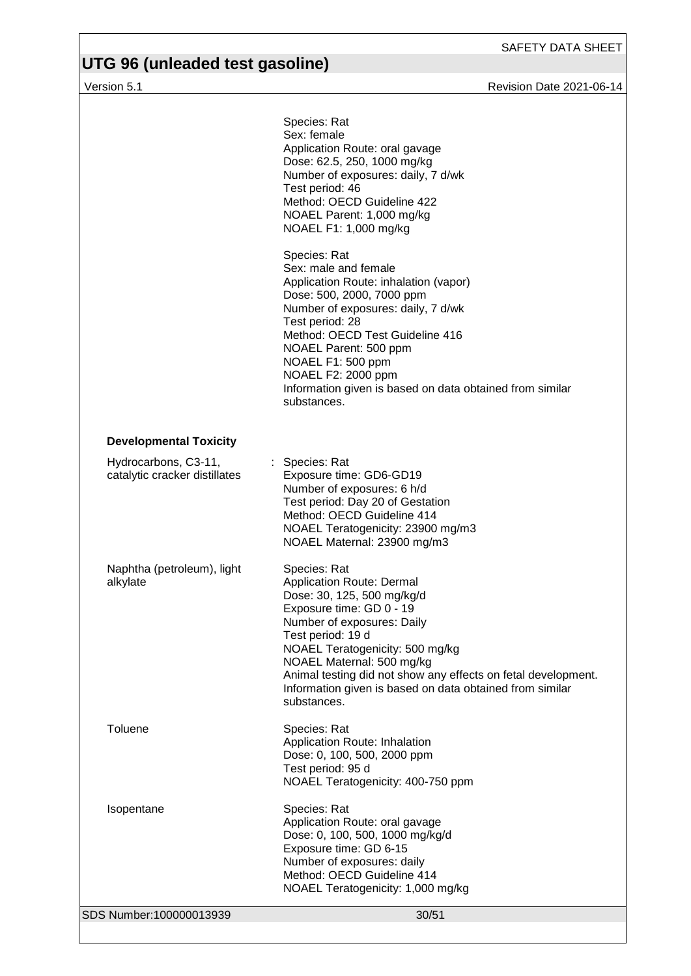# **UTG 96 (unleaded test gasoline)**

Version 5.1 Revision Date 2021-06-14

|                                                       | Species: Rat<br>Sex: female<br>Application Route: oral gavage<br>Dose: 62.5, 250, 1000 mg/kg<br>Number of exposures: daily, 7 d/wk<br>Test period: 46<br>Method: OECD Guideline 422<br>NOAEL Parent: 1,000 mg/kg<br>NOAEL F1: 1,000 mg/kg                                                                                                                                 |
|-------------------------------------------------------|---------------------------------------------------------------------------------------------------------------------------------------------------------------------------------------------------------------------------------------------------------------------------------------------------------------------------------------------------------------------------|
|                                                       | Species: Rat<br>Sex: male and female<br>Application Route: inhalation (vapor)<br>Dose: 500, 2000, 7000 ppm<br>Number of exposures: daily, 7 d/wk<br>Test period: 28<br>Method: OECD Test Guideline 416<br>NOAEL Parent: 500 ppm<br>NOAEL F1: 500 ppm<br>NOAEL F2: 2000 ppm<br>Information given is based on data obtained from similar<br>substances.                     |
| <b>Developmental Toxicity</b>                         |                                                                                                                                                                                                                                                                                                                                                                           |
| Hydrocarbons, C3-11,<br>catalytic cracker distillates | : Species: Rat<br>Exposure time: GD6-GD19<br>Number of exposures: 6 h/d<br>Test period: Day 20 of Gestation<br>Method: OECD Guideline 414<br>NOAEL Teratogenicity: 23900 mg/m3<br>NOAEL Maternal: 23900 mg/m3                                                                                                                                                             |
| Naphtha (petroleum), light<br>alkylate                | Species: Rat<br><b>Application Route: Dermal</b><br>Dose: 30, 125, 500 mg/kg/d<br>Exposure time: GD 0 - 19<br>Number of exposures: Daily<br>Test period: 19 d<br>NOAEL Teratogenicity: 500 mg/kg<br>NOAEL Maternal: 500 mg/kg<br>Animal testing did not show any effects on fetal development.<br>Information given is based on data obtained from similar<br>substances. |
| Toluene                                               | Species: Rat<br>Application Route: Inhalation<br>Dose: 0, 100, 500, 2000 ppm<br>Test period: 95 d<br>NOAEL Teratogenicity: 400-750 ppm                                                                                                                                                                                                                                    |
| Isopentane                                            | Species: Rat<br>Application Route: oral gavage<br>Dose: 0, 100, 500, 1000 mg/kg/d<br>Exposure time: GD 6-15<br>Number of exposures: daily<br>Method: OECD Guideline 414<br>NOAEL Teratogenicity: 1,000 mg/kg                                                                                                                                                              |
| SDS Number:100000013939                               | 30/51                                                                                                                                                                                                                                                                                                                                                                     |
|                                                       |                                                                                                                                                                                                                                                                                                                                                                           |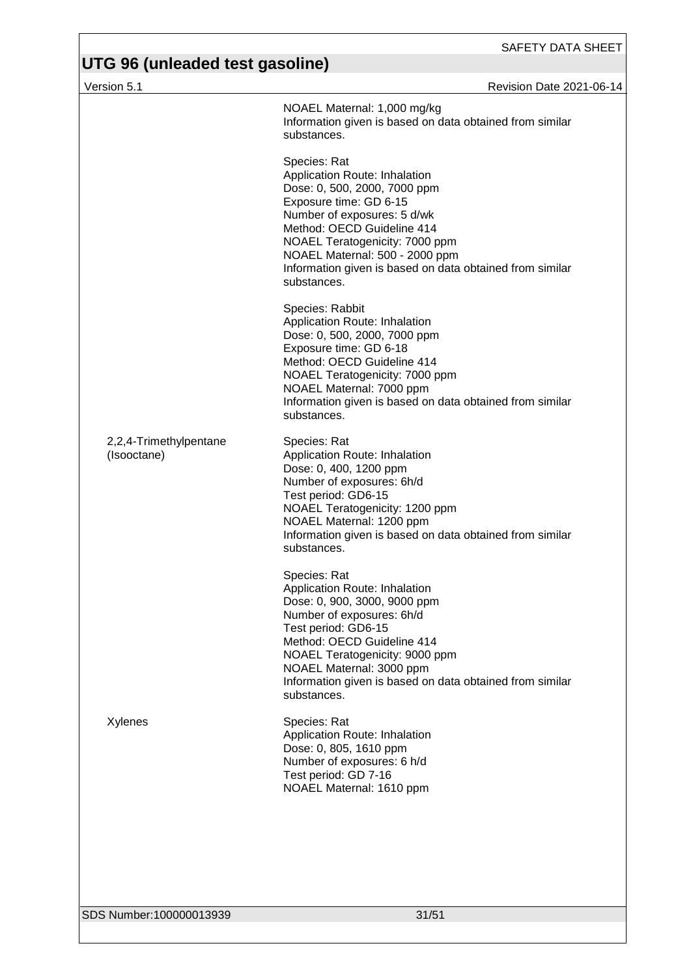| Version 5.1                           | Revision Date 2021-06-14                                                                                                                                                                                                                                                                                            |
|---------------------------------------|---------------------------------------------------------------------------------------------------------------------------------------------------------------------------------------------------------------------------------------------------------------------------------------------------------------------|
|                                       | NOAEL Maternal: 1,000 mg/kg<br>Information given is based on data obtained from similar<br>substances.                                                                                                                                                                                                              |
|                                       | Species: Rat<br>Application Route: Inhalation<br>Dose: 0, 500, 2000, 7000 ppm<br>Exposure time: GD 6-15<br>Number of exposures: 5 d/wk<br>Method: OECD Guideline 414<br>NOAEL Teratogenicity: 7000 ppm<br>NOAEL Maternal: 500 - 2000 ppm<br>Information given is based on data obtained from similar<br>substances. |
|                                       | Species: Rabbit<br>Application Route: Inhalation<br>Dose: 0, 500, 2000, 7000 ppm<br>Exposure time: GD 6-18<br>Method: OECD Guideline 414<br>NOAEL Teratogenicity: 7000 ppm<br>NOAEL Maternal: 7000 ppm<br>Information given is based on data obtained from similar<br>substances.                                   |
| 2,2,4-Trimethylpentane<br>(Isooctane) | Species: Rat<br>Application Route: Inhalation<br>Dose: 0, 400, 1200 ppm<br>Number of exposures: 6h/d<br>Test period: GD6-15<br>NOAEL Teratogenicity: 1200 ppm<br>NOAEL Maternal: 1200 ppm<br>Information given is based on data obtained from similar<br>substances.                                                |
|                                       | Species: Rat<br>Application Route: Inhalation<br>Dose: 0, 900, 3000, 9000 ppm<br>Number of exposures: 6h/d<br>Test period: GD6-15<br>Method: OECD Guideline 414<br>NOAEL Teratogenicity: 9000 ppm<br>NOAEL Maternal: 3000 ppm<br>Information given is based on data obtained from similar<br>substances.            |
| Xylenes                               | Species: Rat<br>Application Route: Inhalation<br>Dose: 0, 805, 1610 ppm<br>Number of exposures: 6 h/d<br>Test period: GD 7-16<br>NOAEL Maternal: 1610 ppm                                                                                                                                                           |
|                                       |                                                                                                                                                                                                                                                                                                                     |

SDS Number:100000013939 31/51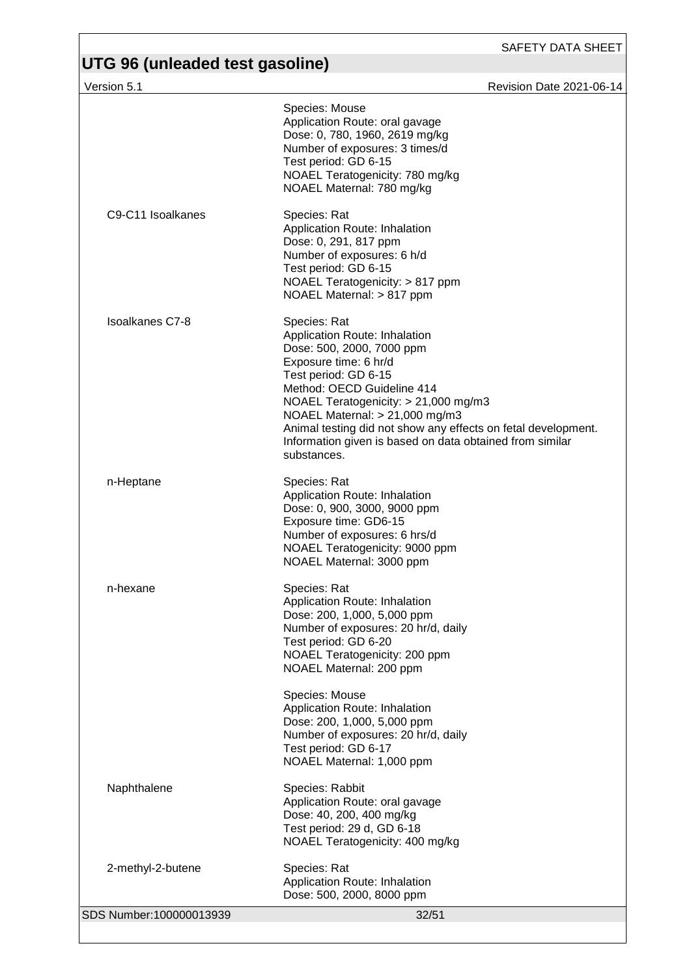| Version 5.1             | Revision Date 2021-06-14                                                                                                                                                                                                                                                                                                                                                          |
|-------------------------|-----------------------------------------------------------------------------------------------------------------------------------------------------------------------------------------------------------------------------------------------------------------------------------------------------------------------------------------------------------------------------------|
|                         | Species: Mouse<br>Application Route: oral gavage<br>Dose: 0, 780, 1960, 2619 mg/kg<br>Number of exposures: 3 times/d<br>Test period: GD 6-15<br>NOAEL Teratogenicity: 780 mg/kg<br>NOAEL Maternal: 780 mg/kg                                                                                                                                                                      |
| C9-C11 Isoalkanes       | Species: Rat<br>Application Route: Inhalation<br>Dose: 0, 291, 817 ppm<br>Number of exposures: 6 h/d<br>Test period: GD 6-15<br>NOAEL Teratogenicity: > 817 ppm<br>NOAEL Maternal: > 817 ppm                                                                                                                                                                                      |
| <b>Isoalkanes C7-8</b>  | Species: Rat<br>Application Route: Inhalation<br>Dose: 500, 2000, 7000 ppm<br>Exposure time: 6 hr/d<br>Test period: GD 6-15<br>Method: OECD Guideline 414<br>NOAEL Teratogenicity: > 21,000 mg/m3<br>NOAEL Maternal: $> 21,000$ mg/m3<br>Animal testing did not show any effects on fetal development.<br>Information given is based on data obtained from similar<br>substances. |
| n-Heptane               | Species: Rat<br>Application Route: Inhalation<br>Dose: 0, 900, 3000, 9000 ppm<br>Exposure time: GD6-15<br>Number of exposures: 6 hrs/d<br>NOAEL Teratogenicity: 9000 ppm<br>NOAEL Maternal: 3000 ppm                                                                                                                                                                              |
| n-hexane                | Species: Rat<br>Application Route: Inhalation<br>Dose: 200, 1,000, 5,000 ppm<br>Number of exposures: 20 hr/d, daily<br>Test period: GD 6-20<br>NOAEL Teratogenicity: 200 ppm<br>NOAEL Maternal: 200 ppm                                                                                                                                                                           |
|                         | Species: Mouse<br>Application Route: Inhalation<br>Dose: 200, 1,000, 5,000 ppm<br>Number of exposures: 20 hr/d, daily<br>Test period: GD 6-17<br>NOAEL Maternal: 1,000 ppm                                                                                                                                                                                                        |
| Naphthalene             | Species: Rabbit<br>Application Route: oral gavage<br>Dose: 40, 200, 400 mg/kg<br>Test period: 29 d, GD 6-18<br>NOAEL Teratogenicity: 400 mg/kg                                                                                                                                                                                                                                    |
| 2-methyl-2-butene       | Species: Rat<br>Application Route: Inhalation<br>Dose: 500, 2000, 8000 ppm                                                                                                                                                                                                                                                                                                        |
| SDS Number:100000013939 | 32/51                                                                                                                                                                                                                                                                                                                                                                             |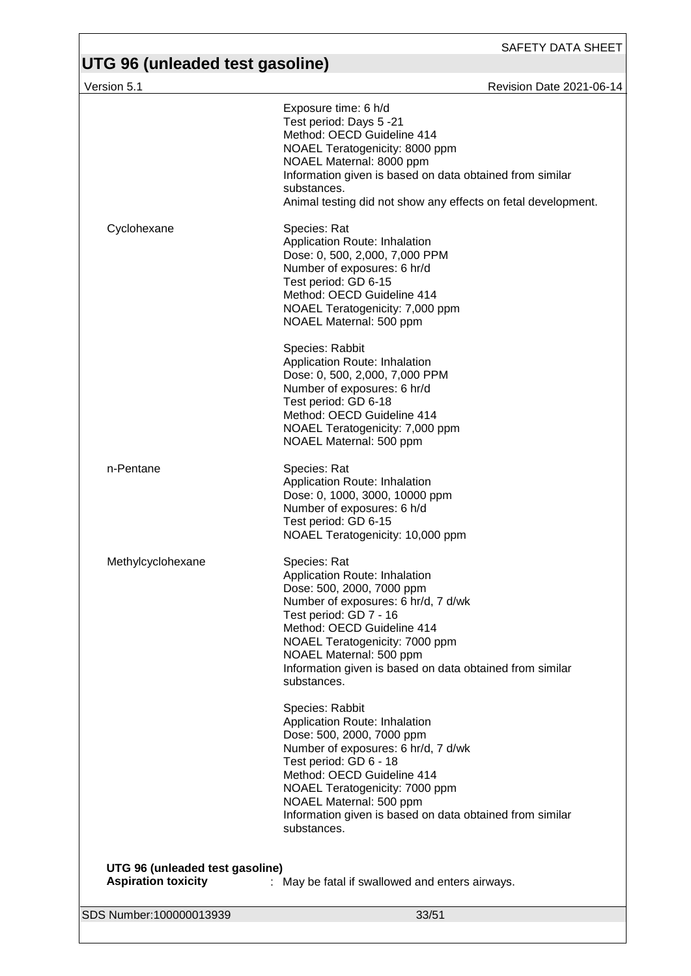Version 5.1 **New York 2021-06-14** 

|                                                               | Exposure time: 6 h/d<br>Test period: Days 5 -21<br>Method: OECD Guideline 414<br>NOAEL Teratogenicity: 8000 ppm<br>NOAEL Maternal: 8000 ppm<br>Information given is based on data obtained from similar<br>substances.<br>Animal testing did not show any effects on fetal development.                              |
|---------------------------------------------------------------|----------------------------------------------------------------------------------------------------------------------------------------------------------------------------------------------------------------------------------------------------------------------------------------------------------------------|
| Cyclohexane                                                   | Species: Rat<br>Application Route: Inhalation<br>Dose: 0, 500, 2,000, 7,000 PPM<br>Number of exposures: 6 hr/d<br>Test period: GD 6-15<br>Method: OECD Guideline 414<br>NOAEL Teratogenicity: 7,000 ppm<br>NOAEL Maternal: 500 ppm                                                                                   |
|                                                               | Species: Rabbit<br>Application Route: Inhalation<br>Dose: 0, 500, 2,000, 7,000 PPM<br>Number of exposures: 6 hr/d<br>Test period: GD 6-18<br>Method: OECD Guideline 414<br>NOAEL Teratogenicity: 7,000 ppm<br>NOAEL Maternal: 500 ppm                                                                                |
| n-Pentane                                                     | Species: Rat<br>Application Route: Inhalation<br>Dose: 0, 1000, 3000, 10000 ppm<br>Number of exposures: 6 h/d<br>Test period: GD 6-15<br>NOAEL Teratogenicity: 10,000 ppm                                                                                                                                            |
| Methylcyclohexane                                             | Species: Rat<br>Application Route: Inhalation<br>Dose: 500, 2000, 7000 ppm<br>Number of exposures: 6 hr/d, 7 d/wk<br>Test period: GD 7 - 16<br>Method: OECD Guideline 414<br>NOAEL Teratogenicity: 7000 ppm<br>NOAEL Maternal: 500 ppm<br>Information given is based on data obtained from similar<br>substances.    |
|                                                               | Species: Rabbit<br>Application Route: Inhalation<br>Dose: 500, 2000, 7000 ppm<br>Number of exposures: 6 hr/d, 7 d/wk<br>Test period: GD 6 - 18<br>Method: OECD Guideline 414<br>NOAEL Teratogenicity: 7000 ppm<br>NOAEL Maternal: 500 ppm<br>Information given is based on data obtained from similar<br>substances. |
| UTG 96 (unleaded test gasoline)<br><b>Aspiration toxicity</b> | : May be fatal if swallowed and enters airways.                                                                                                                                                                                                                                                                      |
| SDS Number:100000013939                                       | 33/51                                                                                                                                                                                                                                                                                                                |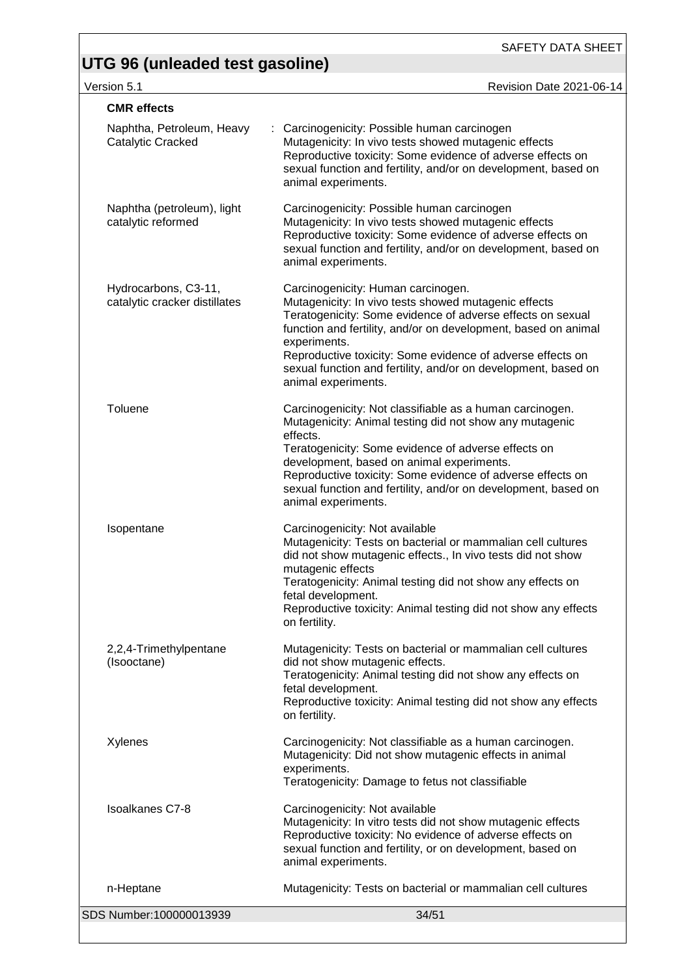SAFETY DATA SHEET

Version 5.1 Revision Date 2021-06-14

| <b>CMR</b> effects                                    |                                                                                                                                                                                                                                                                                                                                                                                                   |
|-------------------------------------------------------|---------------------------------------------------------------------------------------------------------------------------------------------------------------------------------------------------------------------------------------------------------------------------------------------------------------------------------------------------------------------------------------------------|
| Naphtha, Petroleum, Heavy<br>Catalytic Cracked        | : Carcinogenicity: Possible human carcinogen<br>Mutagenicity: In vivo tests showed mutagenic effects<br>Reproductive toxicity: Some evidence of adverse effects on<br>sexual function and fertility, and/or on development, based on<br>animal experiments.                                                                                                                                       |
| Naphtha (petroleum), light<br>catalytic reformed      | Carcinogenicity: Possible human carcinogen<br>Mutagenicity: In vivo tests showed mutagenic effects<br>Reproductive toxicity: Some evidence of adverse effects on<br>sexual function and fertility, and/or on development, based on<br>animal experiments.                                                                                                                                         |
| Hydrocarbons, C3-11,<br>catalytic cracker distillates | Carcinogenicity: Human carcinogen.<br>Mutagenicity: In vivo tests showed mutagenic effects<br>Teratogenicity: Some evidence of adverse effects on sexual<br>function and fertility, and/or on development, based on animal<br>experiments.<br>Reproductive toxicity: Some evidence of adverse effects on<br>sexual function and fertility, and/or on development, based on<br>animal experiments. |
| Toluene                                               | Carcinogenicity: Not classifiable as a human carcinogen.<br>Mutagenicity: Animal testing did not show any mutagenic<br>effects.<br>Teratogenicity: Some evidence of adverse effects on<br>development, based on animal experiments.<br>Reproductive toxicity: Some evidence of adverse effects on<br>sexual function and fertility, and/or on development, based on<br>animal experiments.        |
| Isopentane                                            | Carcinogenicity: Not available<br>Mutagenicity: Tests on bacterial or mammalian cell cultures<br>did not show mutagenic effects., In vivo tests did not show<br>mutagenic effects<br>Teratogenicity: Animal testing did not show any effects on<br>fetal development.<br>Reproductive toxicity: Animal testing did not show any effects<br>on fertility.                                          |
| 2,2,4-Trimethylpentane<br>(Isooctane)                 | Mutagenicity: Tests on bacterial or mammalian cell cultures<br>did not show mutagenic effects.<br>Teratogenicity: Animal testing did not show any effects on<br>fetal development.<br>Reproductive toxicity: Animal testing did not show any effects<br>on fertility.                                                                                                                             |
| Xylenes                                               | Carcinogenicity: Not classifiable as a human carcinogen.<br>Mutagenicity: Did not show mutagenic effects in animal<br>experiments.<br>Teratogenicity: Damage to fetus not classifiable                                                                                                                                                                                                            |
| <b>Isoalkanes C7-8</b>                                | Carcinogenicity: Not available<br>Mutagenicity: In vitro tests did not show mutagenic effects<br>Reproductive toxicity: No evidence of adverse effects on<br>sexual function and fertility, or on development, based on<br>animal experiments.                                                                                                                                                    |
| n-Heptane                                             | Mutagenicity: Tests on bacterial or mammalian cell cultures                                                                                                                                                                                                                                                                                                                                       |
| SDS Number:100000013939                               | 34/51                                                                                                                                                                                                                                                                                                                                                                                             |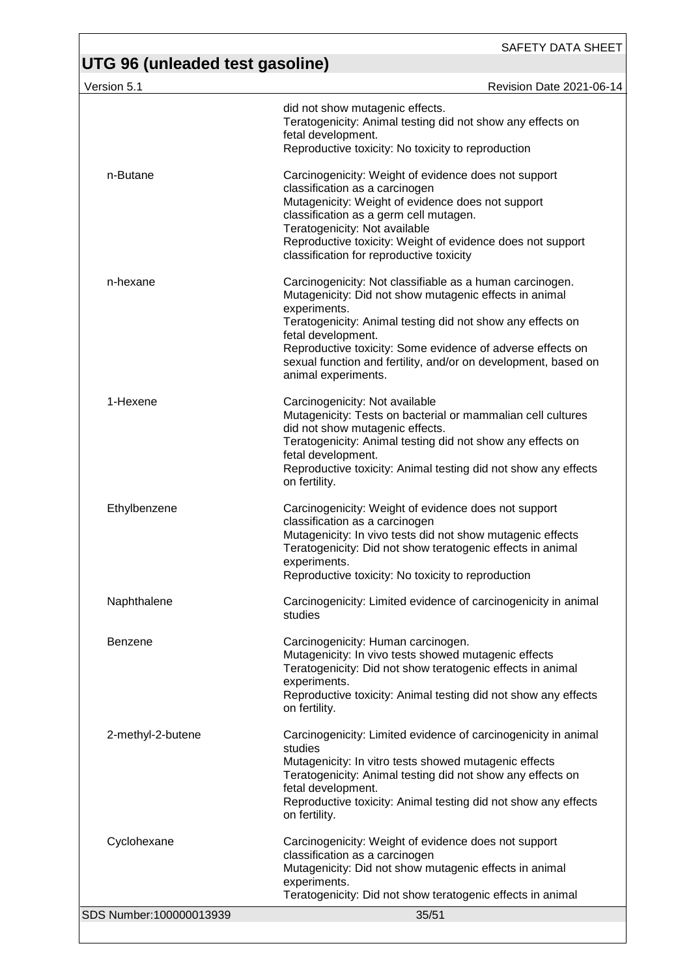| Version 5.1             | Revision Date 2021-06-14                                                                                                                                                                                                                                                                                                                                                      |
|-------------------------|-------------------------------------------------------------------------------------------------------------------------------------------------------------------------------------------------------------------------------------------------------------------------------------------------------------------------------------------------------------------------------|
|                         | did not show mutagenic effects.<br>Teratogenicity: Animal testing did not show any effects on<br>fetal development.<br>Reproductive toxicity: No toxicity to reproduction                                                                                                                                                                                                     |
| n-Butane                | Carcinogenicity: Weight of evidence does not support<br>classification as a carcinogen<br>Mutagenicity: Weight of evidence does not support<br>classification as a germ cell mutagen.<br>Teratogenicity: Not available<br>Reproductive toxicity: Weight of evidence does not support<br>classification for reproductive toxicity                                              |
| n-hexane                | Carcinogenicity: Not classifiable as a human carcinogen.<br>Mutagenicity: Did not show mutagenic effects in animal<br>experiments.<br>Teratogenicity: Animal testing did not show any effects on<br>fetal development.<br>Reproductive toxicity: Some evidence of adverse effects on<br>sexual function and fertility, and/or on development, based on<br>animal experiments. |
| 1-Hexene                | Carcinogenicity: Not available<br>Mutagenicity: Tests on bacterial or mammalian cell cultures<br>did not show mutagenic effects.<br>Teratogenicity: Animal testing did not show any effects on<br>fetal development.<br>Reproductive toxicity: Animal testing did not show any effects<br>on fertility.                                                                       |
| Ethylbenzene            | Carcinogenicity: Weight of evidence does not support<br>classification as a carcinogen<br>Mutagenicity: In vivo tests did not show mutagenic effects<br>Teratogenicity: Did not show teratogenic effects in animal<br>experiments.<br>Reproductive toxicity: No toxicity to reproduction                                                                                      |
| Naphthalene             | Carcinogenicity: Limited evidence of carcinogenicity in animal<br>studies                                                                                                                                                                                                                                                                                                     |
| <b>Benzene</b>          | Carcinogenicity: Human carcinogen.<br>Mutagenicity: In vivo tests showed mutagenic effects<br>Teratogenicity: Did not show teratogenic effects in animal<br>experiments.<br>Reproductive toxicity: Animal testing did not show any effects<br>on fertility.                                                                                                                   |
| 2-methyl-2-butene       | Carcinogenicity: Limited evidence of carcinogenicity in animal<br>studies<br>Mutagenicity: In vitro tests showed mutagenic effects<br>Teratogenicity: Animal testing did not show any effects on<br>fetal development.<br>Reproductive toxicity: Animal testing did not show any effects<br>on fertility.                                                                     |
| Cyclohexane             | Carcinogenicity: Weight of evidence does not support<br>classification as a carcinogen<br>Mutagenicity: Did not show mutagenic effects in animal<br>experiments.<br>Teratogenicity: Did not show teratogenic effects in animal                                                                                                                                                |
| SDS Number:100000013939 | 35/51                                                                                                                                                                                                                                                                                                                                                                         |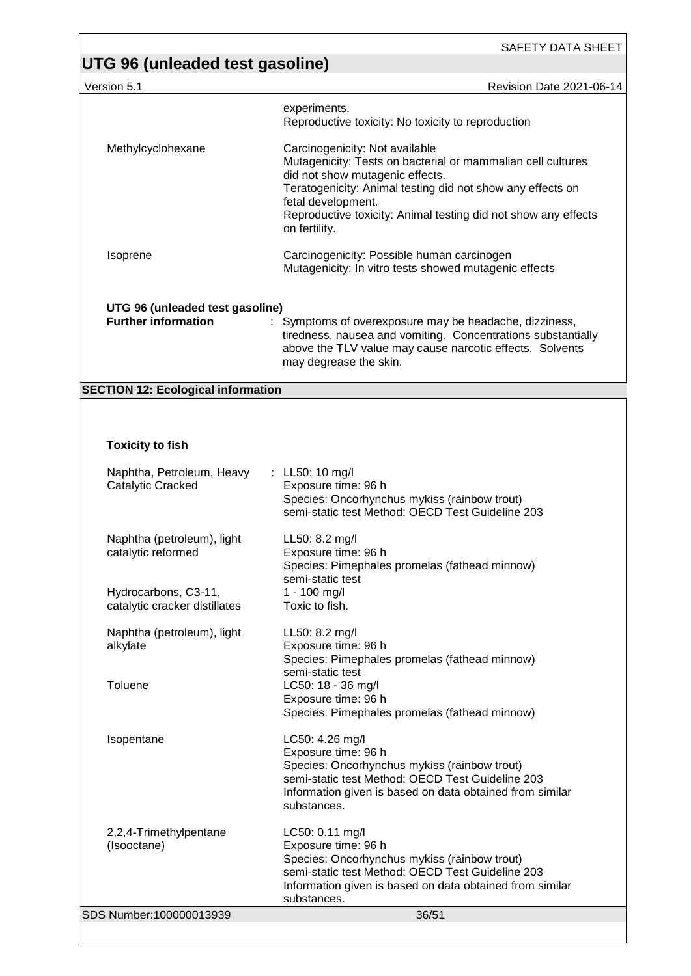| Revision Date 2021-06-14<br>Version 5.1 |  |
|-----------------------------------------|--|
|-----------------------------------------|--|

|                                                               | experiments.<br>Reproductive toxicity: No toxicity to reproduction                                                                                                                                                                                                                                      |
|---------------------------------------------------------------|---------------------------------------------------------------------------------------------------------------------------------------------------------------------------------------------------------------------------------------------------------------------------------------------------------|
| Methylcyclohexane                                             | Carcinogenicity: Not available<br>Mutagenicity: Tests on bacterial or mammalian cell cultures<br>did not show mutagenic effects.<br>Teratogenicity: Animal testing did not show any effects on<br>fetal development.<br>Reproductive toxicity: Animal testing did not show any effects<br>on fertility. |
| Isoprene                                                      | Carcinogenicity: Possible human carcinogen<br>Mutagenicity: In vitro tests showed mutagenic effects                                                                                                                                                                                                     |
| UTG 96 (unleaded test gasoline)<br><b>Further information</b> | Symptoms of overexposure may be headache, dizziness,<br>tiredness, nausea and vomiting. Concentrations substantially<br>above the TLV value may cause narcotic effects. Solvents<br>may degrease the skin.                                                                                              |
| <b>SECTION 12: Ecological information</b>                     |                                                                                                                                                                                                                                                                                                         |
|                                                               |                                                                                                                                                                                                                                                                                                         |
| <b>Toxicity to fish</b>                                       |                                                                                                                                                                                                                                                                                                         |
| Naphtha, Petroleum, Heavy<br>Catalytic Cracked                | : LL50: 10 mg/l<br>Exposure time: 96 h<br>Species: Oncorhynchus mykiss (rainbow trout)<br>semi-static test Method: OECD Test Guideline 203                                                                                                                                                              |
| Naphtha (petroleum), light<br>catalytic reformed              | LL50: 8.2 mg/l<br>Exposure time: 96 h<br>Species: Pimephales promelas (fathead minnow)<br>semi-static test                                                                                                                                                                                              |
| Hydrocarbons, C3-11,<br>catalytic cracker distillates         | $1 - 100$ mg/l<br>Toxic to fish.                                                                                                                                                                                                                                                                        |
| Naphtha (petroleum), light<br>alkylate                        | LL50: 8.2 mg/l<br>Exposure time: 96 h<br>Species: Pimephales promelas (fathead minnow)<br>semi-static test                                                                                                                                                                                              |
| Toluene                                                       | LC50: 18 - 36 mg/l<br>Exposure time: 96 h<br>Species: Pimephales promelas (fathead minnow)                                                                                                                                                                                                              |
| Isopentane                                                    | LC50: 4.26 mg/l<br>Exposure time: 96 h<br>Species: Oncorhynchus mykiss (rainbow trout)<br>semi-static test Method: OECD Test Guideline 203<br>Information given is based on data obtained from similar<br>substances.                                                                                   |
| 2,2,4-Trimethylpentane<br>(Isooctane)                         | LC50: 0.11 mg/l<br>Exposure time: 96 h<br>Species: Oncorhynchus mykiss (rainbow trout)<br>semi-static test Method: OECD Test Guideline 203<br>Information given is based on data obtained from similar<br>substances.                                                                                   |
| SDS Number:100000013939                                       | 36/51                                                                                                                                                                                                                                                                                                   |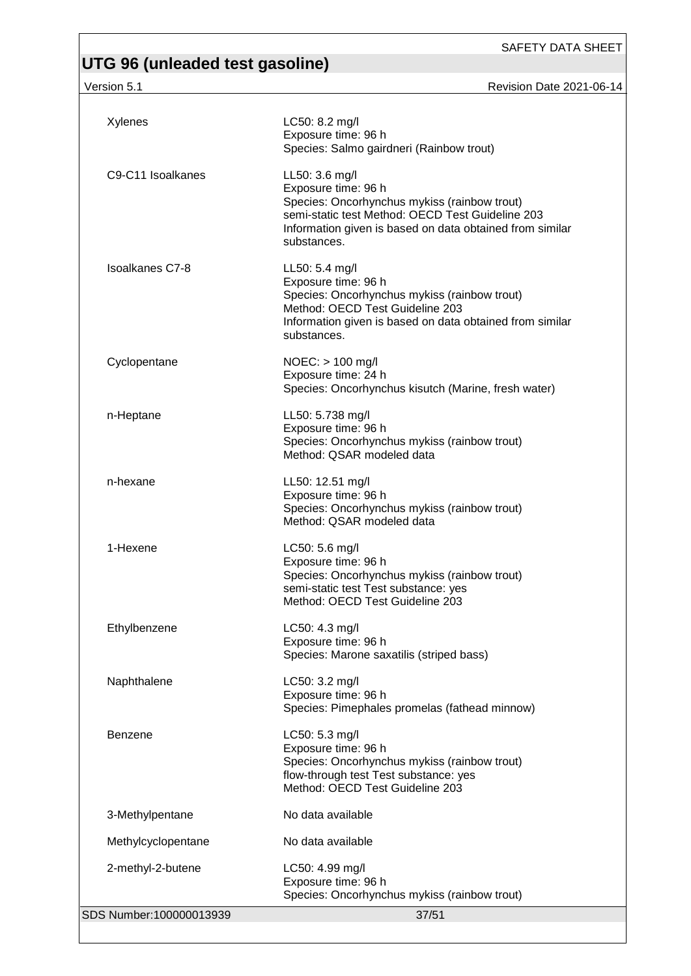version 5.1 Revision Date 2021-06-14

| Xylenes                 | LC50: 8.2 mg/l<br>Exposure time: 96 h<br>Species: Salmo gairdneri (Rainbow trout)                                                                                                                                    |
|-------------------------|----------------------------------------------------------------------------------------------------------------------------------------------------------------------------------------------------------------------|
| C9-C11 Isoalkanes       | LL50: 3.6 mg/l<br>Exposure time: 96 h<br>Species: Oncorhynchus mykiss (rainbow trout)<br>semi-static test Method: OECD Test Guideline 203<br>Information given is based on data obtained from similar<br>substances. |
| <b>Isoalkanes C7-8</b>  | LL50: 5.4 mg/l<br>Exposure time: 96 h<br>Species: Oncorhynchus mykiss (rainbow trout)<br>Method: OECD Test Guideline 203<br>Information given is based on data obtained from similar<br>substances.                  |
| Cyclopentane            | $NOEC:$ > 100 mg/l<br>Exposure time: 24 h<br>Species: Oncorhynchus kisutch (Marine, fresh water)                                                                                                                     |
| n-Heptane               | LL50: 5.738 mg/l<br>Exposure time: 96 h<br>Species: Oncorhynchus mykiss (rainbow trout)<br>Method: QSAR modeled data                                                                                                 |
| n-hexane                | LL50: 12.51 mg/l<br>Exposure time: 96 h<br>Species: Oncorhynchus mykiss (rainbow trout)<br>Method: QSAR modeled data                                                                                                 |
| 1-Hexene                | LC50: 5.6 mg/l<br>Exposure time: 96 h<br>Species: Oncorhynchus mykiss (rainbow trout)<br>semi-static test Test substance: yes<br>Method: OECD Test Guideline 203                                                     |
| Ethylbenzene            | LC50: 4.3 mg/l<br>Exposure time: 96 h<br>Species: Marone saxatilis (striped bass)                                                                                                                                    |
| Naphthalene             | LC50: 3.2 mg/l<br>Exposure time: 96 h<br>Species: Pimephales promelas (fathead minnow)                                                                                                                               |
| <b>Benzene</b>          | LC50: 5.3 mg/l<br>Exposure time: 96 h<br>Species: Oncorhynchus mykiss (rainbow trout)<br>flow-through test Test substance: yes<br>Method: OECD Test Guideline 203                                                    |
| 3-Methylpentane         | No data available                                                                                                                                                                                                    |
| Methylcyclopentane      | No data available                                                                                                                                                                                                    |
| 2-methyl-2-butene       | LC50: 4.99 mg/l<br>Exposure time: 96 h<br>Species: Oncorhynchus mykiss (rainbow trout)                                                                                                                               |
| SDS Number:100000013939 | 37/51                                                                                                                                                                                                                |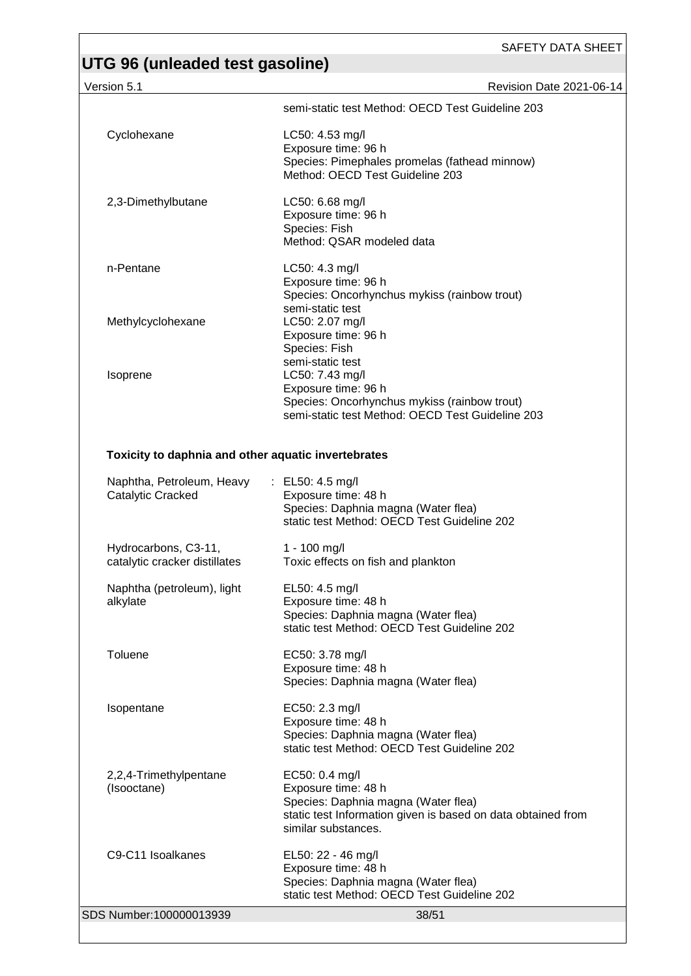| Version 5.1                                           | Revision Date 2021-06-14                                                                                                                                            |
|-------------------------------------------------------|---------------------------------------------------------------------------------------------------------------------------------------------------------------------|
|                                                       | semi-static test Method: OECD Test Guideline 203                                                                                                                    |
| Cyclohexane                                           | LC50: 4.53 mg/l<br>Exposure time: 96 h<br>Species: Pimephales promelas (fathead minnow)<br>Method: OECD Test Guideline 203                                          |
| 2,3-Dimethylbutane                                    | LC50: 6.68 mg/l<br>Exposure time: 96 h<br>Species: Fish<br>Method: QSAR modeled data                                                                                |
| n-Pentane                                             | LC50: 4.3 mg/l<br>Exposure time: 96 h<br>Species: Oncorhynchus mykiss (rainbow trout)                                                                               |
| Methylcyclohexane                                     | semi-static test<br>LC50: 2.07 mg/l<br>Exposure time: 96 h<br>Species: Fish                                                                                         |
| Isoprene                                              | semi-static test<br>LC50: 7.43 mg/l<br>Exposure time: 96 h<br>Species: Oncorhynchus mykiss (rainbow trout)<br>semi-static test Method: OECD Test Guideline 203      |
| Toxicity to daphnia and other aquatic invertebrates   |                                                                                                                                                                     |
| Naphtha, Petroleum, Heavy<br>Catalytic Cracked        | : EL50: 4.5 mg/l<br>Exposure time: 48 h<br>Species: Daphnia magna (Water flea)<br>static test Method: OECD Test Guideline 202                                       |
| Hydrocarbons, C3-11,<br>catalytic cracker distillates | 1 - 100 mg/l<br>Toxic effects on fish and plankton                                                                                                                  |
| Naphtha (petroleum), light<br>alkylate                | EL50: 4.5 mg/l<br>Exposure time: 48 h<br>Species: Daphnia magna (Water flea)<br>static test Method: OECD Test Guideline 202                                         |
| Toluene                                               | EC50: 3.78 mg/l<br>Exposure time: 48 h<br>Species: Daphnia magna (Water flea)                                                                                       |
| Isopentane                                            | EC50: 2.3 mg/l<br>Exposure time: 48 h<br>Species: Daphnia magna (Water flea)<br>static test Method: OECD Test Guideline 202                                         |
| 2,2,4-Trimethylpentane<br>(Isooctane)                 | EC50: 0.4 mg/l<br>Exposure time: 48 h<br>Species: Daphnia magna (Water flea)<br>static test Information given is based on data obtained from<br>similar substances. |
| C9-C11 Isoalkanes                                     | EL50: 22 - 46 mg/l<br>Exposure time: 48 h<br>Species: Daphnia magna (Water flea)<br>static test Method: OECD Test Guideline 202                                     |
| SDS Number:100000013939                               | 38/51                                                                                                                                                               |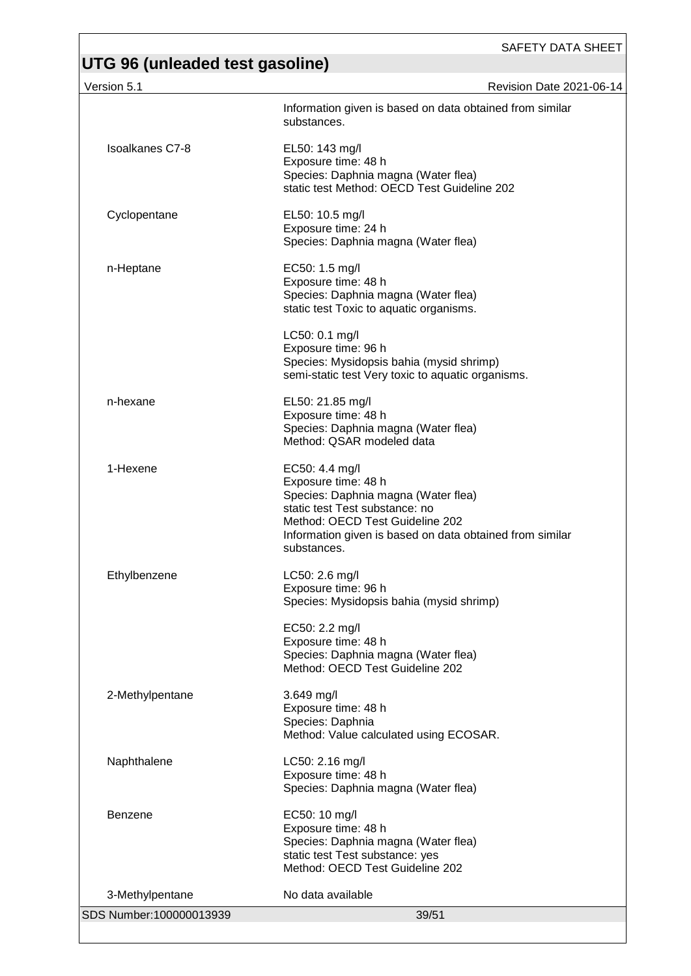| Version 5.1             | Revision Date 2021-06-14                                                                                                                                                                                                     |
|-------------------------|------------------------------------------------------------------------------------------------------------------------------------------------------------------------------------------------------------------------------|
|                         | Information given is based on data obtained from similar<br>substances.                                                                                                                                                      |
| <b>Isoalkanes C7-8</b>  | EL50: 143 mg/l<br>Exposure time: 48 h<br>Species: Daphnia magna (Water flea)<br>static test Method: OECD Test Guideline 202                                                                                                  |
| Cyclopentane            | EL50: 10.5 mg/l<br>Exposure time: 24 h<br>Species: Daphnia magna (Water flea)                                                                                                                                                |
| n-Heptane               | EC50: 1.5 mg/l<br>Exposure time: 48 h<br>Species: Daphnia magna (Water flea)<br>static test Toxic to aquatic organisms.                                                                                                      |
|                         | LC50: 0.1 mg/l<br>Exposure time: 96 h<br>Species: Mysidopsis bahia (mysid shrimp)<br>semi-static test Very toxic to aquatic organisms.                                                                                       |
| n-hexane                | EL50: 21.85 mg/l<br>Exposure time: 48 h<br>Species: Daphnia magna (Water flea)<br>Method: QSAR modeled data                                                                                                                  |
| 1-Hexene                | EC50: 4.4 mg/l<br>Exposure time: 48 h<br>Species: Daphnia magna (Water flea)<br>static test Test substance: no<br>Method: OECD Test Guideline 202<br>Information given is based on data obtained from similar<br>substances. |
| Ethylbenzene            | LC50: 2.6 mg/l<br>Exposure time: 96 h<br>Species: Mysidopsis bahia (mysid shrimp)                                                                                                                                            |
|                         | EC50: 2.2 mg/l<br>Exposure time: 48 h<br>Species: Daphnia magna (Water flea)<br>Method: OECD Test Guideline 202                                                                                                              |
| 2-Methylpentane         | 3.649 mg/l<br>Exposure time: 48 h<br>Species: Daphnia<br>Method: Value calculated using ECOSAR.                                                                                                                              |
| Naphthalene             | LC50: 2.16 mg/l<br>Exposure time: 48 h<br>Species: Daphnia magna (Water flea)                                                                                                                                                |
| <b>Benzene</b>          | EC50: 10 mg/l<br>Exposure time: 48 h<br>Species: Daphnia magna (Water flea)<br>static test Test substance: yes<br>Method: OECD Test Guideline 202                                                                            |
| 3-Methylpentane         | No data available                                                                                                                                                                                                            |
| SDS Number:100000013939 | 39/51                                                                                                                                                                                                                        |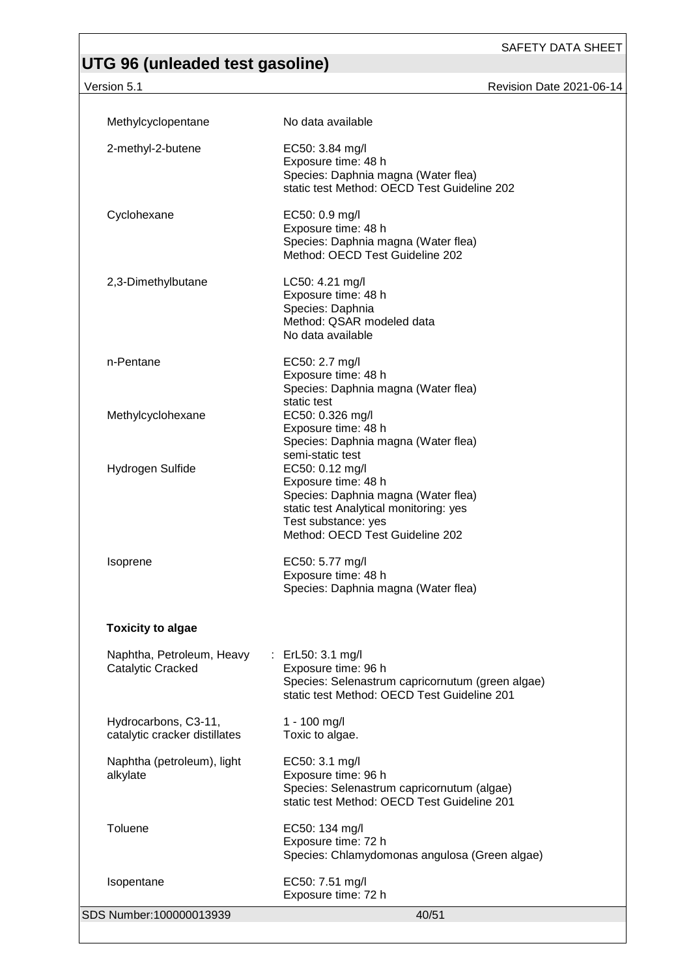# **UTG 96 (unleaded test gasoline)**

Version 5.1 Revision Date 2021-06-14

| Methylcyclopentane                                    | No data available                                                                                                                                                                                     |
|-------------------------------------------------------|-------------------------------------------------------------------------------------------------------------------------------------------------------------------------------------------------------|
| 2-methyl-2-butene                                     | EC50: 3.84 mg/l<br>Exposure time: 48 h<br>Species: Daphnia magna (Water flea)<br>static test Method: OECD Test Guideline 202                                                                          |
| Cyclohexane                                           | EC50: 0.9 mg/l<br>Exposure time: 48 h<br>Species: Daphnia magna (Water flea)<br>Method: OECD Test Guideline 202                                                                                       |
| 2,3-Dimethylbutane                                    | LC50: 4.21 mg/l<br>Exposure time: 48 h<br>Species: Daphnia<br>Method: QSAR modeled data<br>No data available                                                                                          |
| n-Pentane                                             | EC50: 2.7 mg/l<br>Exposure time: 48 h<br>Species: Daphnia magna (Water flea)<br>static test                                                                                                           |
| Methylcyclohexane                                     | EC50: 0.326 mg/l<br>Exposure time: 48 h<br>Species: Daphnia magna (Water flea)                                                                                                                        |
| Hydrogen Sulfide                                      | semi-static test<br>EC50: 0.12 mg/l<br>Exposure time: 48 h<br>Species: Daphnia magna (Water flea)<br>static test Analytical monitoring: yes<br>Test substance: yes<br>Method: OECD Test Guideline 202 |
| Isoprene                                              | EC50: 5.77 mg/l<br>Exposure time: 48 h<br>Species: Daphnia magna (Water flea)                                                                                                                         |
| <b>Toxicity to algae</b>                              |                                                                                                                                                                                                       |
| Naphtha, Petroleum, Heavy<br>Catalytic Cracked        | : ErL50: 3.1 mg/l<br>Exposure time: 96 h<br>Species: Selenastrum capricornutum (green algae)<br>static test Method: OECD Test Guideline 201                                                           |
| Hydrocarbons, C3-11,<br>catalytic cracker distillates | $1 - 100$ mg/l<br>Toxic to algae.                                                                                                                                                                     |
| Naphtha (petroleum), light<br>alkylate                | EC50: 3.1 mg/l<br>Exposure time: 96 h<br>Species: Selenastrum capricornutum (algae)<br>static test Method: OECD Test Guideline 201                                                                    |
| Toluene                                               | EC50: 134 mg/l<br>Exposure time: 72 h<br>Species: Chlamydomonas angulosa (Green algae)                                                                                                                |
| Isopentane                                            | EC50: 7.51 mg/l<br>Exposure time: 72 h                                                                                                                                                                |
| SDS Number:100000013939                               | 40/51                                                                                                                                                                                                 |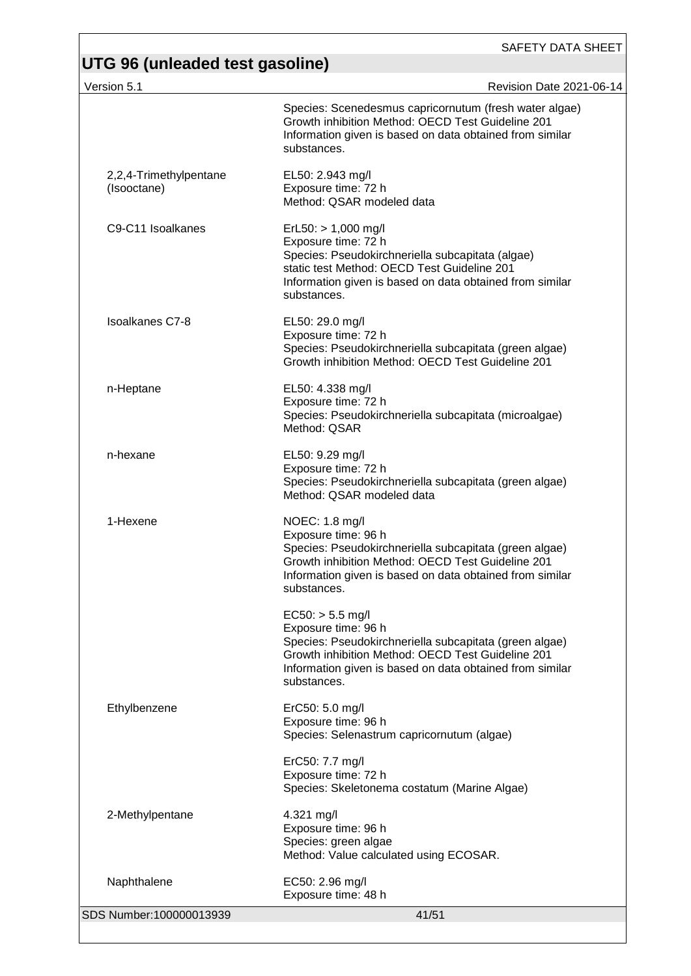# **UTG 96 (unleaded test gasoline)**<br>Version 5.1

| Version 5.1                           | Revision Date 2021-06-14                                                                                                                                                                                                            |
|---------------------------------------|-------------------------------------------------------------------------------------------------------------------------------------------------------------------------------------------------------------------------------------|
|                                       | Species: Scenedesmus capricornutum (fresh water algae)<br>Growth inhibition Method: OECD Test Guideline 201<br>Information given is based on data obtained from similar<br>substances.                                              |
| 2,2,4-Trimethylpentane<br>(Isooctane) | EL50: 2.943 mg/l<br>Exposure time: 72 h<br>Method: QSAR modeled data                                                                                                                                                                |
| C9-C11 Isoalkanes                     | $ErL50:$ > 1,000 mg/l<br>Exposure time: 72 h<br>Species: Pseudokirchneriella subcapitata (algae)<br>static test Method: OECD Test Guideline 201<br>Information given is based on data obtained from similar<br>substances.          |
| Isoalkanes C7-8                       | EL50: 29.0 mg/l<br>Exposure time: 72 h<br>Species: Pseudokirchneriella subcapitata (green algae)<br>Growth inhibition Method: OECD Test Guideline 201                                                                               |
| n-Heptane                             | EL50: 4.338 mg/l<br>Exposure time: 72 h<br>Species: Pseudokirchneriella subcapitata (microalgae)<br>Method: QSAR                                                                                                                    |
| n-hexane                              | EL50: 9.29 mg/l<br>Exposure time: 72 h<br>Species: Pseudokirchneriella subcapitata (green algae)<br>Method: QSAR modeled data                                                                                                       |
| 1-Hexene                              | NOEC: 1.8 mg/l<br>Exposure time: 96 h<br>Species: Pseudokirchneriella subcapitata (green algae)<br>Growth inhibition Method: OECD Test Guideline 201<br>Information given is based on data obtained from similar<br>substances.     |
|                                       | $EC50:$ > 5.5 mg/l<br>Exposure time: 96 h<br>Species: Pseudokirchneriella subcapitata (green algae)<br>Growth inhibition Method: OECD Test Guideline 201<br>Information given is based on data obtained from similar<br>substances. |
| Ethylbenzene                          | ErC50: 5.0 mg/l<br>Exposure time: 96 h<br>Species: Selenastrum capricornutum (algae)                                                                                                                                                |
|                                       | ErC50: 7.7 mg/l<br>Exposure time: 72 h<br>Species: Skeletonema costatum (Marine Algae)                                                                                                                                              |
| 2-Methylpentane                       | 4.321 mg/l<br>Exposure time: 96 h<br>Species: green algae<br>Method: Value calculated using ECOSAR.                                                                                                                                 |
| Naphthalene                           | EC50: 2.96 mg/l<br>Exposure time: 48 h                                                                                                                                                                                              |
| SDS Number:100000013939               | 41/51                                                                                                                                                                                                                               |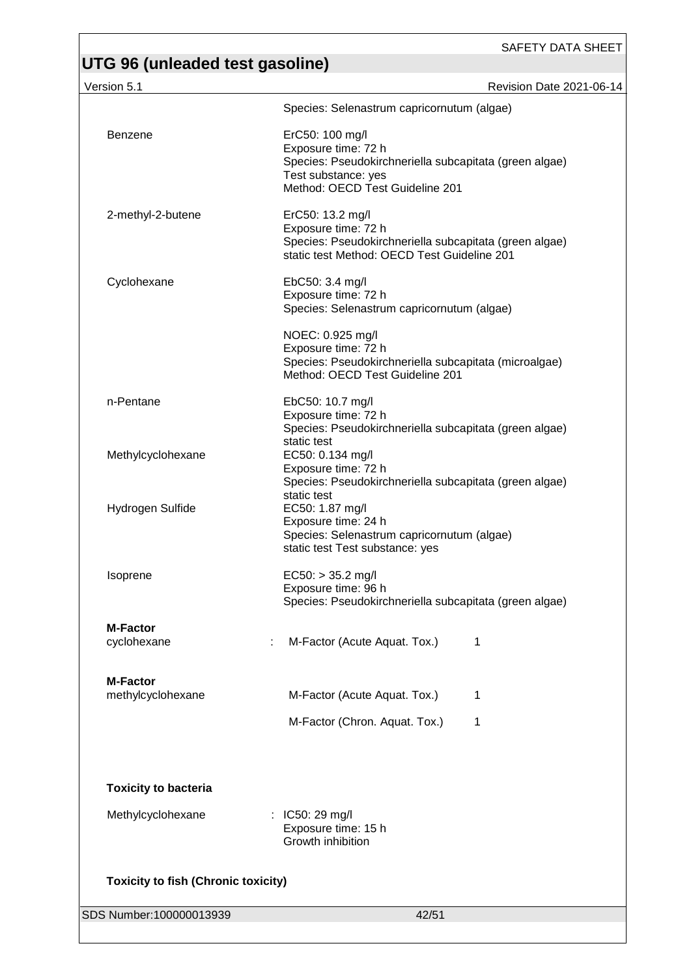| Version 5.1                                | Revision Date 2021-06-14                                                                                                                                   |
|--------------------------------------------|------------------------------------------------------------------------------------------------------------------------------------------------------------|
|                                            | Species: Selenastrum capricornutum (algae)                                                                                                                 |
| Benzene                                    | ErC50: 100 mg/l<br>Exposure time: 72 h<br>Species: Pseudokirchneriella subcapitata (green algae)<br>Test substance: yes<br>Method: OECD Test Guideline 201 |
| 2-methyl-2-butene                          | ErC50: 13.2 mg/l<br>Exposure time: 72 h<br>Species: Pseudokirchneriella subcapitata (green algae)<br>static test Method: OECD Test Guideline 201           |
| Cyclohexane                                | EbC50: 3.4 mg/l<br>Exposure time: 72 h<br>Species: Selenastrum capricornutum (algae)                                                                       |
|                                            | NOEC: 0.925 mg/l<br>Exposure time: 72 h<br>Species: Pseudokirchneriella subcapitata (microalgae)<br>Method: OECD Test Guideline 201                        |
| n-Pentane                                  | EbC50: 10.7 mg/l<br>Exposure time: 72 h<br>Species: Pseudokirchneriella subcapitata (green algae)<br>static test                                           |
| Methylcyclohexane                          | EC50: 0.134 mg/l<br>Exposure time: 72 h<br>Species: Pseudokirchneriella subcapitata (green algae)<br>static test                                           |
| Hydrogen Sulfide                           | EC50: 1.87 mg/l<br>Exposure time: 24 h<br>Species: Selenastrum capricornutum (algae)<br>static test Test substance: yes                                    |
| Isoprene                                   | $EC50:$ > 35.2 mg/l<br>Exposure time: 96 h<br>Species: Pseudokirchneriella subcapitata (green algae)                                                       |
| <b>M-Factor</b><br>cyclohexane             | M-Factor (Acute Aquat. Tox.)<br>1                                                                                                                          |
| <b>M-Factor</b><br>methylcyclohexane       | M-Factor (Acute Aquat. Tox.)<br>1                                                                                                                          |
|                                            | M-Factor (Chron. Aquat. Tox.)<br>1                                                                                                                         |
| <b>Toxicity to bacteria</b>                |                                                                                                                                                            |
| Methylcyclohexane                          | : IC50: 29 mg/l<br>Exposure time: 15 h<br>Growth inhibition                                                                                                |
| <b>Toxicity to fish (Chronic toxicity)</b> |                                                                                                                                                            |
| SDS Number:100000013939                    | 42/51                                                                                                                                                      |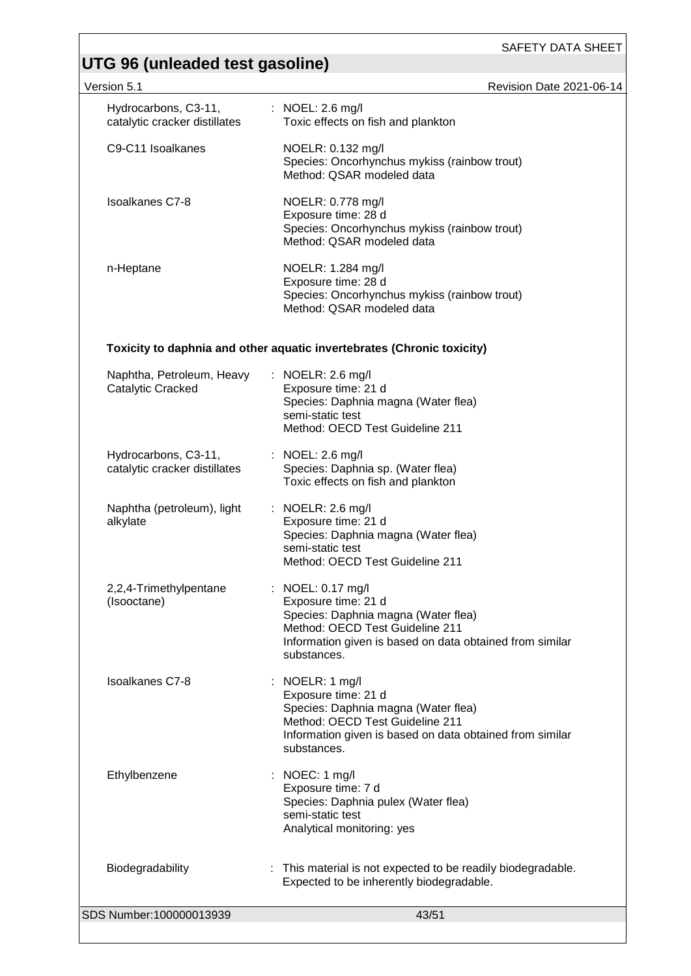| Version 5.1                                           | Revision Date 2021-06-14                                                                                                                                                                              |
|-------------------------------------------------------|-------------------------------------------------------------------------------------------------------------------------------------------------------------------------------------------------------|
| Hydrocarbons, C3-11,<br>catalytic cracker distillates | : NOEL: $2.6 \text{ mg/l}$<br>Toxic effects on fish and plankton                                                                                                                                      |
| C9-C11 Isoalkanes                                     | NOELR: 0.132 mg/l<br>Species: Oncorhynchus mykiss (rainbow trout)<br>Method: QSAR modeled data                                                                                                        |
| <b>Isoalkanes C7-8</b>                                | NOELR: 0.778 mg/l<br>Exposure time: 28 d<br>Species: Oncorhynchus mykiss (rainbow trout)<br>Method: QSAR modeled data                                                                                 |
| n-Heptane                                             | NOELR: 1.284 mg/l<br>Exposure time: 28 d<br>Species: Oncorhynchus mykiss (rainbow trout)<br>Method: QSAR modeled data                                                                                 |
|                                                       | Toxicity to daphnia and other aquatic invertebrates (Chronic toxicity)                                                                                                                                |
| Naphtha, Petroleum, Heavy<br>Catalytic Cracked        | : NOELR: 2.6 mg/l<br>Exposure time: 21 d<br>Species: Daphnia magna (Water flea)<br>semi-static test<br>Method: OECD Test Guideline 211                                                                |
| Hydrocarbons, C3-11,<br>catalytic cracker distillates | : NOEL: $2.6 \text{ mg/l}$<br>Species: Daphnia sp. (Water flea)<br>Toxic effects on fish and plankton                                                                                                 |
| Naphtha (petroleum), light<br>alkylate                | : NOELR: 2.6 mg/l<br>Exposure time: 21 d<br>Species: Daphnia magna (Water flea)<br>semi-static test<br>Method: OECD Test Guideline 211                                                                |
| 2,2,4-Trimethylpentane<br>(Isooctane)                 | : NOEL: 0.17 mg/l<br>Exposure time: 21 d<br>Species: Daphnia magna (Water flea)<br>Method: OECD Test Guideline 211<br>Information given is based on data obtained from similar<br>substances.         |
| <b>Isoalkanes C7-8</b>                                | : NOELR: $1 \text{ mg/l}$<br>Exposure time: 21 d<br>Species: Daphnia magna (Water flea)<br>Method: OECD Test Guideline 211<br>Information given is based on data obtained from similar<br>substances. |
| Ethylbenzene                                          | NOEC: 1 mg/l<br>Exposure time: 7 d<br>Species: Daphnia pulex (Water flea)<br>semi-static test<br>Analytical monitoring: yes                                                                           |
| Biodegradability                                      | : This material is not expected to be readily biodegradable.<br>Expected to be inherently biodegradable.                                                                                              |
| SDS Number:100000013939                               | 43/51                                                                                                                                                                                                 |
|                                                       |                                                                                                                                                                                                       |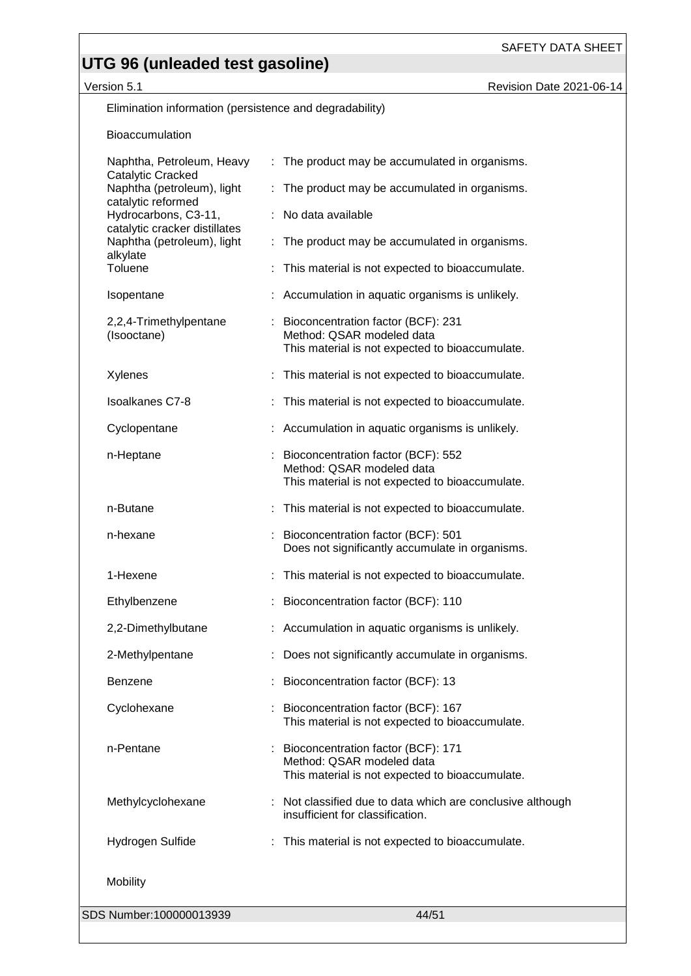Version 5.1 **Access 12 Access 12 Access 12 Access 12 Access 12 Access 12 Access 12 Access 12 Access 12 Access 12 Access 12 Access 12 Access 12 Access 12 Access 12 Access 12 Access 12 Access 12 Access 12 Access 12 Access 12** 

Elimination information (persistence and degradability)

#### Bioaccumulation

| SDS Number:100000013939                                                                       |    | 44/51                                                                                                                |
|-----------------------------------------------------------------------------------------------|----|----------------------------------------------------------------------------------------------------------------------|
| Mobility                                                                                      |    |                                                                                                                      |
| Hydrogen Sulfide                                                                              |    | This material is not expected to bioaccumulate.                                                                      |
| Methylcyclohexane                                                                             |    | : Not classified due to data which are conclusive although<br>insufficient for classification.                       |
| n-Pentane                                                                                     |    | Bioconcentration factor (BCF): 171<br>Method: QSAR modeled data<br>This material is not expected to bioaccumulate.   |
| Cyclohexane                                                                                   |    | Bioconcentration factor (BCF): 167<br>This material is not expected to bioaccumulate.                                |
| <b>Benzene</b>                                                                                |    | Bioconcentration factor (BCF): 13                                                                                    |
| 2-Methylpentane                                                                               |    | Does not significantly accumulate in organisms.                                                                      |
| 2,2-Dimethylbutane                                                                            |    | : Accumulation in aquatic organisms is unlikely.                                                                     |
| Ethylbenzene                                                                                  |    | : Bioconcentration factor (BCF): 110                                                                                 |
| 1-Hexene                                                                                      |    | : This material is not expected to bioaccumulate.                                                                    |
| n-hexane                                                                                      |    | : Bioconcentration factor (BCF): 501<br>Does not significantly accumulate in organisms.                              |
| n-Butane                                                                                      |    | : This material is not expected to bioaccumulate.                                                                    |
| n-Heptane                                                                                     |    | : Bioconcentration factor (BCF): 552<br>Method: QSAR modeled data<br>This material is not expected to bioaccumulate. |
| Cyclopentane                                                                                  |    | : Accumulation in aquatic organisms is unlikely.                                                                     |
| <b>Isoalkanes C7-8</b>                                                                        |    | This material is not expected to bioaccumulate.                                                                      |
| Xylenes                                                                                       |    | : This material is not expected to bioaccumulate.                                                                    |
| 2,2,4-Trimethylpentane<br>(Isooctane)                                                         |    | : Bioconcentration factor (BCF): 231<br>Method: QSAR modeled data<br>This material is not expected to bioaccumulate. |
| Isopentane                                                                                    |    | : Accumulation in aquatic organisms is unlikely.                                                                     |
| alkylate<br>Toluene                                                                           |    | This material is not expected to bioaccumulate.                                                                      |
| catalytic cracker distillates<br>Naphtha (petroleum), light                                   |    | : The product may be accumulated in organisms.                                                                       |
| Catalytic Cracked<br>Naphtha (petroleum), light<br>catalytic reformed<br>Hydrocarbons, C3-11, |    | : No data available                                                                                                  |
|                                                                                               | ÷. | The product may be accumulated in organisms.                                                                         |
| Naphtha, Petroleum, Heavy                                                                     |    | : The product may be accumulated in organisms.                                                                       |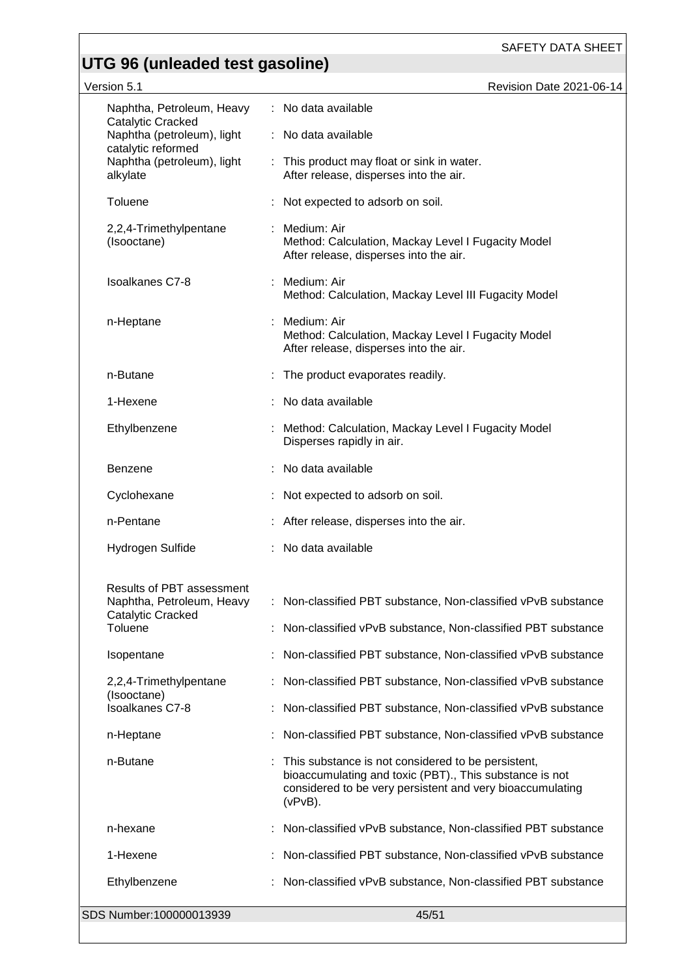| Version 5.1                                                                                                                                  | Revision Date 2021-06-14                                                                                                                                                                 |
|----------------------------------------------------------------------------------------------------------------------------------------------|------------------------------------------------------------------------------------------------------------------------------------------------------------------------------------------|
| Naphtha, Petroleum, Heavy<br>Catalytic Cracked<br>Naphtha (petroleum), light<br>catalytic reformed<br>Naphtha (petroleum), light<br>alkylate | : No data available                                                                                                                                                                      |
|                                                                                                                                              | No data available                                                                                                                                                                        |
|                                                                                                                                              | : This product may float or sink in water.<br>After release, disperses into the air.                                                                                                     |
| Toluene                                                                                                                                      | Not expected to adsorb on soil.                                                                                                                                                          |
| 2,2,4-Trimethylpentane<br>(Isooctane)                                                                                                        | Medium: Air<br>Method: Calculation, Mackay Level I Fugacity Model<br>After release, disperses into the air.                                                                              |
| <b>Isoalkanes C7-8</b>                                                                                                                       | Medium: Air<br>Method: Calculation, Mackay Level III Fugacity Model                                                                                                                      |
| n-Heptane                                                                                                                                    | Medium: Air<br>Method: Calculation, Mackay Level I Fugacity Model<br>After release, disperses into the air.                                                                              |
| n-Butane                                                                                                                                     | : The product evaporates readily.                                                                                                                                                        |
| 1-Hexene                                                                                                                                     | No data available                                                                                                                                                                        |
| Ethylbenzene                                                                                                                                 | Method: Calculation, Mackay Level I Fugacity Model<br>Disperses rapidly in air.                                                                                                          |
| <b>Benzene</b>                                                                                                                               | No data available                                                                                                                                                                        |
| Cyclohexane                                                                                                                                  | Not expected to adsorb on soil.                                                                                                                                                          |
| n-Pentane                                                                                                                                    | : After release, disperses into the air.                                                                                                                                                 |
| Hydrogen Sulfide                                                                                                                             | No data available                                                                                                                                                                        |
| <b>Results of PBT assessment</b>                                                                                                             |                                                                                                                                                                                          |
| Naphtha, Petroleum, Heavy<br>Catalytic Cracked                                                                                               | Non-classified PBT substance, Non-classified vPvB substance                                                                                                                              |
| Toluene                                                                                                                                      | Non-classified vPvB substance, Non-classified PBT substance                                                                                                                              |
| Isopentane                                                                                                                                   | Non-classified PBT substance, Non-classified vPvB substance                                                                                                                              |
| 2,2,4-Trimethylpentane                                                                                                                       | Non-classified PBT substance, Non-classified vPvB substance                                                                                                                              |
| (Isooctane)<br><b>Isoalkanes C7-8</b>                                                                                                        | Non-classified PBT substance, Non-classified vPvB substance                                                                                                                              |
| n-Heptane                                                                                                                                    | Non-classified PBT substance, Non-classified vPvB substance                                                                                                                              |
| n-Butane                                                                                                                                     | This substance is not considered to be persistent,<br>bioaccumulating and toxic (PBT)., This substance is not<br>considered to be very persistent and very bioaccumulating<br>$(vPvB)$ . |
| n-hexane                                                                                                                                     | Non-classified vPvB substance, Non-classified PBT substance                                                                                                                              |
| 1-Hexene                                                                                                                                     | Non-classified PBT substance, Non-classified vPvB substance                                                                                                                              |
| Ethylbenzene                                                                                                                                 | Non-classified vPvB substance, Non-classified PBT substance                                                                                                                              |
| SDS Number:100000013939                                                                                                                      | 45/51                                                                                                                                                                                    |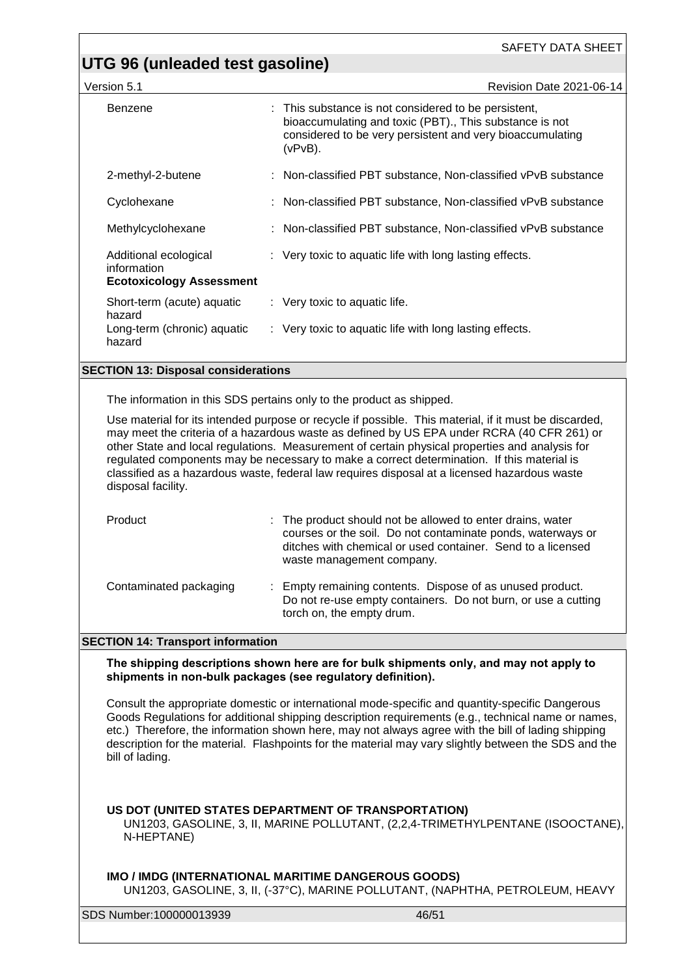#### **UTG 96 (unleaded test gasoline)**

| Version 5.1                                                             | <b>Revision Date 2021-06-14</b>                                                                                                                                                            |  |  |
|-------------------------------------------------------------------------|--------------------------------------------------------------------------------------------------------------------------------------------------------------------------------------------|--|--|
| Benzene                                                                 | : This substance is not considered to be persistent,<br>bioaccumulating and toxic (PBT)., This substance is not<br>considered to be very persistent and very bioaccumulating<br>$(vPvB)$ . |  |  |
| 2-methyl-2-butene                                                       | : Non-classified PBT substance, Non-classified vPvB substance                                                                                                                              |  |  |
| Cyclohexane                                                             | : Non-classified PBT substance, Non-classified vPvB substance                                                                                                                              |  |  |
| Methylcyclohexane                                                       | : Non-classified PBT substance, Non-classified vPvB substance                                                                                                                              |  |  |
| Additional ecological<br>information<br><b>Ecotoxicology Assessment</b> | : Very toxic to aquatic life with long lasting effects.                                                                                                                                    |  |  |
| Short-term (acute) aquatic<br>hazard                                    | $\therefore$ Very toxic to aquatic life.                                                                                                                                                   |  |  |
| Long-term (chronic) aquatic<br>hazard                                   | : Very toxic to aquatic life with long lasting effects.                                                                                                                                    |  |  |
| <b>SECTION 13: Disposal considerations</b>                              |                                                                                                                                                                                            |  |  |

The information in this SDS pertains only to the product as shipped.

Use material for its intended purpose or recycle if possible. This material, if it must be discarded, may meet the criteria of a hazardous waste as defined by US EPA under RCRA (40 CFR 261) or other State and local regulations. Measurement of certain physical properties and analysis for regulated components may be necessary to make a correct determination. If this material is classified as a hazardous waste, federal law requires disposal at a licensed hazardous waste disposal facility.

| Product                | : The product should not be allowed to enter drains, water<br>courses or the soil. Do not contaminate ponds, waterways or<br>ditches with chemical or used container. Send to a licensed<br>waste management company. |  |
|------------------------|-----------------------------------------------------------------------------------------------------------------------------------------------------------------------------------------------------------------------|--|
| Contaminated packaging | : Empty remaining contents. Dispose of as unused product.                                                                                                                                                             |  |

#### **SECTION 14: Transport information**

**The shipping descriptions shown here are for bulk shipments only, and may not apply to shipments in non-bulk packages (see regulatory definition).**

torch on, the empty drum.

Consult the appropriate domestic or international mode-specific and quantity-specific Dangerous Goods Regulations for additional shipping description requirements (e.g., technical name or names, etc.) Therefore, the information shown here, may not always agree with the bill of lading shipping description for the material. Flashpoints for the material may vary slightly between the SDS and the bill of lading.

#### **US DOT (UNITED STATES DEPARTMENT OF TRANSPORTATION)**

UN1203, GASOLINE, 3, II, MARINE POLLUTANT, (2,2,4-TRIMETHYLPENTANE (ISOOCTANE), N-HEPTANE)

#### **IMO / IMDG (INTERNATIONAL MARITIME DANGEROUS GOODS)**

UN1203, GASOLINE, 3, II, (-37°C), MARINE POLLUTANT, (NAPHTHA, PETROLEUM, HEAVY

SDS Number:100000013939 46/51

Do not re-use empty containers. Do not burn, or use a cutting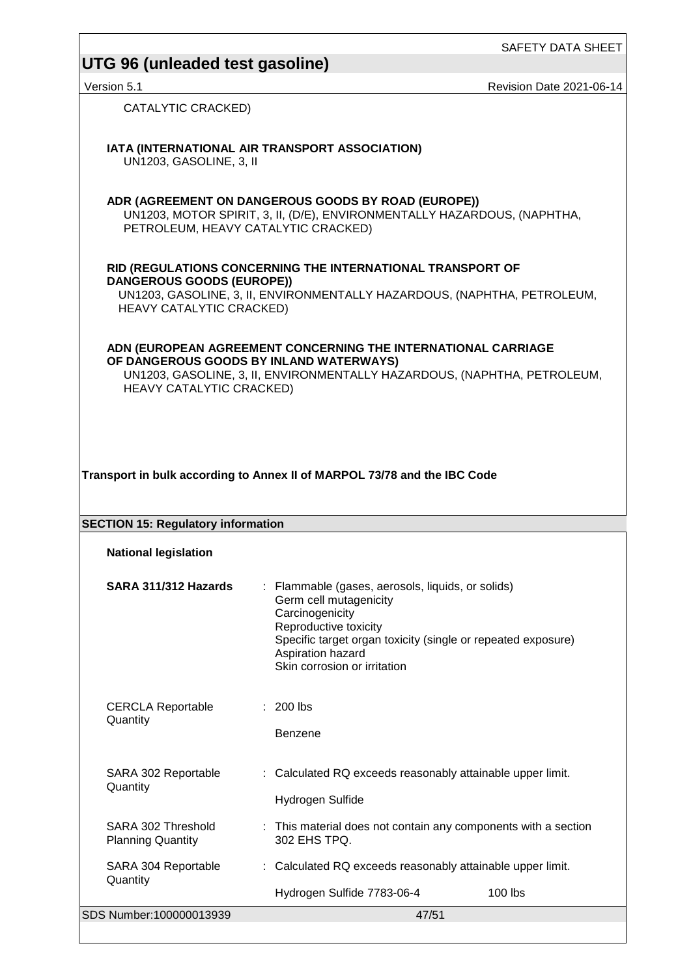#### **UTG 96 (unleaded test gasoline)**

Version 5.1 **Network 2021-06-14** Revision Date 2021-06-14

CATALYTIC CRACKED)

**IATA (INTERNATIONAL AIR TRANSPORT ASSOCIATION)**

UN1203, GASOLINE, 3, II

**ADR (AGREEMENT ON DANGEROUS GOODS BY ROAD (EUROPE))** UN1203, MOTOR SPIRIT, 3, II, (D/E), ENVIRONMENTALLY HAZARDOUS, (NAPHTHA, PETROLEUM, HEAVY CATALYTIC CRACKED)

#### **RID (REGULATIONS CONCERNING THE INTERNATIONAL TRANSPORT OF DANGEROUS GOODS (EUROPE))**

UN1203, GASOLINE, 3, II, ENVIRONMENTALLY HAZARDOUS, (NAPHTHA, PETROLEUM, HEAVY CATALYTIC CRACKED)

**ADN (EUROPEAN AGREEMENT CONCERNING THE INTERNATIONAL CARRIAGE OF DANGEROUS GOODS BY INLAND WATERWAYS)** UN1203, GASOLINE, 3, II, ENVIRONMENTALLY HAZARDOUS, (NAPHTHA, PETROLEUM, HEAVY CATALYTIC CRACKED)

**Transport in bulk according to Annex II of MARPOL 73/78 and the IBC Code**

| <b>SECTION 15: Regulatory information</b>      |  |                                                                                                                                                                                                                                              |  |  |
|------------------------------------------------|--|----------------------------------------------------------------------------------------------------------------------------------------------------------------------------------------------------------------------------------------------|--|--|
| <b>National legislation</b>                    |  |                                                                                                                                                                                                                                              |  |  |
| SARA 311/312 Hazards                           |  | : Flammable (gases, aerosols, liquids, or solids)<br>Germ cell mutagenicity<br>Carcinogenicity<br>Reproductive toxicity<br>Specific target organ toxicity (single or repeated exposure)<br>Aspiration hazard<br>Skin corrosion or irritation |  |  |
| <b>CERCLA Reportable</b><br>Quantity           |  | $: 200$ lbs<br><b>Benzene</b>                                                                                                                                                                                                                |  |  |
| SARA 302 Reportable<br>Quantity                |  | : Calculated RQ exceeds reasonably attainable upper limit.<br>Hydrogen Sulfide                                                                                                                                                               |  |  |
| SARA 302 Threshold<br><b>Planning Quantity</b> |  | : This material does not contain any components with a section<br>302 EHS TPQ.                                                                                                                                                               |  |  |
| SARA 304 Reportable                            |  | : Calculated RQ exceeds reasonably attainable upper limit.                                                                                                                                                                                   |  |  |

SDS Number:100000013939 47/51 **Quantity** Hydrogen Sulfide 7783-06-4 100 lbs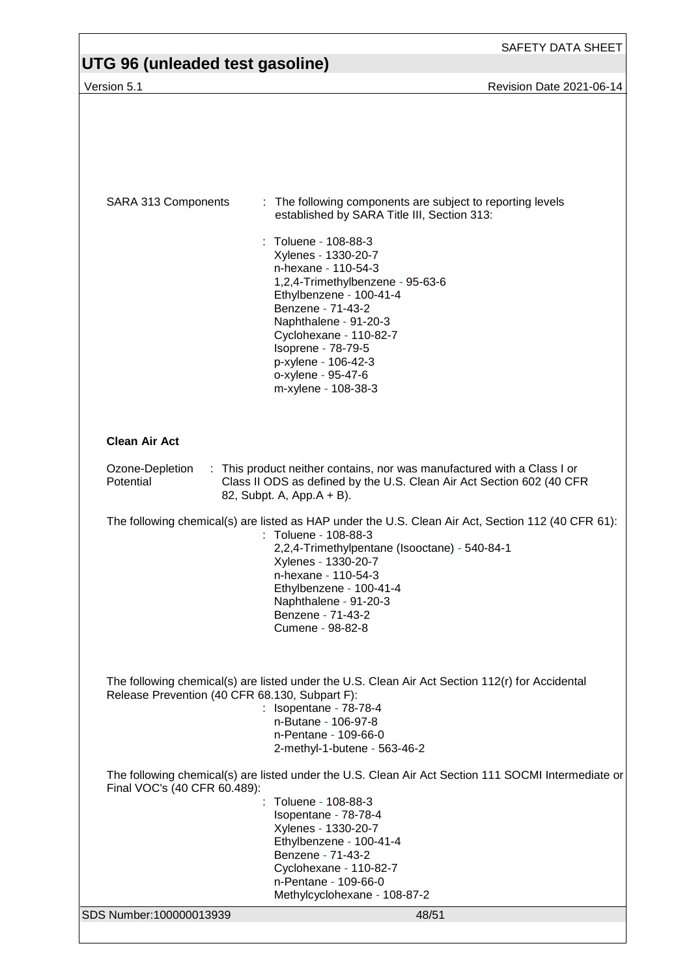| UTG 96 (unleaded test gasoline)                                                                                                                                                                               |                                                                                                                                                                                                                                                                                                                        |  |  |
|---------------------------------------------------------------------------------------------------------------------------------------------------------------------------------------------------------------|------------------------------------------------------------------------------------------------------------------------------------------------------------------------------------------------------------------------------------------------------------------------------------------------------------------------|--|--|
| Version 5.1                                                                                                                                                                                                   | Revision Date 2021-06-14                                                                                                                                                                                                                                                                                               |  |  |
|                                                                                                                                                                                                               |                                                                                                                                                                                                                                                                                                                        |  |  |
| SARA 313 Components                                                                                                                                                                                           | : The following components are subject to reporting levels<br>established by SARA Title III, Section 313:                                                                                                                                                                                                              |  |  |
|                                                                                                                                                                                                               | : Toluene - 108-88-3<br>Xylenes - 1330-20-7<br>n-hexane - 110-54-3<br>1,2,4-Trimethylbenzene - 95-63-6<br>Ethylbenzene - 100-41-4<br>Benzene - 71-43-2                                                                                                                                                                 |  |  |
|                                                                                                                                                                                                               | Naphthalene - 91-20-3<br>Cyclohexane - 110-82-7<br>Isoprene - 78-79-5<br>p-xylene - 106-42-3<br>o-xylene - 95-47-6<br>m-xylene - 108-38-3                                                                                                                                                                              |  |  |
| <b>Clean Air Act</b>                                                                                                                                                                                          |                                                                                                                                                                                                                                                                                                                        |  |  |
| : This product neither contains, nor was manufactured with a Class I or<br>Ozone-Depletion<br>Potential<br>Class II ODS as defined by the U.S. Clean Air Act Section 602 (40 CFR<br>82, Subpt. A, App.A + B). |                                                                                                                                                                                                                                                                                                                        |  |  |
|                                                                                                                                                                                                               | The following chemical(s) are listed as HAP under the U.S. Clean Air Act, Section 112 (40 CFR 61):<br>: Toluene - 108-88-3<br>2,2,4-Trimethylpentane (Isooctane) - 540-84-1<br>Xylenes - 1330-20-7<br>n-hexane - 110-54-3<br>Ethylbenzene - 100-41-4<br>Naphthalene - 91-20-3<br>Benzene - 71-43-2<br>Cumene - 98-82-8 |  |  |
| Release Prevention (40 CFR 68.130, Subpart F):                                                                                                                                                                | The following chemical(s) are listed under the U.S. Clean Air Act Section 112(r) for Accidental<br>: Isopentane - 78-78-4<br>n-Butane - 106-97-8<br>n-Pentane - 109-66-0<br>2-methyl-1-butene - 563-46-2                                                                                                               |  |  |
| The following chemical(s) are listed under the U.S. Clean Air Act Section 111 SOCMI Intermediate or<br>Final VOC's (40 CFR 60.489):                                                                           |                                                                                                                                                                                                                                                                                                                        |  |  |
|                                                                                                                                                                                                               | : Toluene - 108-88-3<br>Isopentane - 78-78-4<br>Xylenes - 1330-20-7<br>Ethylbenzene - 100-41-4<br>Benzene - 71-43-2<br>Cyclohexane - 110-82-7<br>n-Pentane - 109-66-0                                                                                                                                                  |  |  |
| SDS Number:100000013939                                                                                                                                                                                       | Methylcyclohexane - 108-87-2<br>48/51                                                                                                                                                                                                                                                                                  |  |  |
|                                                                                                                                                                                                               |                                                                                                                                                                                                                                                                                                                        |  |  |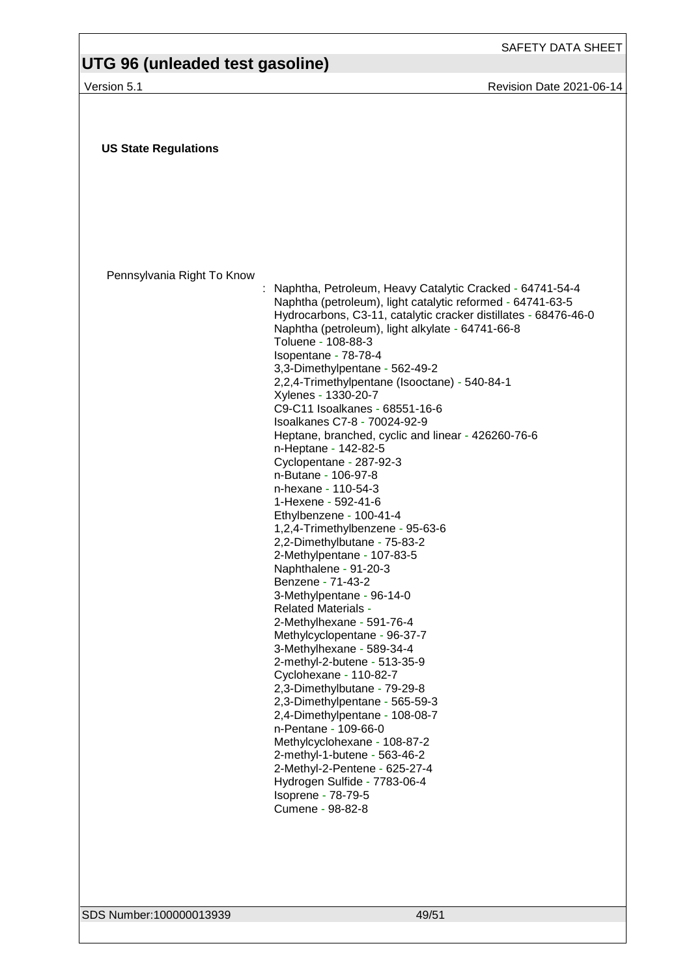# **UTG 96 (unleaded test gasoline)**

Version 5.1 **Version 5.1** Revision Date 2021-06-14

| Pennsylvania Right To Know<br>Naphtha, Petroleum, Heavy Catalytic Cracked - 64741-54-4<br>Naphtha (petroleum), light catalytic reformed - 64741-63-5<br>Naphtha (petroleum), light alkylate - 64741-66-8<br>Toluene - 108-88-3<br>Isopentane - 78-78-4<br>3,3-Dimethylpentane - 562-49-2<br>2,2,4-Trimethylpentane (Isooctane) - 540-84-1<br>Xylenes - 1330-20-7<br>C9-C11 Isoalkanes - 68551-16-6<br>Isoalkanes C7-8 - 70024-92-9<br>Heptane, branched, cyclic and linear - 426260-76-6<br>n-Heptane - 142-82-5<br>Cyclopentane - 287-92-3<br>n-Butane - 106-97-8<br>n-hexane - 110-54-3<br>1-Hexene - 592-41-6<br>Ethylbenzene - 100-41-4<br>1,2,4-Trimethylbenzene - 95-63-6<br>2,2-Dimethylbutane - 75-83-2<br>2-Methylpentane - 107-83-5<br>Naphthalene - 91-20-3<br>Benzene - 71-43-2<br>3-Methylpentane - 96-14-0<br><b>Related Materials -</b><br>2-Methylhexane - 591-76-4<br>Methylcyclopentane - 96-37-7<br>3-Methylhexane - 589-34-4<br>2-methyl-2-butene - 513-35-9<br>Cyclohexane - 110-82-7<br>2,3-Dimethylbutane - 79-29-8<br>2,3-Dimethylpentane - 565-59-3<br>2,4-Dimethylpentane - 108-08-7<br>n-Pentane - 109-66-0<br>Methylcyclohexane - 108-87-2<br>2-methyl-1-butene - 563-46-2<br>2-Methyl-2-Pentene - 625-27-4<br>Hydrogen Sulfide - 7783-06-4<br>Isoprene - 78-79-5<br>Cumene - 98-82-8 | <b>US State Regulations</b> |                                                                 |
|-------------------------------------------------------------------------------------------------------------------------------------------------------------------------------------------------------------------------------------------------------------------------------------------------------------------------------------------------------------------------------------------------------------------------------------------------------------------------------------------------------------------------------------------------------------------------------------------------------------------------------------------------------------------------------------------------------------------------------------------------------------------------------------------------------------------------------------------------------------------------------------------------------------------------------------------------------------------------------------------------------------------------------------------------------------------------------------------------------------------------------------------------------------------------------------------------------------------------------------------------------------------------------------------------------------------|-----------------------------|-----------------------------------------------------------------|
|                                                                                                                                                                                                                                                                                                                                                                                                                                                                                                                                                                                                                                                                                                                                                                                                                                                                                                                                                                                                                                                                                                                                                                                                                                                                                                                   |                             |                                                                 |
|                                                                                                                                                                                                                                                                                                                                                                                                                                                                                                                                                                                                                                                                                                                                                                                                                                                                                                                                                                                                                                                                                                                                                                                                                                                                                                                   |                             |                                                                 |
|                                                                                                                                                                                                                                                                                                                                                                                                                                                                                                                                                                                                                                                                                                                                                                                                                                                                                                                                                                                                                                                                                                                                                                                                                                                                                                                   |                             |                                                                 |
|                                                                                                                                                                                                                                                                                                                                                                                                                                                                                                                                                                                                                                                                                                                                                                                                                                                                                                                                                                                                                                                                                                                                                                                                                                                                                                                   |                             |                                                                 |
|                                                                                                                                                                                                                                                                                                                                                                                                                                                                                                                                                                                                                                                                                                                                                                                                                                                                                                                                                                                                                                                                                                                                                                                                                                                                                                                   |                             | Hydrocarbons, C3-11, catalytic cracker distillates - 68476-46-0 |
|                                                                                                                                                                                                                                                                                                                                                                                                                                                                                                                                                                                                                                                                                                                                                                                                                                                                                                                                                                                                                                                                                                                                                                                                                                                                                                                   |                             |                                                                 |
|                                                                                                                                                                                                                                                                                                                                                                                                                                                                                                                                                                                                                                                                                                                                                                                                                                                                                                                                                                                                                                                                                                                                                                                                                                                                                                                   |                             |                                                                 |
|                                                                                                                                                                                                                                                                                                                                                                                                                                                                                                                                                                                                                                                                                                                                                                                                                                                                                                                                                                                                                                                                                                                                                                                                                                                                                                                   |                             |                                                                 |
|                                                                                                                                                                                                                                                                                                                                                                                                                                                                                                                                                                                                                                                                                                                                                                                                                                                                                                                                                                                                                                                                                                                                                                                                                                                                                                                   |                             |                                                                 |
|                                                                                                                                                                                                                                                                                                                                                                                                                                                                                                                                                                                                                                                                                                                                                                                                                                                                                                                                                                                                                                                                                                                                                                                                                                                                                                                   |                             |                                                                 |
|                                                                                                                                                                                                                                                                                                                                                                                                                                                                                                                                                                                                                                                                                                                                                                                                                                                                                                                                                                                                                                                                                                                                                                                                                                                                                                                   |                             |                                                                 |
|                                                                                                                                                                                                                                                                                                                                                                                                                                                                                                                                                                                                                                                                                                                                                                                                                                                                                                                                                                                                                                                                                                                                                                                                                                                                                                                   |                             |                                                                 |
|                                                                                                                                                                                                                                                                                                                                                                                                                                                                                                                                                                                                                                                                                                                                                                                                                                                                                                                                                                                                                                                                                                                                                                                                                                                                                                                   |                             |                                                                 |
|                                                                                                                                                                                                                                                                                                                                                                                                                                                                                                                                                                                                                                                                                                                                                                                                                                                                                                                                                                                                                                                                                                                                                                                                                                                                                                                   |                             |                                                                 |
|                                                                                                                                                                                                                                                                                                                                                                                                                                                                                                                                                                                                                                                                                                                                                                                                                                                                                                                                                                                                                                                                                                                                                                                                                                                                                                                   |                             |                                                                 |
|                                                                                                                                                                                                                                                                                                                                                                                                                                                                                                                                                                                                                                                                                                                                                                                                                                                                                                                                                                                                                                                                                                                                                                                                                                                                                                                   |                             |                                                                 |
|                                                                                                                                                                                                                                                                                                                                                                                                                                                                                                                                                                                                                                                                                                                                                                                                                                                                                                                                                                                                                                                                                                                                                                                                                                                                                                                   |                             |                                                                 |
|                                                                                                                                                                                                                                                                                                                                                                                                                                                                                                                                                                                                                                                                                                                                                                                                                                                                                                                                                                                                                                                                                                                                                                                                                                                                                                                   |                             |                                                                 |
|                                                                                                                                                                                                                                                                                                                                                                                                                                                                                                                                                                                                                                                                                                                                                                                                                                                                                                                                                                                                                                                                                                                                                                                                                                                                                                                   |                             |                                                                 |
|                                                                                                                                                                                                                                                                                                                                                                                                                                                                                                                                                                                                                                                                                                                                                                                                                                                                                                                                                                                                                                                                                                                                                                                                                                                                                                                   |                             |                                                                 |
|                                                                                                                                                                                                                                                                                                                                                                                                                                                                                                                                                                                                                                                                                                                                                                                                                                                                                                                                                                                                                                                                                                                                                                                                                                                                                                                   |                             |                                                                 |
|                                                                                                                                                                                                                                                                                                                                                                                                                                                                                                                                                                                                                                                                                                                                                                                                                                                                                                                                                                                                                                                                                                                                                                                                                                                                                                                   |                             |                                                                 |
|                                                                                                                                                                                                                                                                                                                                                                                                                                                                                                                                                                                                                                                                                                                                                                                                                                                                                                                                                                                                                                                                                                                                                                                                                                                                                                                   |                             |                                                                 |
|                                                                                                                                                                                                                                                                                                                                                                                                                                                                                                                                                                                                                                                                                                                                                                                                                                                                                                                                                                                                                                                                                                                                                                                                                                                                                                                   |                             |                                                                 |
|                                                                                                                                                                                                                                                                                                                                                                                                                                                                                                                                                                                                                                                                                                                                                                                                                                                                                                                                                                                                                                                                                                                                                                                                                                                                                                                   |                             |                                                                 |
|                                                                                                                                                                                                                                                                                                                                                                                                                                                                                                                                                                                                                                                                                                                                                                                                                                                                                                                                                                                                                                                                                                                                                                                                                                                                                                                   |                             |                                                                 |
|                                                                                                                                                                                                                                                                                                                                                                                                                                                                                                                                                                                                                                                                                                                                                                                                                                                                                                                                                                                                                                                                                                                                                                                                                                                                                                                   |                             |                                                                 |
|                                                                                                                                                                                                                                                                                                                                                                                                                                                                                                                                                                                                                                                                                                                                                                                                                                                                                                                                                                                                                                                                                                                                                                                                                                                                                                                   |                             |                                                                 |

SDS Number:100000013939 49/51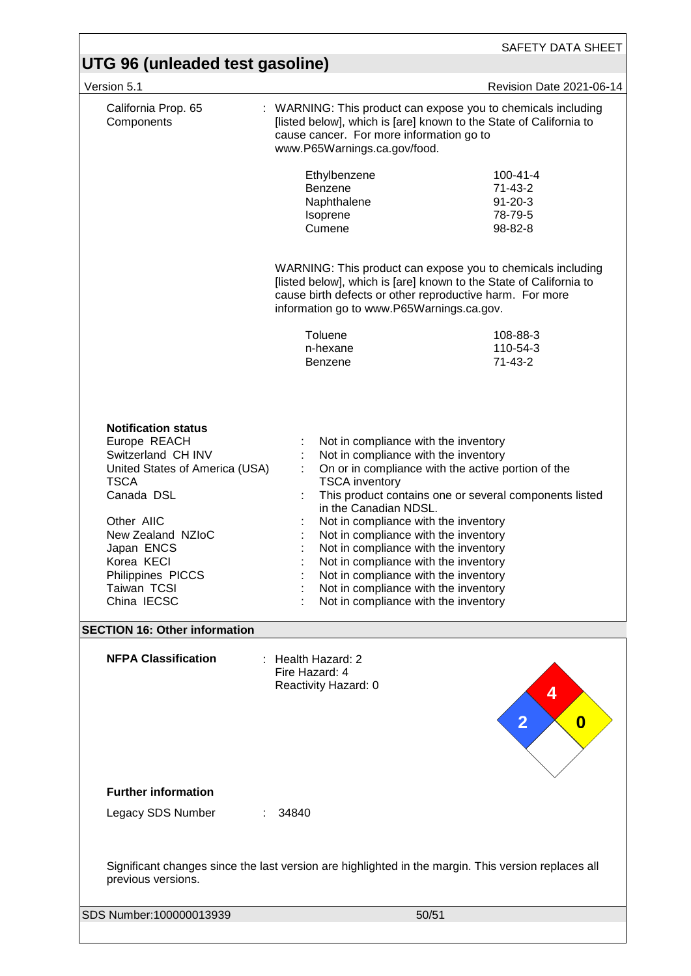| UTG 96 (unleaded test gasoline)                                                                                                                                                                                                                   |                                                                                                                                                                                                                                                                                                                                                                                                                                                                              |                                                                    |  |  |
|---------------------------------------------------------------------------------------------------------------------------------------------------------------------------------------------------------------------------------------------------|------------------------------------------------------------------------------------------------------------------------------------------------------------------------------------------------------------------------------------------------------------------------------------------------------------------------------------------------------------------------------------------------------------------------------------------------------------------------------|--------------------------------------------------------------------|--|--|
| Version 5.1                                                                                                                                                                                                                                       |                                                                                                                                                                                                                                                                                                                                                                                                                                                                              | Revision Date 2021-06-14                                           |  |  |
| California Prop. 65<br>Components                                                                                                                                                                                                                 | : WARNING: This product can expose you to chemicals including<br>[listed below], which is [are] known to the State of California to<br>cause cancer. For more information go to<br>www.P65Warnings.ca.gov/food.                                                                                                                                                                                                                                                              |                                                                    |  |  |
|                                                                                                                                                                                                                                                   | Ethylbenzene<br>Benzene<br>Naphthalene<br>Isoprene<br>Cumene                                                                                                                                                                                                                                                                                                                                                                                                                 | $100 - 41 - 4$<br>$71-43-2$<br>$91 - 20 - 3$<br>78-79-5<br>98-82-8 |  |  |
|                                                                                                                                                                                                                                                   | WARNING: This product can expose you to chemicals including<br>[listed below], which is [are] known to the State of California to<br>cause birth defects or other reproductive harm. For more<br>information go to www.P65Warnings.ca.gov.                                                                                                                                                                                                                                   |                                                                    |  |  |
|                                                                                                                                                                                                                                                   | Toluene<br>n-hexane<br><b>Benzene</b>                                                                                                                                                                                                                                                                                                                                                                                                                                        | 108-88-3<br>110-54-3<br>$71 - 43 - 2$                              |  |  |
| <b>Notification status</b><br>Europe REACH<br>Switzerland CH INV<br>United States of America (USA)<br><b>TSCA</b><br>Canada DSL<br>Other AIIC<br>New Zealand NZIoC<br>Japan ENCS<br>Korea KECI<br>Philippines PICCS<br>Taiwan TCSI<br>China IECSC | Not in compliance with the inventory<br>Not in compliance with the inventory<br>On or in compliance with the active portion of the<br><b>TSCA</b> inventory<br>in the Canadian NDSL.<br>Not in compliance with the inventory<br>Not in compliance with the inventory<br>Not in compliance with the inventory<br>Not in compliance with the inventory<br>Not in compliance with the inventory<br>Not in compliance with the inventory<br>Not in compliance with the inventory | This product contains one or several components listed             |  |  |
| <b>SECTION 16: Other information</b><br><b>NFPA Classification</b>                                                                                                                                                                                | : Health Hazard: 2<br>Fire Hazard: 4<br>Reactivity Hazard: 0                                                                                                                                                                                                                                                                                                                                                                                                                 | 4                                                                  |  |  |
|                                                                                                                                                                                                                                                   |                                                                                                                                                                                                                                                                                                                                                                                                                                                                              | $\overline{2}$<br>0                                                |  |  |
| <b>Further information</b>                                                                                                                                                                                                                        |                                                                                                                                                                                                                                                                                                                                                                                                                                                                              |                                                                    |  |  |
| Legacy SDS Number                                                                                                                                                                                                                                 | 34840                                                                                                                                                                                                                                                                                                                                                                                                                                                                        |                                                                    |  |  |
| Significant changes since the last version are highlighted in the margin. This version replaces all<br>previous versions.                                                                                                                         |                                                                                                                                                                                                                                                                                                                                                                                                                                                                              |                                                                    |  |  |
| SDS Number:100000013939                                                                                                                                                                                                                           | 50/51                                                                                                                                                                                                                                                                                                                                                                                                                                                                        |                                                                    |  |  |